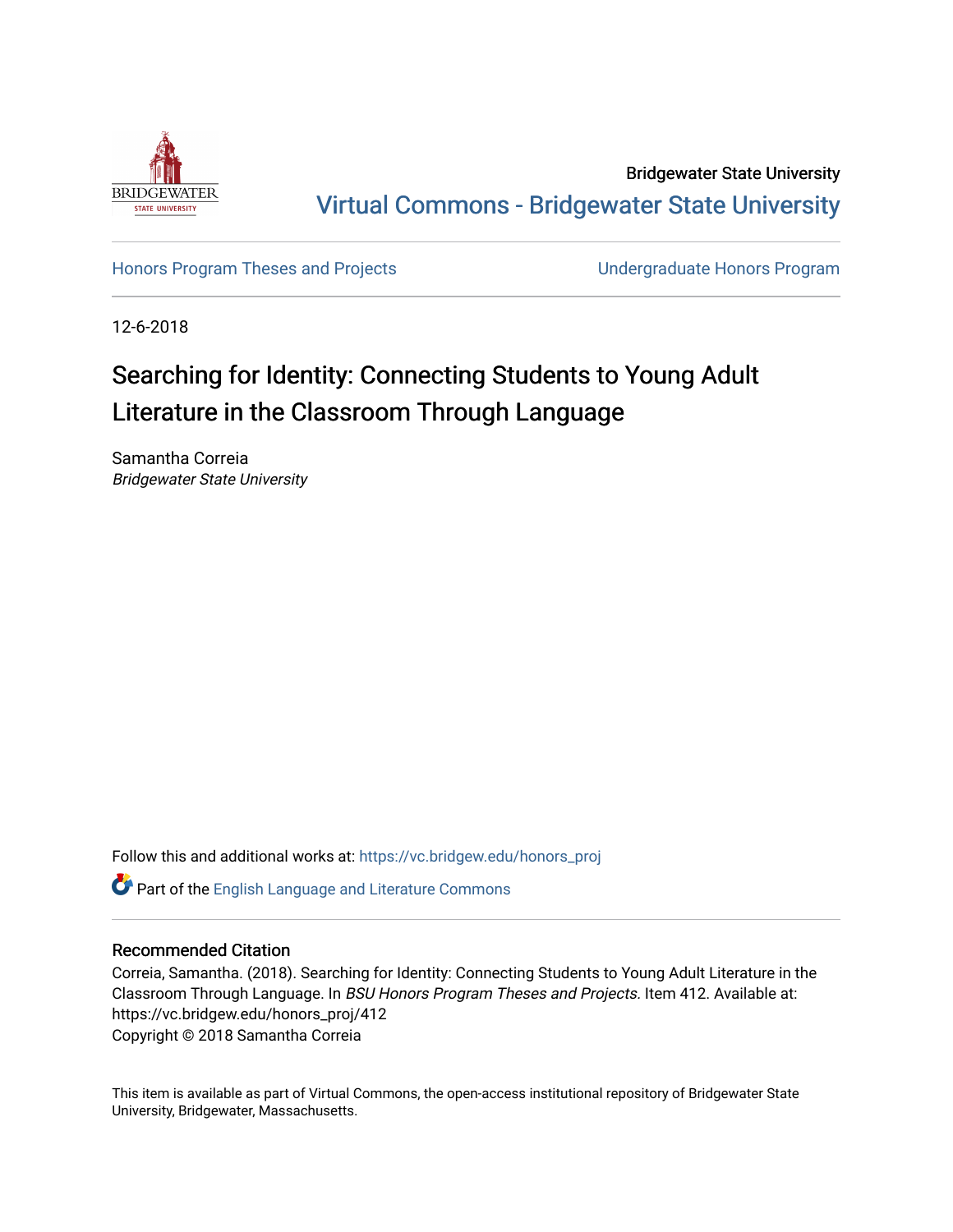

Bridgewater State University [Virtual Commons - Bridgewater State University](https://vc.bridgew.edu/) 

[Honors Program Theses and Projects](https://vc.bridgew.edu/honors_proj) [Undergraduate Honors Program](https://vc.bridgew.edu/honors) 

12-6-2018

# Searching for Identity: Connecting Students to Young Adult Literature in the Classroom Through Language

Samantha Correia Bridgewater State University

Follow this and additional works at: [https://vc.bridgew.edu/honors\\_proj](https://vc.bridgew.edu/honors_proj?utm_source=vc.bridgew.edu%2Fhonors_proj%2F412&utm_medium=PDF&utm_campaign=PDFCoverPages)

Part of the [English Language and Literature Commons](http://network.bepress.com/hgg/discipline/455?utm_source=vc.bridgew.edu%2Fhonors_proj%2F412&utm_medium=PDF&utm_campaign=PDFCoverPages)

## Recommended Citation

Correia, Samantha. (2018). Searching for Identity: Connecting Students to Young Adult Literature in the Classroom Through Language. In BSU Honors Program Theses and Projects. Item 412. Available at: https://vc.bridgew.edu/honors\_proj/412 Copyright © 2018 Samantha Correia

This item is available as part of Virtual Commons, the open-access institutional repository of Bridgewater State University, Bridgewater, Massachusetts.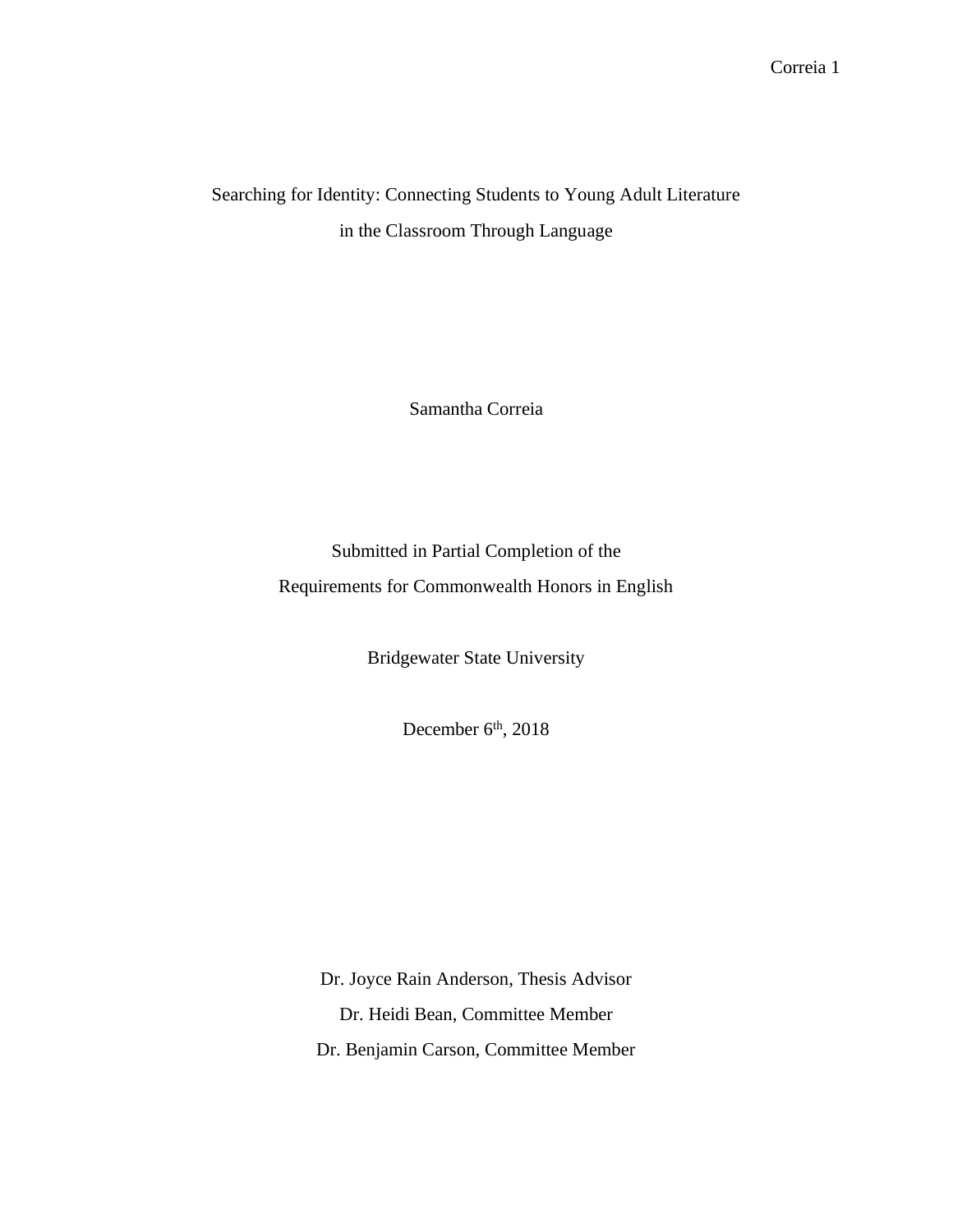## Searching for Identity: Connecting Students to Young Adult Literature in the Classroom Through Language

Samantha Correia

Submitted in Partial Completion of the Requirements for Commonwealth Honors in English

Bridgewater State University

December 6<sup>th</sup>, 2018

Dr. Joyce Rain Anderson, Thesis Advisor Dr. Heidi Bean, Committee Member Dr. Benjamin Carson, Committee Member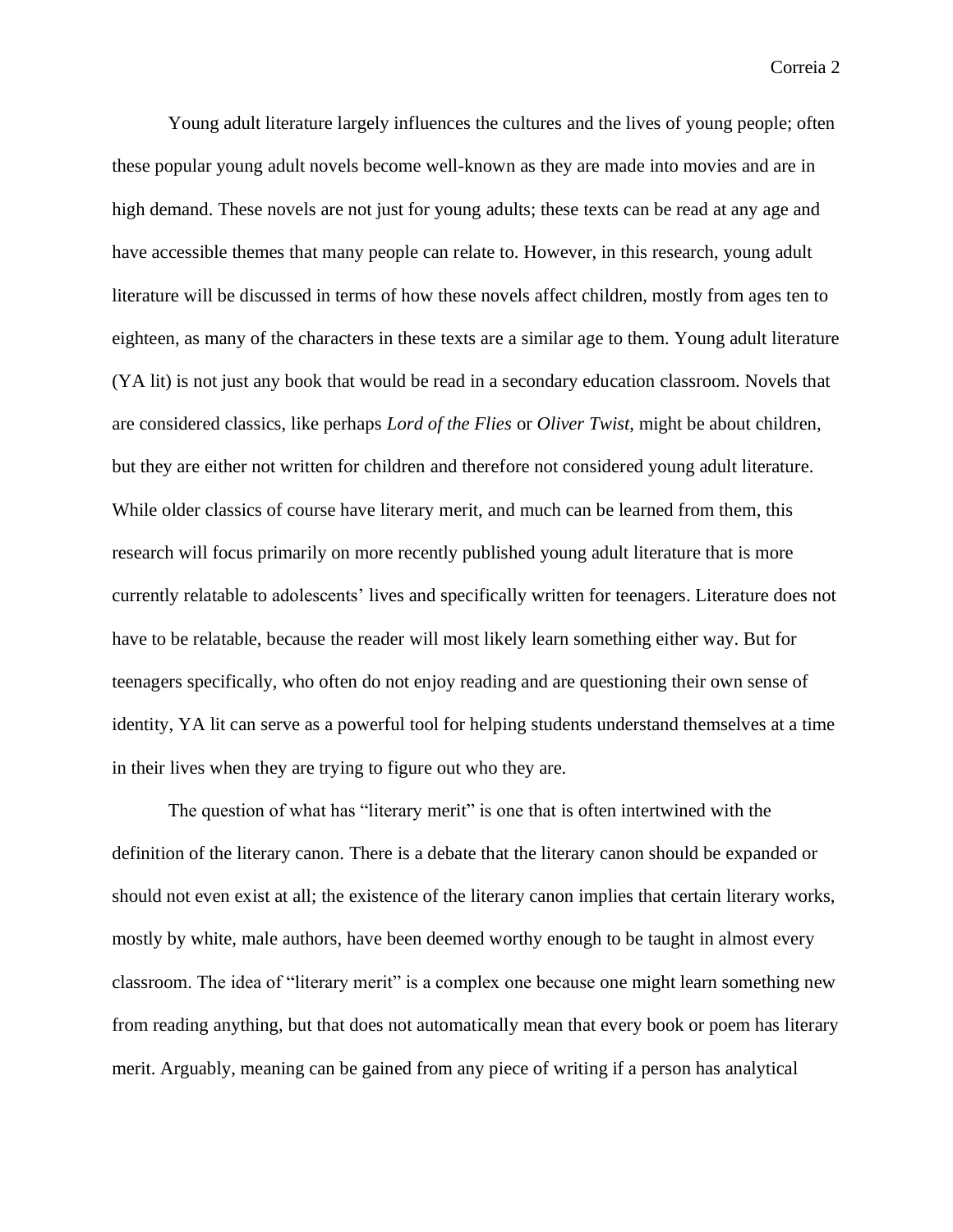Young adult literature largely influences the cultures and the lives of young people; often these popular young adult novels become well-known as they are made into movies and are in high demand. These novels are not just for young adults; these texts can be read at any age and have accessible themes that many people can relate to. However, in this research, young adult literature will be discussed in terms of how these novels affect children, mostly from ages ten to eighteen, as many of the characters in these texts are a similar age to them. Young adult literature (YA lit) is not just any book that would be read in a secondary education classroom. Novels that are considered classics, like perhaps *Lord of the Flies* or *Oliver Twist*, might be about children, but they are either not written for children and therefore not considered young adult literature. While older classics of course have literary merit, and much can be learned from them, this research will focus primarily on more recently published young adult literature that is more currently relatable to adolescents' lives and specifically written for teenagers. Literature does not have to be relatable, because the reader will most likely learn something either way. But for teenagers specifically, who often do not enjoy reading and are questioning their own sense of identity, YA lit can serve as a powerful tool for helping students understand themselves at a time in their lives when they are trying to figure out who they are.

The question of what has "literary merit" is one that is often intertwined with the definition of the literary canon. There is a debate that the literary canon should be expanded or should not even exist at all; the existence of the literary canon implies that certain literary works, mostly by white, male authors, have been deemed worthy enough to be taught in almost every classroom. The idea of "literary merit" is a complex one because one might learn something new from reading anything, but that does not automatically mean that every book or poem has literary merit. Arguably, meaning can be gained from any piece of writing if a person has analytical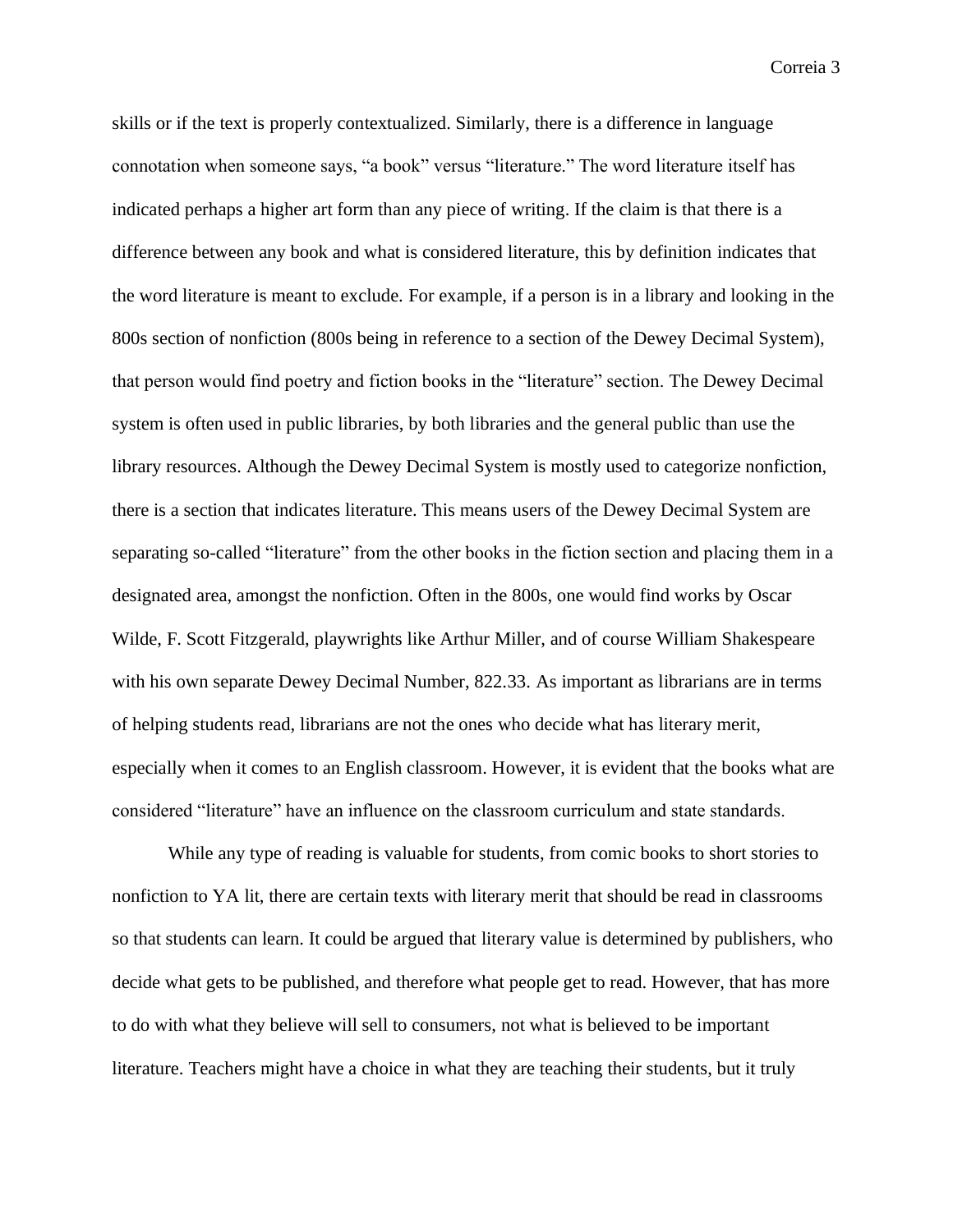skills or if the text is properly contextualized. Similarly, there is a difference in language connotation when someone says, "a book" versus "literature." The word literature itself has indicated perhaps a higher art form than any piece of writing. If the claim is that there is a difference between any book and what is considered literature, this by definition indicates that the word literature is meant to exclude. For example, if a person is in a library and looking in the 800s section of nonfiction (800s being in reference to a section of the Dewey Decimal System), that person would find poetry and fiction books in the "literature" section. The Dewey Decimal system is often used in public libraries, by both libraries and the general public than use the library resources. Although the Dewey Decimal System is mostly used to categorize nonfiction, there is a section that indicates literature. This means users of the Dewey Decimal System are separating so-called "literature" from the other books in the fiction section and placing them in a designated area, amongst the nonfiction. Often in the 800s, one would find works by Oscar Wilde, F. Scott Fitzgerald, playwrights like Arthur Miller, and of course William Shakespeare with his own separate Dewey Decimal Number, 822.33. As important as librarians are in terms of helping students read, librarians are not the ones who decide what has literary merit, especially when it comes to an English classroom. However, it is evident that the books what are considered "literature" have an influence on the classroom curriculum and state standards.

While any type of reading is valuable for students, from comic books to short stories to nonfiction to YA lit, there are certain texts with literary merit that should be read in classrooms so that students can learn. It could be argued that literary value is determined by publishers, who decide what gets to be published, and therefore what people get to read. However, that has more to do with what they believe will sell to consumers, not what is believed to be important literature. Teachers might have a choice in what they are teaching their students, but it truly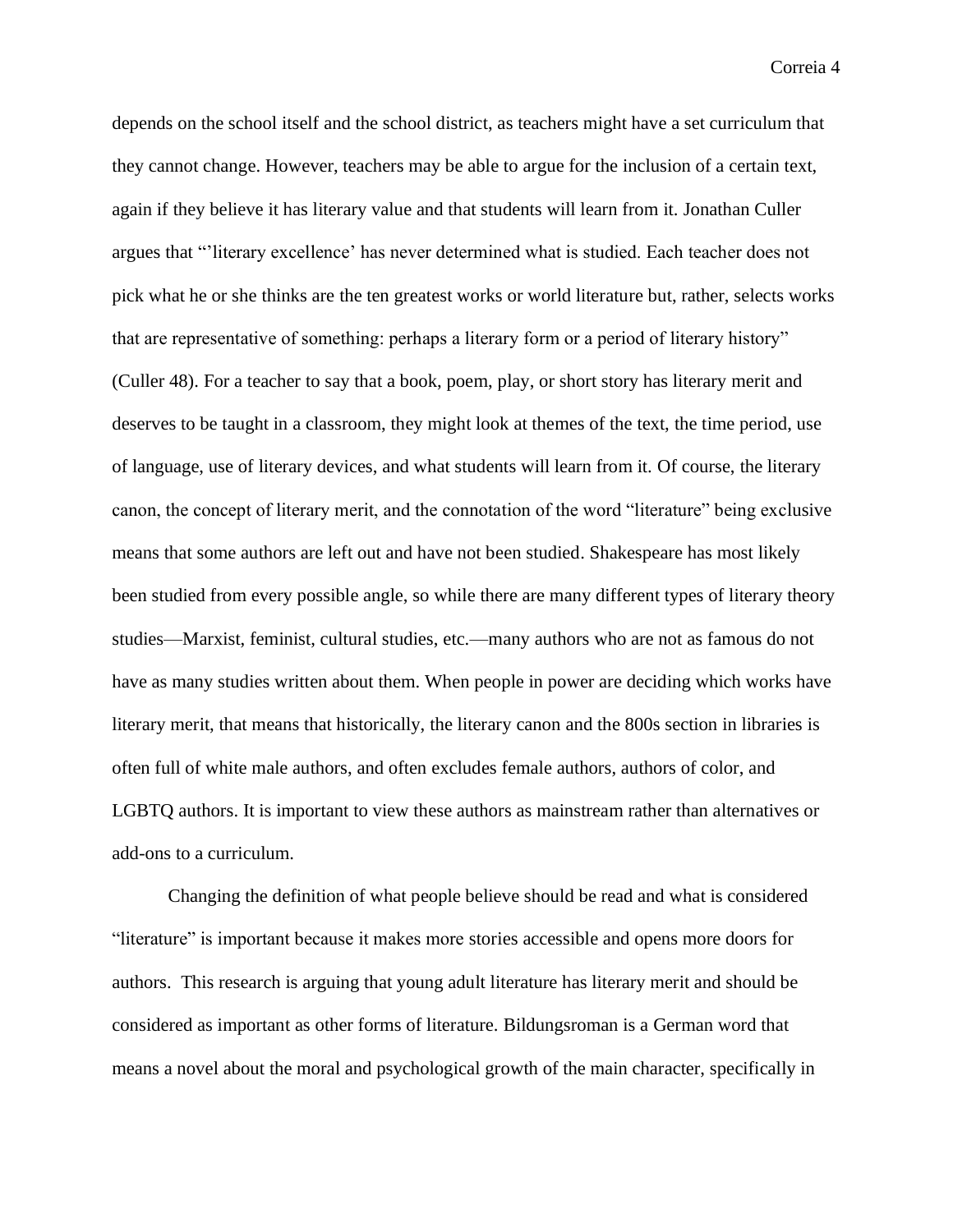depends on the school itself and the school district, as teachers might have a set curriculum that they cannot change. However, teachers may be able to argue for the inclusion of a certain text, again if they believe it has literary value and that students will learn from it. Jonathan Culler argues that "'literary excellence' has never determined what is studied. Each teacher does not pick what he or she thinks are the ten greatest works or world literature but, rather, selects works that are representative of something: perhaps a literary form or a period of literary history" (Culler 48). For a teacher to say that a book, poem, play, or short story has literary merit and deserves to be taught in a classroom, they might look at themes of the text, the time period, use of language, use of literary devices, and what students will learn from it. Of course, the literary canon, the concept of literary merit, and the connotation of the word "literature" being exclusive means that some authors are left out and have not been studied. Shakespeare has most likely been studied from every possible angle, so while there are many different types of literary theory studies—Marxist, feminist, cultural studies, etc.—many authors who are not as famous do not have as many studies written about them. When people in power are deciding which works have literary merit, that means that historically, the literary canon and the 800s section in libraries is often full of white male authors, and often excludes female authors, authors of color, and LGBTQ authors. It is important to view these authors as mainstream rather than alternatives or add-ons to a curriculum.

Changing the definition of what people believe should be read and what is considered "literature" is important because it makes more stories accessible and opens more doors for authors. This research is arguing that young adult literature has literary merit and should be considered as important as other forms of literature. Bildungsroman is a German word that means a novel about the moral and psychological growth of the main character, specifically in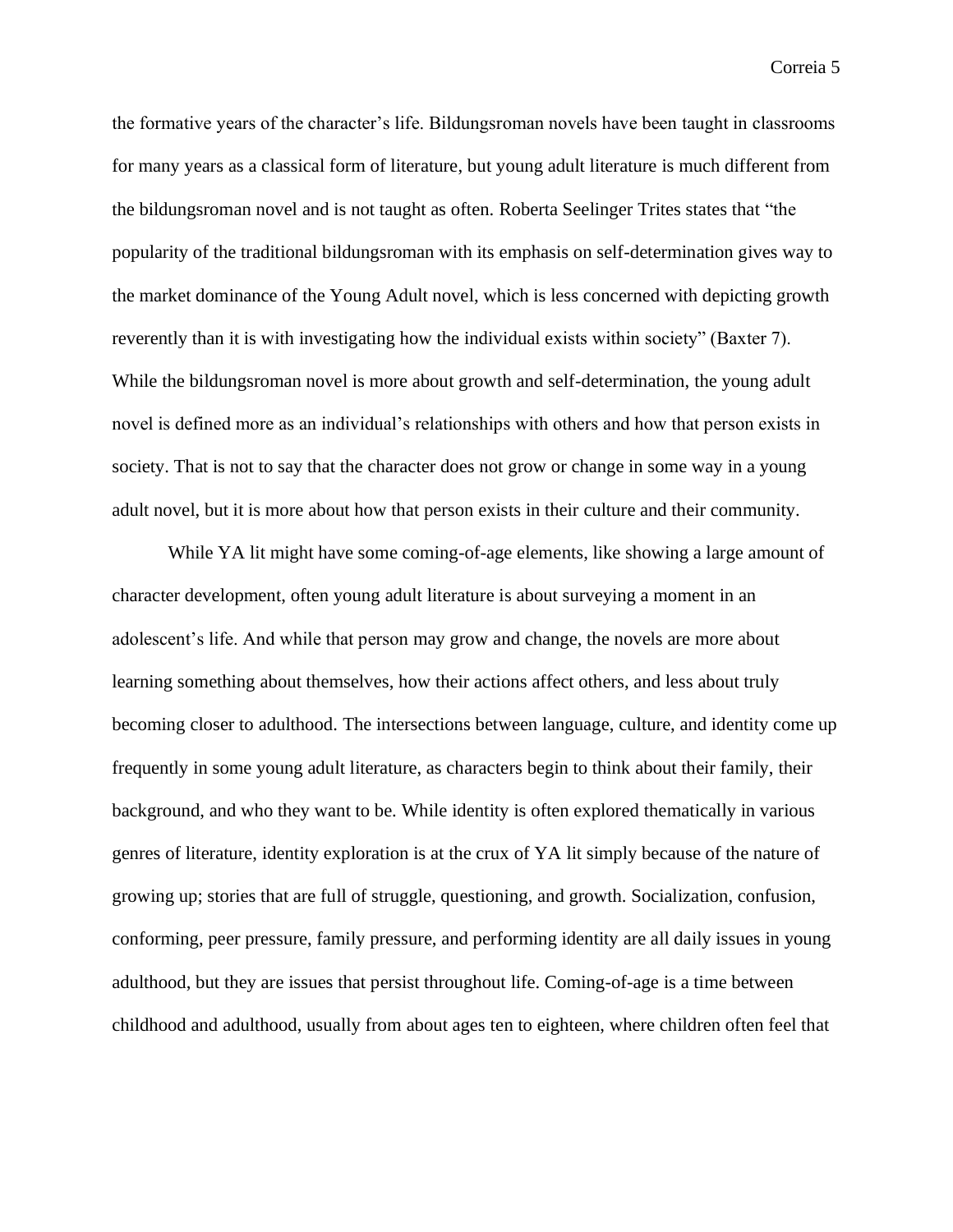the formative years of the character's life. Bildungsroman novels have been taught in classrooms for many years as a classical form of literature, but young adult literature is much different from the bildungsroman novel and is not taught as often. Roberta Seelinger Trites states that "the popularity of the traditional bildungsroman with its emphasis on self-determination gives way to the market dominance of the Young Adult novel, which is less concerned with depicting growth reverently than it is with investigating how the individual exists within society" (Baxter 7). While the bildungsroman novel is more about growth and self-determination, the young adult novel is defined more as an individual's relationships with others and how that person exists in society. That is not to say that the character does not grow or change in some way in a young adult novel, but it is more about how that person exists in their culture and their community.

While YA lit might have some coming-of-age elements, like showing a large amount of character development, often young adult literature is about surveying a moment in an adolescent's life. And while that person may grow and change, the novels are more about learning something about themselves, how their actions affect others, and less about truly becoming closer to adulthood. The intersections between language, culture, and identity come up frequently in some young adult literature, as characters begin to think about their family, their background, and who they want to be. While identity is often explored thematically in various genres of literature, identity exploration is at the crux of YA lit simply because of the nature of growing up; stories that are full of struggle, questioning, and growth. Socialization, confusion, conforming, peer pressure, family pressure, and performing identity are all daily issues in young adulthood, but they are issues that persist throughout life. Coming-of-age is a time between childhood and adulthood, usually from about ages ten to eighteen, where children often feel that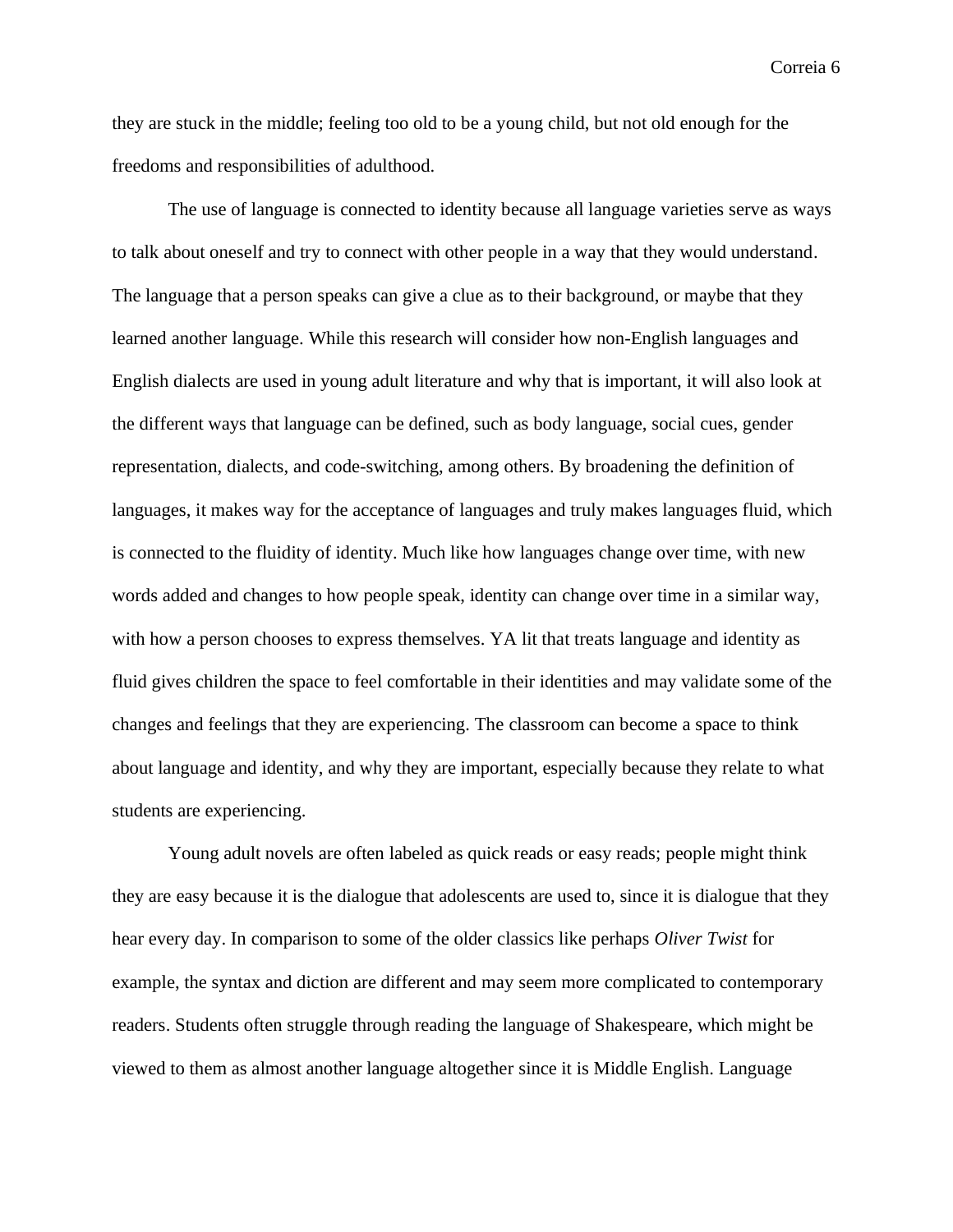they are stuck in the middle; feeling too old to be a young child, but not old enough for the freedoms and responsibilities of adulthood.

The use of language is connected to identity because all language varieties serve as ways to talk about oneself and try to connect with other people in a way that they would understand. The language that a person speaks can give a clue as to their background, or maybe that they learned another language. While this research will consider how non-English languages and English dialects are used in young adult literature and why that is important, it will also look at the different ways that language can be defined, such as body language, social cues, gender representation, dialects, and code-switching, among others. By broadening the definition of languages, it makes way for the acceptance of languages and truly makes languages fluid, which is connected to the fluidity of identity. Much like how languages change over time, with new words added and changes to how people speak, identity can change over time in a similar way, with how a person chooses to express themselves. YA lit that treats language and identity as fluid gives children the space to feel comfortable in their identities and may validate some of the changes and feelings that they are experiencing. The classroom can become a space to think about language and identity, and why they are important, especially because they relate to what students are experiencing.

Young adult novels are often labeled as quick reads or easy reads; people might think they are easy because it is the dialogue that adolescents are used to, since it is dialogue that they hear every day. In comparison to some of the older classics like perhaps *Oliver Twist* for example, the syntax and diction are different and may seem more complicated to contemporary readers. Students often struggle through reading the language of Shakespeare, which might be viewed to them as almost another language altogether since it is Middle English. Language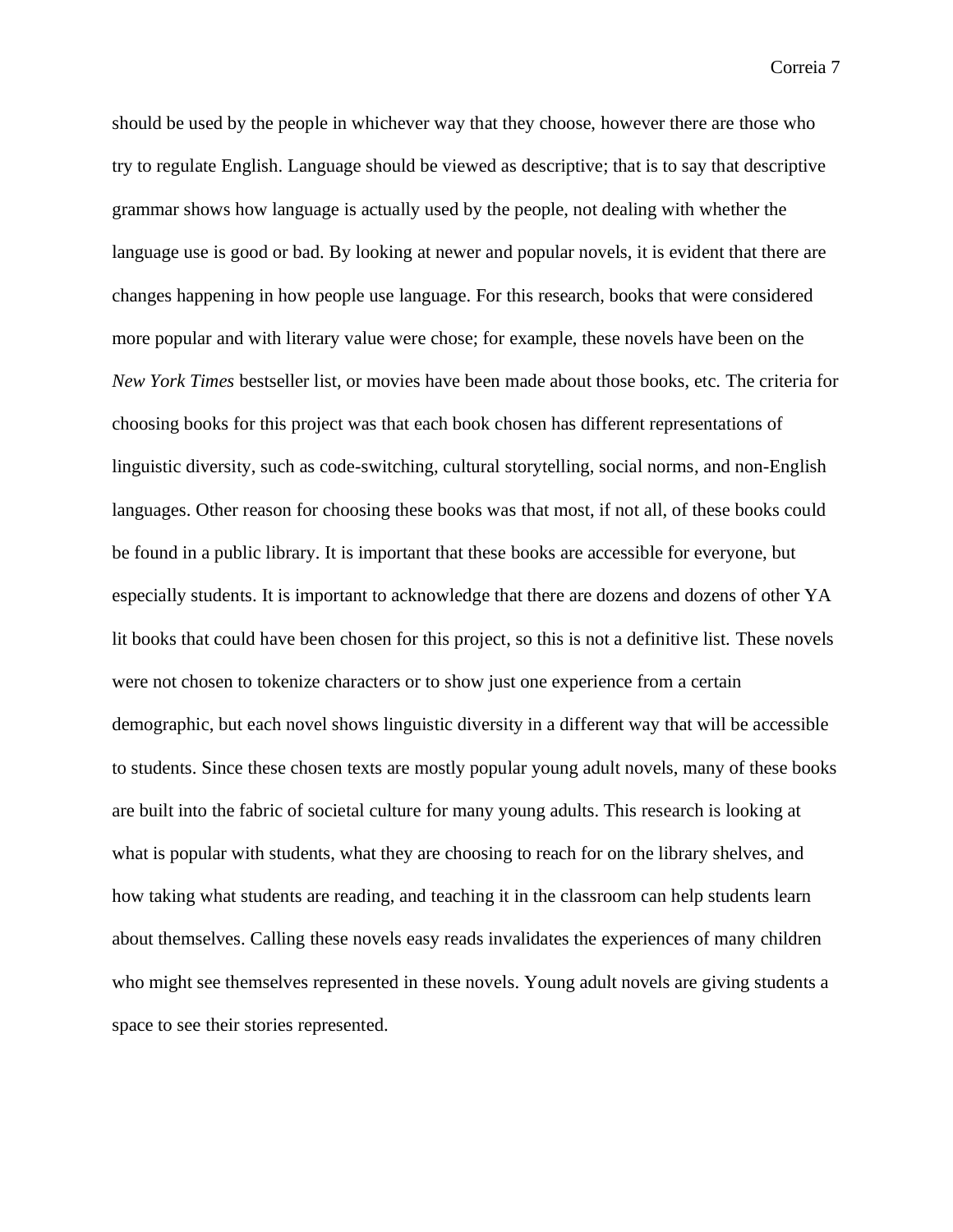should be used by the people in whichever way that they choose, however there are those who try to regulate English. Language should be viewed as descriptive; that is to say that descriptive grammar shows how language is actually used by the people, not dealing with whether the language use is good or bad. By looking at newer and popular novels, it is evident that there are changes happening in how people use language. For this research, books that were considered more popular and with literary value were chose; for example, these novels have been on the *New York Times* bestseller list, or movies have been made about those books, etc. The criteria for choosing books for this project was that each book chosen has different representations of linguistic diversity, such as code-switching, cultural storytelling, social norms, and non-English languages. Other reason for choosing these books was that most, if not all, of these books could be found in a public library. It is important that these books are accessible for everyone, but especially students. It is important to acknowledge that there are dozens and dozens of other YA lit books that could have been chosen for this project, so this is not a definitive list. These novels were not chosen to tokenize characters or to show just one experience from a certain demographic, but each novel shows linguistic diversity in a different way that will be accessible to students. Since these chosen texts are mostly popular young adult novels, many of these books are built into the fabric of societal culture for many young adults. This research is looking at what is popular with students, what they are choosing to reach for on the library shelves, and how taking what students are reading, and teaching it in the classroom can help students learn about themselves. Calling these novels easy reads invalidates the experiences of many children who might see themselves represented in these novels. Young adult novels are giving students a space to see their stories represented.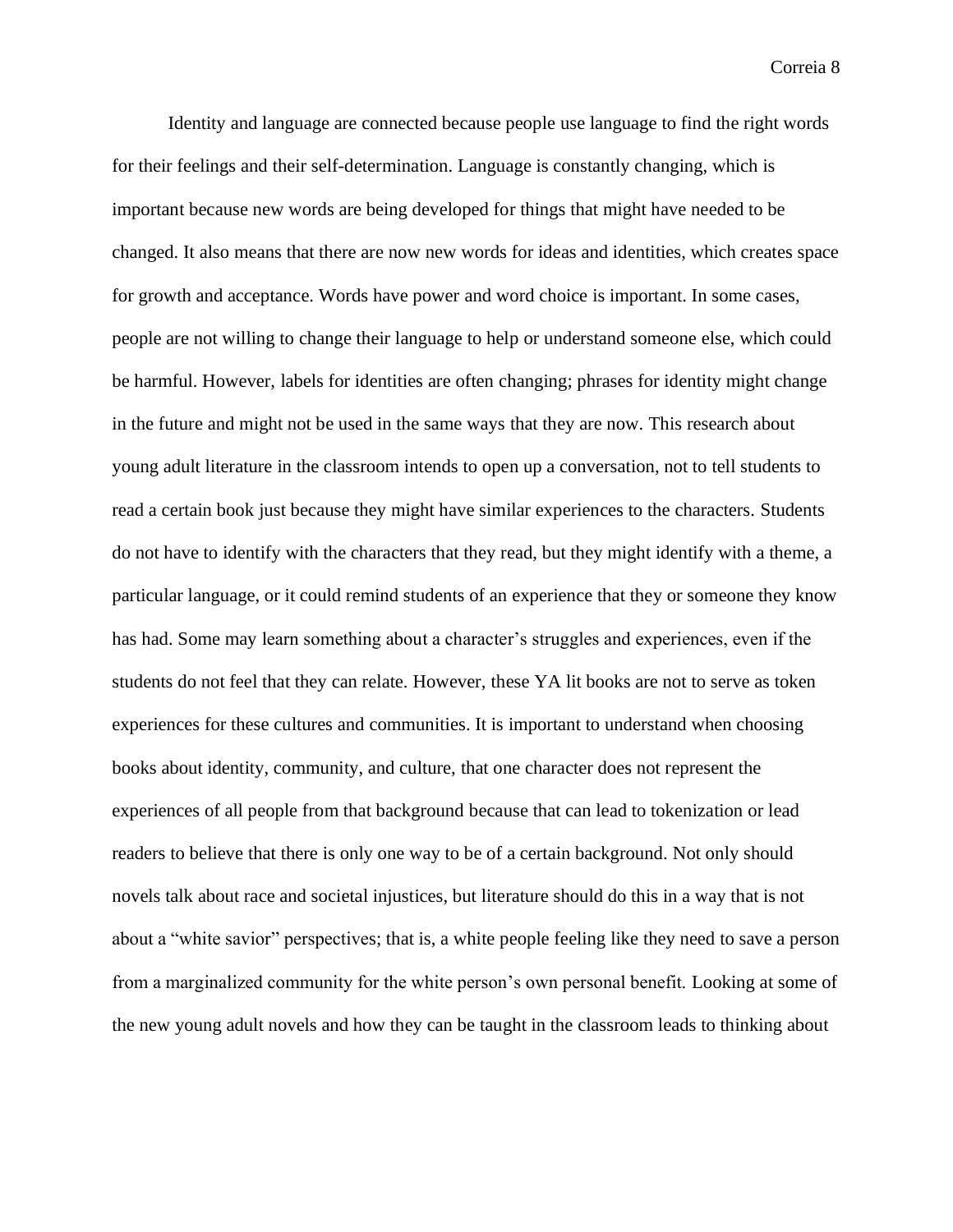Identity and language are connected because people use language to find the right words for their feelings and their self-determination. Language is constantly changing, which is important because new words are being developed for things that might have needed to be changed. It also means that there are now new words for ideas and identities, which creates space for growth and acceptance. Words have power and word choice is important. In some cases, people are not willing to change their language to help or understand someone else, which could be harmful. However, labels for identities are often changing; phrases for identity might change in the future and might not be used in the same ways that they are now. This research about young adult literature in the classroom intends to open up a conversation, not to tell students to read a certain book just because they might have similar experiences to the characters. Students do not have to identify with the characters that they read, but they might identify with a theme, a particular language, or it could remind students of an experience that they or someone they know has had. Some may learn something about a character's struggles and experiences, even if the students do not feel that they can relate. However, these YA lit books are not to serve as token experiences for these cultures and communities. It is important to understand when choosing books about identity, community, and culture, that one character does not represent the experiences of all people from that background because that can lead to tokenization or lead readers to believe that there is only one way to be of a certain background. Not only should novels talk about race and societal injustices, but literature should do this in a way that is not about a "white savior" perspectives; that is, a white people feeling like they need to save a person from a marginalized community for the white person's own personal benefit. Looking at some of the new young adult novels and how they can be taught in the classroom leads to thinking about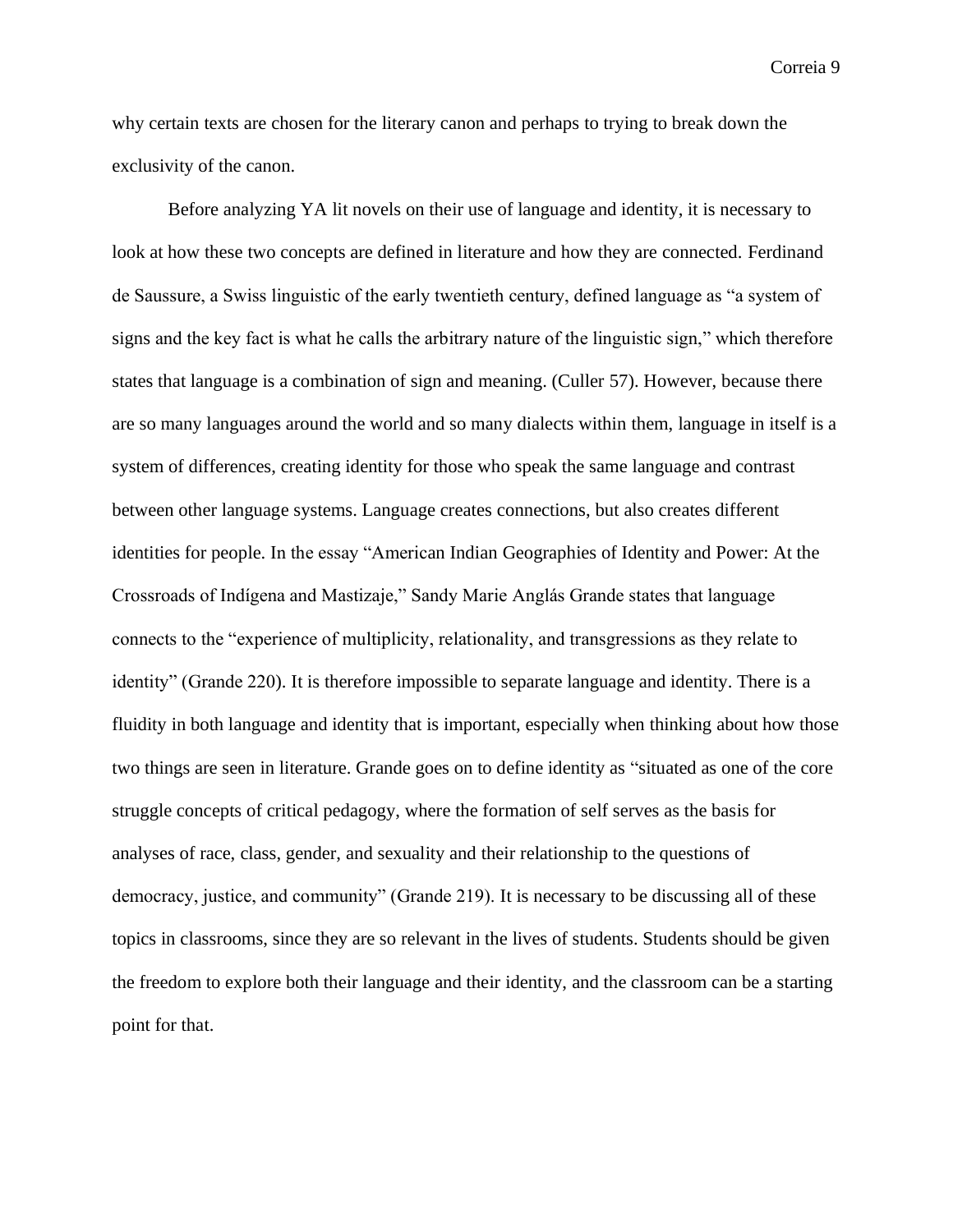why certain texts are chosen for the literary canon and perhaps to trying to break down the exclusivity of the canon.

Before analyzing YA lit novels on their use of language and identity, it is necessary to look at how these two concepts are defined in literature and how they are connected. Ferdinand de Saussure, a Swiss linguistic of the early twentieth century, defined language as "a system of signs and the key fact is what he calls the arbitrary nature of the linguistic sign," which therefore states that language is a combination of sign and meaning. (Culler 57). However, because there are so many languages around the world and so many dialects within them, language in itself is a system of differences, creating identity for those who speak the same language and contrast between other language systems. Language creates connections, but also creates different identities for people. In the essay "American Indian Geographies of Identity and Power: At the Crossroads of Indígena and Mastizaje," Sandy Marie Anglás Grande states that language connects to the "experience of multiplicity, relationality, and transgressions as they relate to identity" (Grande 220). It is therefore impossible to separate language and identity. There is a fluidity in both language and identity that is important, especially when thinking about how those two things are seen in literature. Grande goes on to define identity as "situated as one of the core struggle concepts of critical pedagogy, where the formation of self serves as the basis for analyses of race, class, gender, and sexuality and their relationship to the questions of democracy, justice, and community" (Grande 219). It is necessary to be discussing all of these topics in classrooms, since they are so relevant in the lives of students. Students should be given the freedom to explore both their language and their identity, and the classroom can be a starting point for that.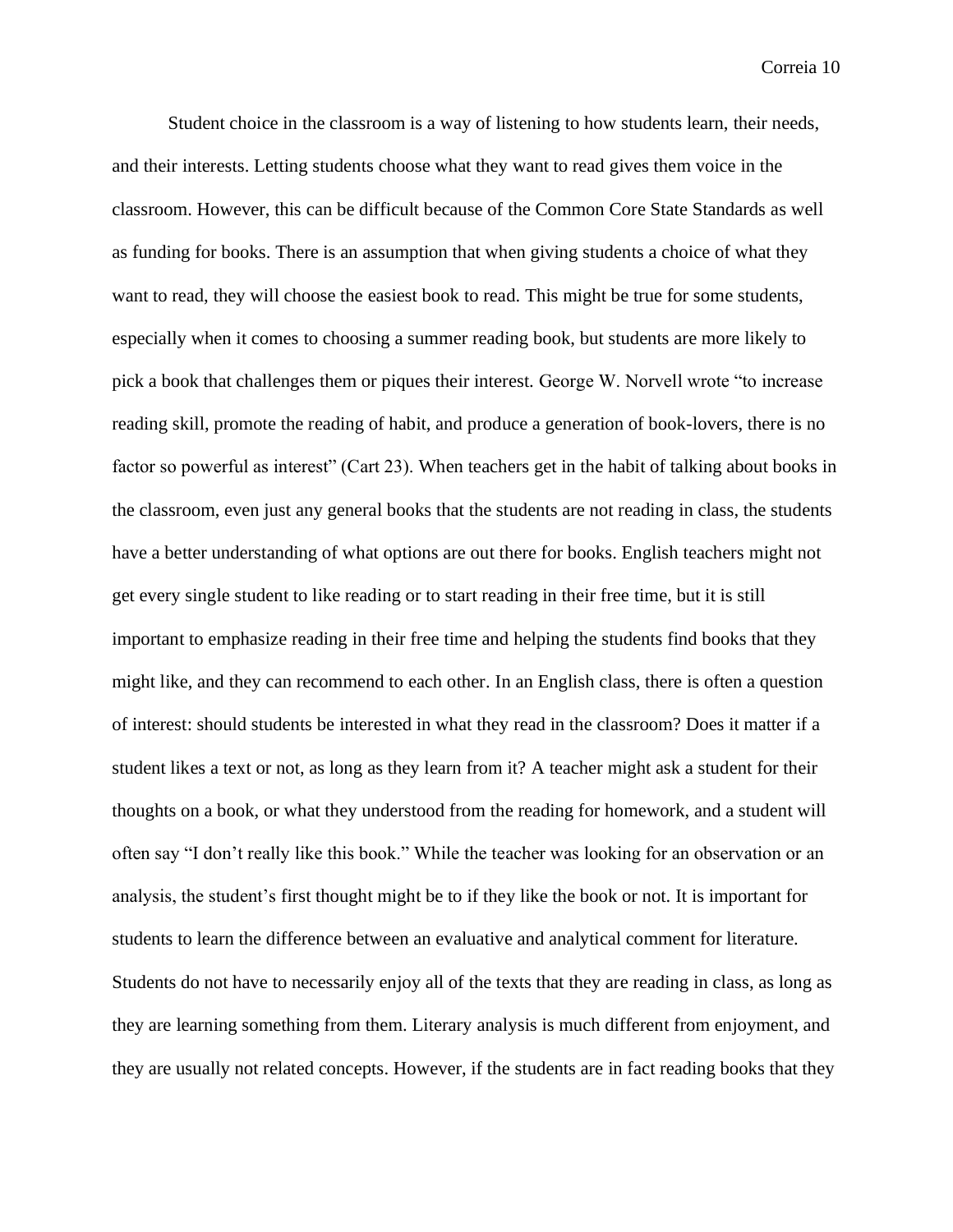Student choice in the classroom is a way of listening to how students learn, their needs, and their interests. Letting students choose what they want to read gives them voice in the classroom. However, this can be difficult because of the Common Core State Standards as well as funding for books. There is an assumption that when giving students a choice of what they want to read, they will choose the easiest book to read. This might be true for some students, especially when it comes to choosing a summer reading book, but students are more likely to pick a book that challenges them or piques their interest. George W. Norvell wrote "to increase reading skill, promote the reading of habit, and produce a generation of book-lovers, there is no factor so powerful as interest" (Cart 23). When teachers get in the habit of talking about books in the classroom, even just any general books that the students are not reading in class, the students have a better understanding of what options are out there for books. English teachers might not get every single student to like reading or to start reading in their free time, but it is still important to emphasize reading in their free time and helping the students find books that they might like, and they can recommend to each other. In an English class, there is often a question of interest: should students be interested in what they read in the classroom? Does it matter if a student likes a text or not, as long as they learn from it? A teacher might ask a student for their thoughts on a book, or what they understood from the reading for homework, and a student will often say "I don't really like this book." While the teacher was looking for an observation or an analysis, the student's first thought might be to if they like the book or not. It is important for students to learn the difference between an evaluative and analytical comment for literature. Students do not have to necessarily enjoy all of the texts that they are reading in class, as long as they are learning something from them. Literary analysis is much different from enjoyment, and they are usually not related concepts. However, if the students are in fact reading books that they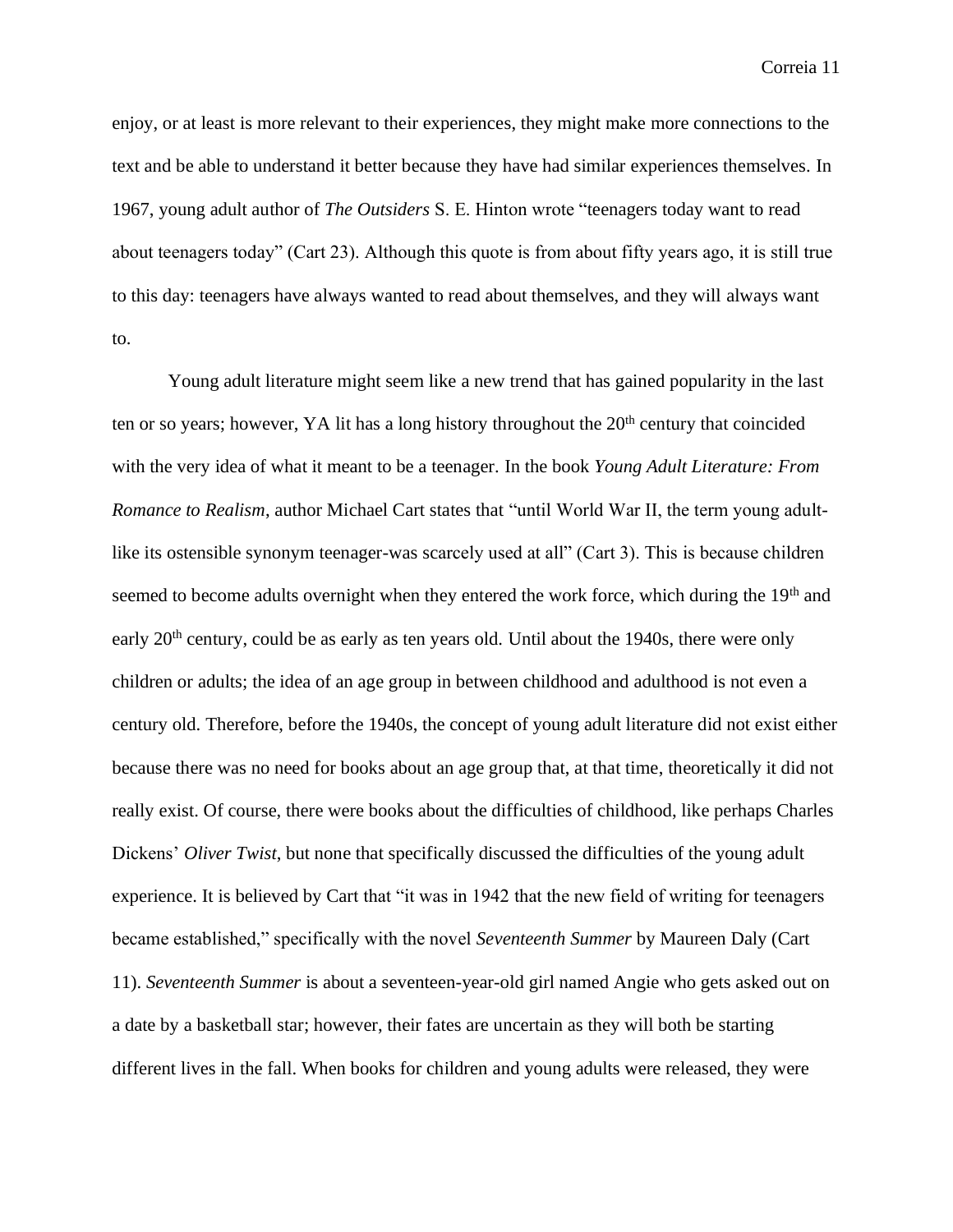enjoy, or at least is more relevant to their experiences, they might make more connections to the text and be able to understand it better because they have had similar experiences themselves. In 1967, young adult author of *The Outsiders* S. E. Hinton wrote "teenagers today want to read about teenagers today" (Cart 23). Although this quote is from about fifty years ago, it is still true to this day: teenagers have always wanted to read about themselves, and they will always want to.

Young adult literature might seem like a new trend that has gained popularity in the last ten or so years; however, YA lit has a long history throughout the  $20<sup>th</sup>$  century that coincided with the very idea of what it meant to be a teenager. In the book *Young Adult Literature: From Romance to Realism*, author Michael Cart states that "until World War II, the term young adultlike its ostensible synonym teenager-was scarcely used at all" (Cart 3). This is because children seemed to become adults overnight when they entered the work force, which during the 19<sup>th</sup> and early 20<sup>th</sup> century, could be as early as ten years old. Until about the 1940s, there were only children or adults; the idea of an age group in between childhood and adulthood is not even a century old. Therefore, before the 1940s, the concept of young adult literature did not exist either because there was no need for books about an age group that, at that time, theoretically it did not really exist. Of course, there were books about the difficulties of childhood, like perhaps Charles Dickens' *Oliver Twist*, but none that specifically discussed the difficulties of the young adult experience. It is believed by Cart that "it was in 1942 that the new field of writing for teenagers became established," specifically with the novel *Seventeenth Summer* by Maureen Daly (Cart 11). *Seventeenth Summer* is about a seventeen-year-old girl named Angie who gets asked out on a date by a basketball star; however, their fates are uncertain as they will both be starting different lives in the fall. When books for children and young adults were released, they were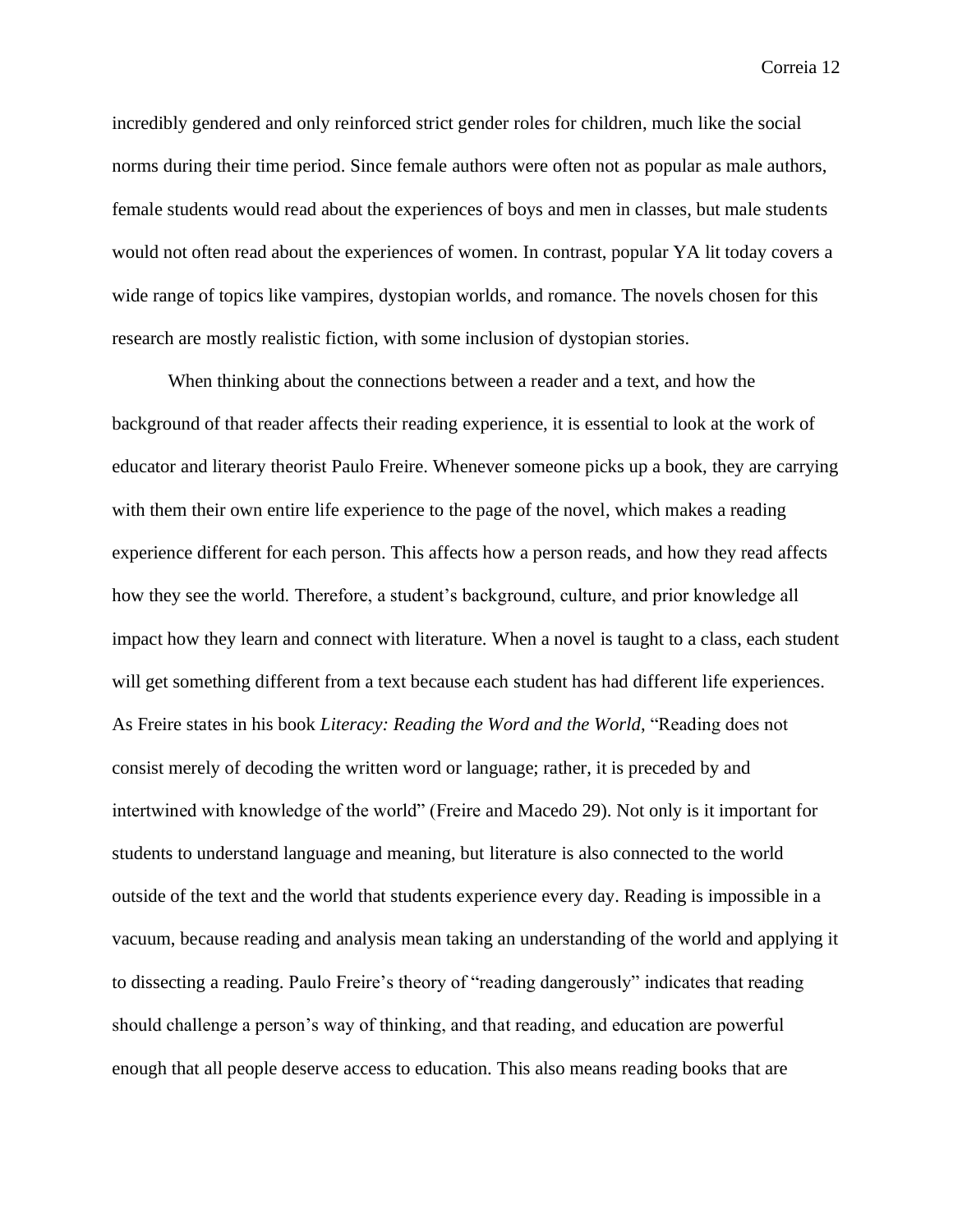incredibly gendered and only reinforced strict gender roles for children, much like the social norms during their time period. Since female authors were often not as popular as male authors, female students would read about the experiences of boys and men in classes, but male students would not often read about the experiences of women. In contrast, popular YA lit today covers a wide range of topics like vampires, dystopian worlds, and romance. The novels chosen for this research are mostly realistic fiction, with some inclusion of dystopian stories.

When thinking about the connections between a reader and a text, and how the background of that reader affects their reading experience, it is essential to look at the work of educator and literary theorist Paulo Freire. Whenever someone picks up a book, they are carrying with them their own entire life experience to the page of the novel, which makes a reading experience different for each person. This affects how a person reads, and how they read affects how they see the world. Therefore, a student's background, culture, and prior knowledge all impact how they learn and connect with literature. When a novel is taught to a class, each student will get something different from a text because each student has had different life experiences. As Freire states in his book *Literacy: Reading the Word and the World*, "Reading does not consist merely of decoding the written word or language; rather, it is preceded by and intertwined with knowledge of the world" (Freire and Macedo 29). Not only is it important for students to understand language and meaning, but literature is also connected to the world outside of the text and the world that students experience every day. Reading is impossible in a vacuum, because reading and analysis mean taking an understanding of the world and applying it to dissecting a reading. Paulo Freire's theory of "reading dangerously" indicates that reading should challenge a person's way of thinking, and that reading, and education are powerful enough that all people deserve access to education. This also means reading books that are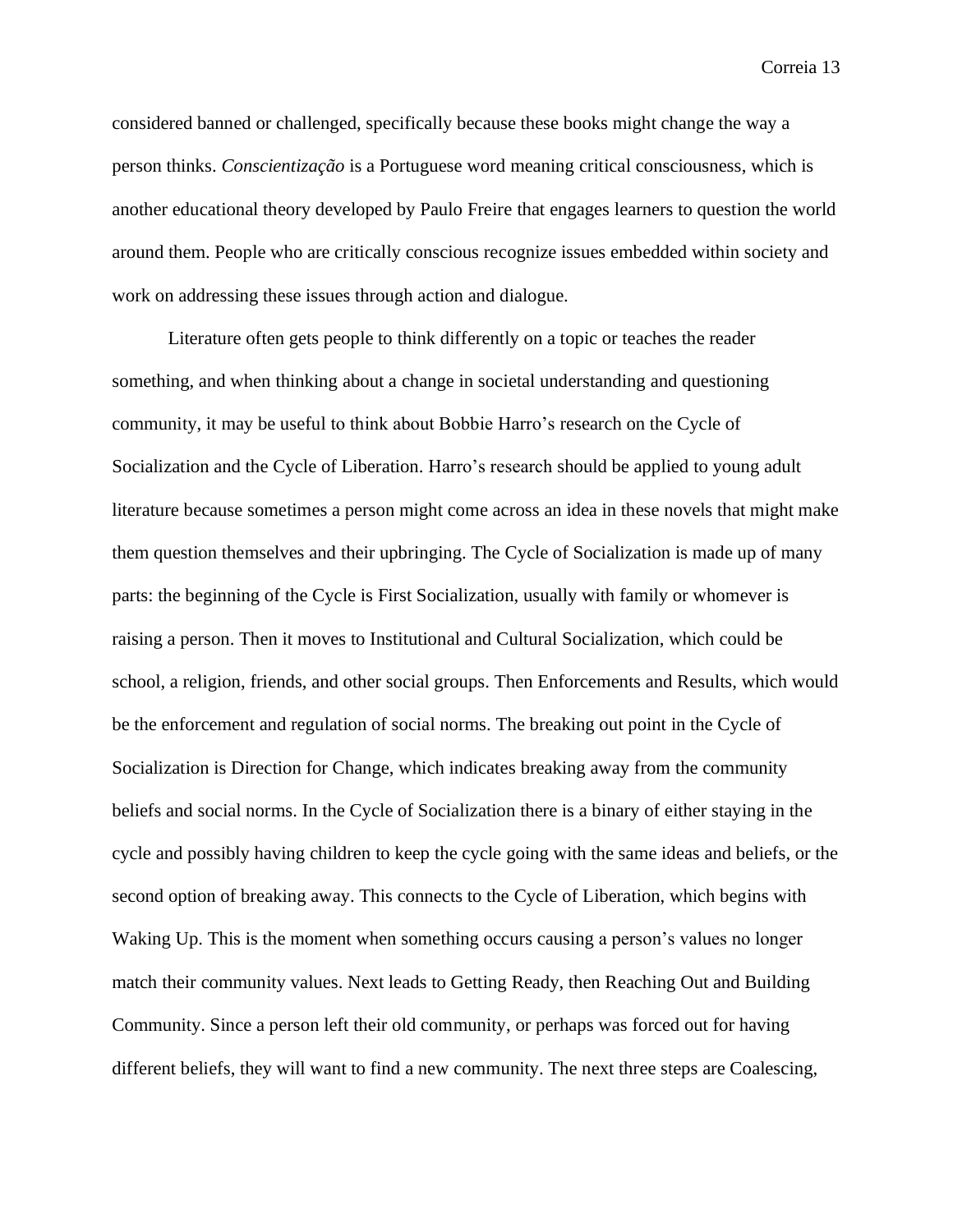considered banned or challenged, specifically because these books might change the way a person thinks. *Conscientização* is a Portuguese word meaning critical consciousness, which is another educational theory developed by Paulo Freire that engages learners to question the world around them. People who are critically conscious recognize issues embedded within society and work on addressing these issues through action and dialogue.

Literature often gets people to think differently on a topic or teaches the reader something, and when thinking about a change in societal understanding and questioning community, it may be useful to think about Bobbie Harro's research on the Cycle of Socialization and the Cycle of Liberation. Harro's research should be applied to young adult literature because sometimes a person might come across an idea in these novels that might make them question themselves and their upbringing. The Cycle of Socialization is made up of many parts: the beginning of the Cycle is First Socialization, usually with family or whomever is raising a person. Then it moves to Institutional and Cultural Socialization, which could be school, a religion, friends, and other social groups. Then Enforcements and Results, which would be the enforcement and regulation of social norms. The breaking out point in the Cycle of Socialization is Direction for Change, which indicates breaking away from the community beliefs and social norms. In the Cycle of Socialization there is a binary of either staying in the cycle and possibly having children to keep the cycle going with the same ideas and beliefs, or the second option of breaking away. This connects to the Cycle of Liberation, which begins with Waking Up. This is the moment when something occurs causing a person's values no longer match their community values. Next leads to Getting Ready, then Reaching Out and Building Community. Since a person left their old community, or perhaps was forced out for having different beliefs, they will want to find a new community. The next three steps are Coalescing,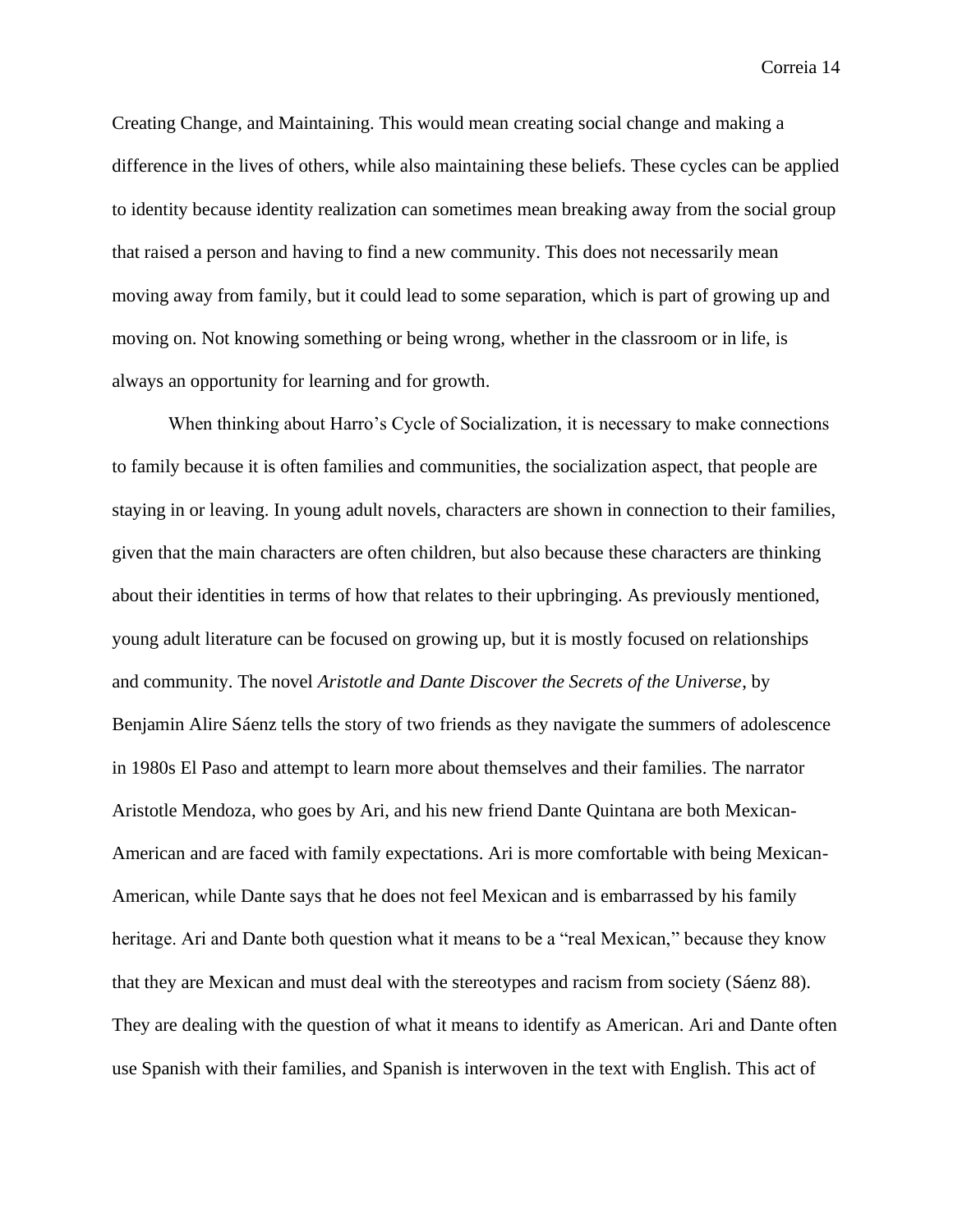Creating Change, and Maintaining. This would mean creating social change and making a difference in the lives of others, while also maintaining these beliefs. These cycles can be applied to identity because identity realization can sometimes mean breaking away from the social group that raised a person and having to find a new community. This does not necessarily mean moving away from family, but it could lead to some separation, which is part of growing up and moving on. Not knowing something or being wrong, whether in the classroom or in life, is always an opportunity for learning and for growth.

When thinking about Harro's Cycle of Socialization, it is necessary to make connections to family because it is often families and communities, the socialization aspect, that people are staying in or leaving. In young adult novels, characters are shown in connection to their families, given that the main characters are often children, but also because these characters are thinking about their identities in terms of how that relates to their upbringing. As previously mentioned, young adult literature can be focused on growing up, but it is mostly focused on relationships and community. The novel *Aristotle and Dante Discover the Secrets of the Universe*, by Benjamin Alire Sáenz tells the story of two friends as they navigate the summers of adolescence in 1980s El Paso and attempt to learn more about themselves and their families. The narrator Aristotle Mendoza, who goes by Ari, and his new friend Dante Quintana are both Mexican-American and are faced with family expectations. Ari is more comfortable with being Mexican-American, while Dante says that he does not feel Mexican and is embarrassed by his family heritage. Ari and Dante both question what it means to be a "real Mexican," because they know that they are Mexican and must deal with the stereotypes and racism from society (Sáenz 88). They are dealing with the question of what it means to identify as American. Ari and Dante often use Spanish with their families, and Spanish is interwoven in the text with English. This act of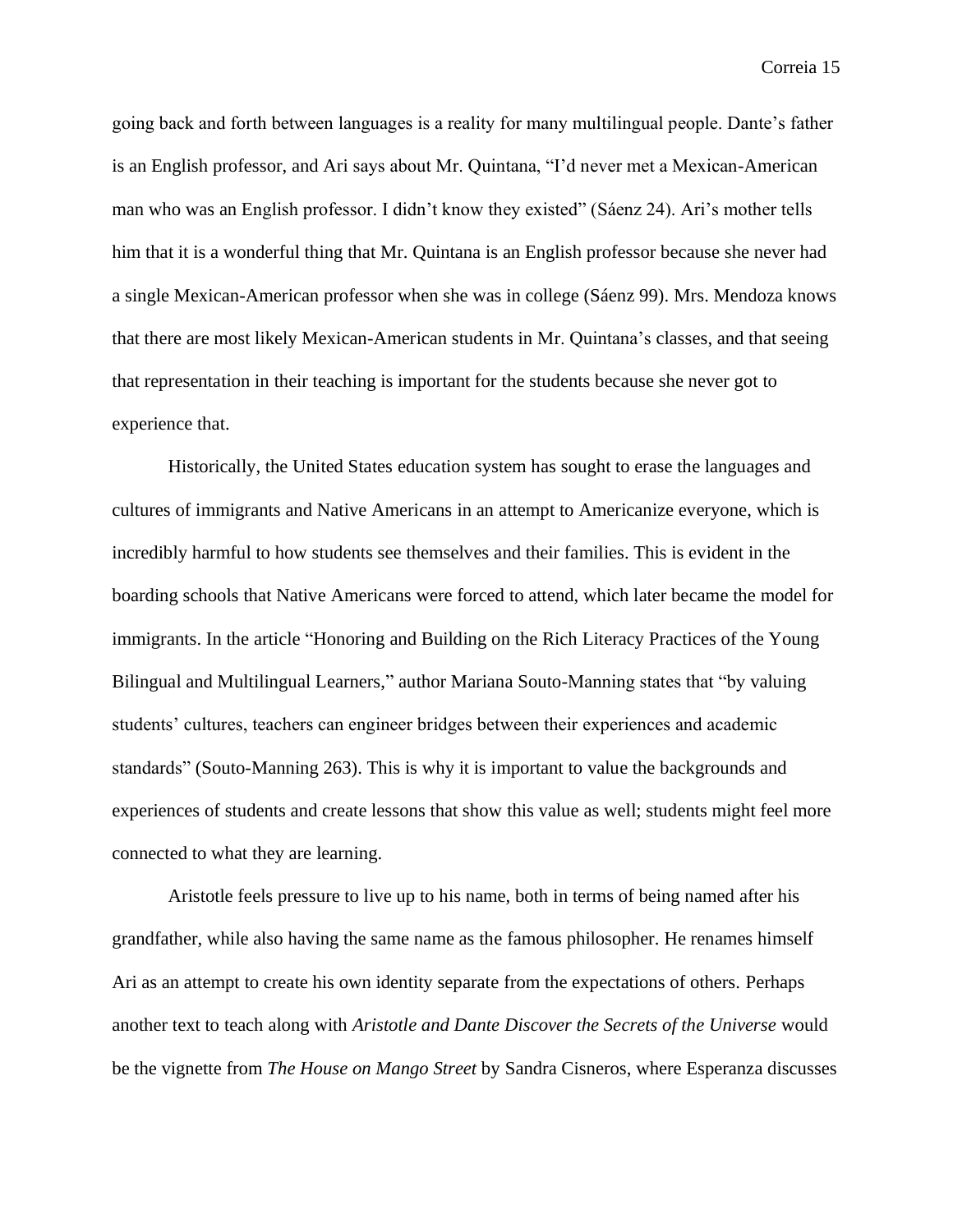going back and forth between languages is a reality for many multilingual people. Dante's father is an English professor, and Ari says about Mr. Quintana, "I'd never met a Mexican-American man who was an English professor. I didn't know they existed" (Sáenz 24). Ari's mother tells him that it is a wonderful thing that Mr. Quintana is an English professor because she never had a single Mexican-American professor when she was in college (Sáenz 99). Mrs. Mendoza knows that there are most likely Mexican-American students in Mr. Quintana's classes, and that seeing that representation in their teaching is important for the students because she never got to experience that.

Historically, the United States education system has sought to erase the languages and cultures of immigrants and Native Americans in an attempt to Americanize everyone, which is incredibly harmful to how students see themselves and their families. This is evident in the boarding schools that Native Americans were forced to attend, which later became the model for immigrants. In the article "Honoring and Building on the Rich Literacy Practices of the Young Bilingual and Multilingual Learners," author Mariana Souto-Manning states that "by valuing students' cultures, teachers can engineer bridges between their experiences and academic standards" (Souto-Manning 263). This is why it is important to value the backgrounds and experiences of students and create lessons that show this value as well; students might feel more connected to what they are learning.

Aristotle feels pressure to live up to his name, both in terms of being named after his grandfather, while also having the same name as the famous philosopher. He renames himself Ari as an attempt to create his own identity separate from the expectations of others. Perhaps another text to teach along with *Aristotle and Dante Discover the Secrets of the Universe* would be the vignette from *The House on Mango Street* by Sandra Cisneros, where Esperanza discusses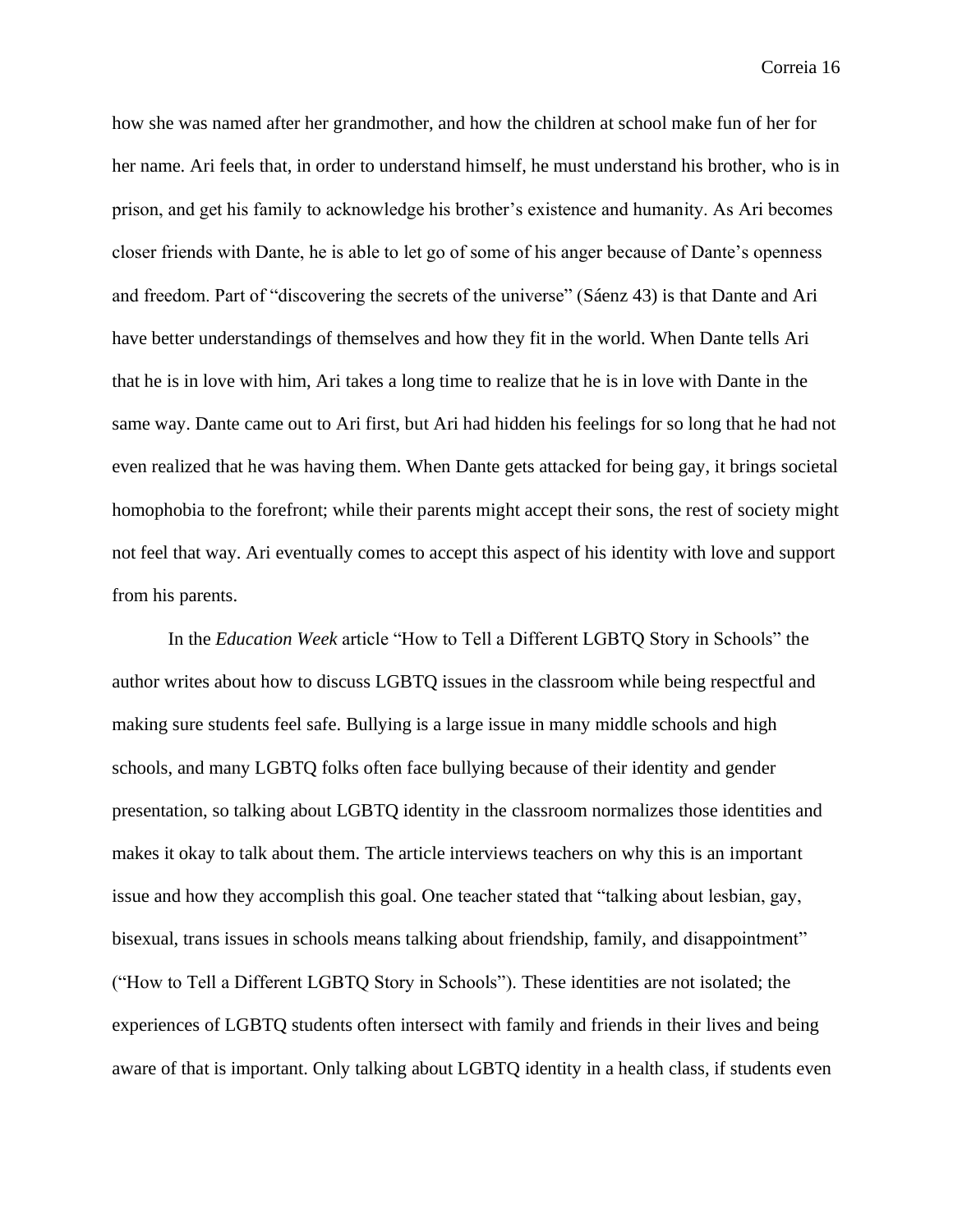how she was named after her grandmother, and how the children at school make fun of her for her name. Ari feels that, in order to understand himself, he must understand his brother, who is in prison, and get his family to acknowledge his brother's existence and humanity. As Ari becomes closer friends with Dante, he is able to let go of some of his anger because of Dante's openness and freedom. Part of "discovering the secrets of the universe" (Sáenz 43) is that Dante and Ari have better understandings of themselves and how they fit in the world. When Dante tells Ari that he is in love with him, Ari takes a long time to realize that he is in love with Dante in the same way. Dante came out to Ari first, but Ari had hidden his feelings for so long that he had not even realized that he was having them. When Dante gets attacked for being gay, it brings societal homophobia to the forefront; while their parents might accept their sons, the rest of society might not feel that way. Ari eventually comes to accept this aspect of his identity with love and support from his parents.

In the *Education Week* article "How to Tell a Different LGBTQ Story in Schools" the author writes about how to discuss LGBTQ issues in the classroom while being respectful and making sure students feel safe. Bullying is a large issue in many middle schools and high schools, and many LGBTQ folks often face bullying because of their identity and gender presentation, so talking about LGBTQ identity in the classroom normalizes those identities and makes it okay to talk about them. The article interviews teachers on why this is an important issue and how they accomplish this goal. One teacher stated that "talking about lesbian, gay, bisexual, trans issues in schools means talking about friendship, family, and disappointment" ("How to Tell a Different LGBTQ Story in Schools"). These identities are not isolated; the experiences of LGBTQ students often intersect with family and friends in their lives and being aware of that is important. Only talking about LGBTQ identity in a health class, if students even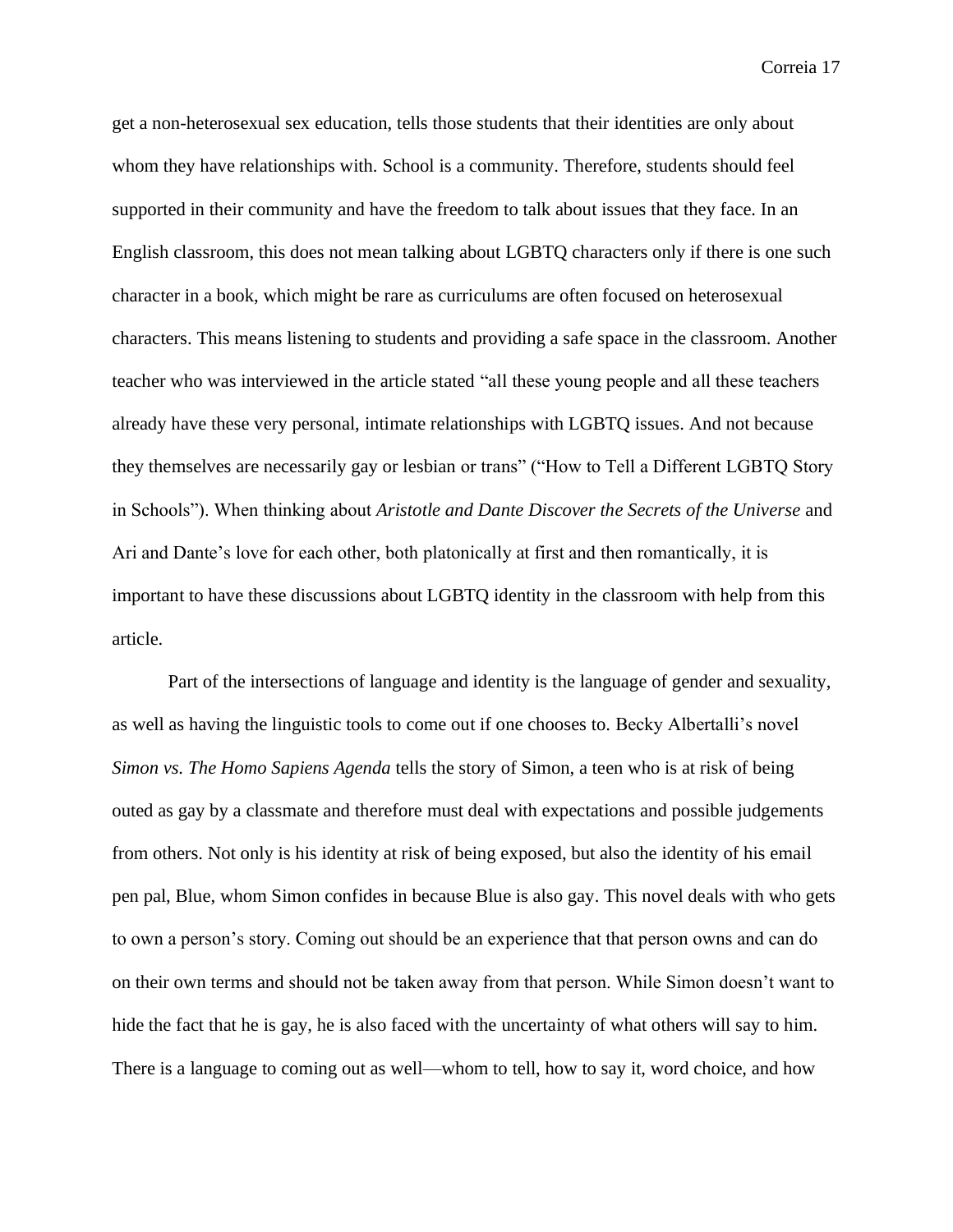get a non-heterosexual sex education, tells those students that their identities are only about whom they have relationships with. School is a community. Therefore, students should feel supported in their community and have the freedom to talk about issues that they face. In an English classroom, this does not mean talking about LGBTQ characters only if there is one such character in a book, which might be rare as curriculums are often focused on heterosexual characters. This means listening to students and providing a safe space in the classroom. Another teacher who was interviewed in the article stated "all these young people and all these teachers already have these very personal, intimate relationships with LGBTQ issues. And not because they themselves are necessarily gay or lesbian or trans" ("How to Tell a Different LGBTQ Story in Schools"). When thinking about *Aristotle and Dante Discover the Secrets of the Universe* and Ari and Dante's love for each other, both platonically at first and then romantically, it is important to have these discussions about LGBTQ identity in the classroom with help from this article.

Part of the intersections of language and identity is the language of gender and sexuality, as well as having the linguistic tools to come out if one chooses to. Becky Albertalli's novel *Simon vs. The Homo Sapiens Agenda* tells the story of Simon, a teen who is at risk of being outed as gay by a classmate and therefore must deal with expectations and possible judgements from others. Not only is his identity at risk of being exposed, but also the identity of his email pen pal, Blue, whom Simon confides in because Blue is also gay. This novel deals with who gets to own a person's story. Coming out should be an experience that that person owns and can do on their own terms and should not be taken away from that person. While Simon doesn't want to hide the fact that he is gay, he is also faced with the uncertainty of what others will say to him. There is a language to coming out as well—whom to tell, how to say it, word choice, and how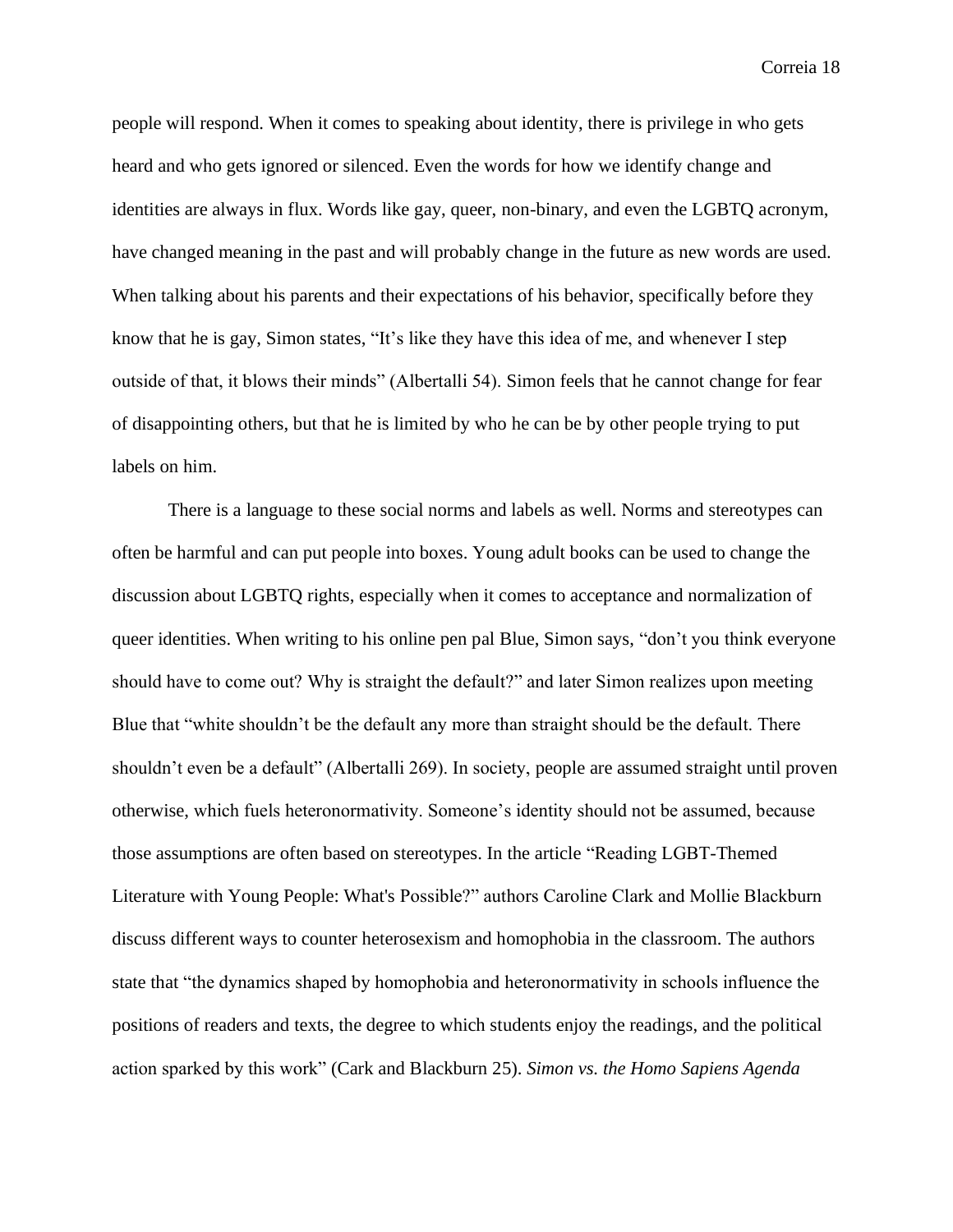people will respond. When it comes to speaking about identity, there is privilege in who gets heard and who gets ignored or silenced. Even the words for how we identify change and identities are always in flux. Words like gay, queer, non-binary, and even the LGBTQ acronym, have changed meaning in the past and will probably change in the future as new words are used. When talking about his parents and their expectations of his behavior, specifically before they know that he is gay, Simon states, "It's like they have this idea of me, and whenever I step outside of that, it blows their minds" (Albertalli 54). Simon feels that he cannot change for fear of disappointing others, but that he is limited by who he can be by other people trying to put labels on him.

There is a language to these social norms and labels as well. Norms and stereotypes can often be harmful and can put people into boxes. Young adult books can be used to change the discussion about LGBTQ rights, especially when it comes to acceptance and normalization of queer identities. When writing to his online pen pal Blue, Simon says, "don't you think everyone should have to come out? Why is straight the default?" and later Simon realizes upon meeting Blue that "white shouldn't be the default any more than straight should be the default. There shouldn't even be a default" (Albertalli 269). In society, people are assumed straight until proven otherwise, which fuels heteronormativity. Someone's identity should not be assumed, because those assumptions are often based on stereotypes. In the article "Reading LGBT-Themed Literature with Young People: What's Possible?" authors Caroline Clark and Mollie Blackburn discuss different ways to counter heterosexism and homophobia in the classroom. The authors state that "the dynamics shaped by homophobia and heteronormativity in schools influence the positions of readers and texts, the degree to which students enjoy the readings, and the political action sparked by this work" (Cark and Blackburn 25). *Simon vs. the Homo Sapiens Agenda*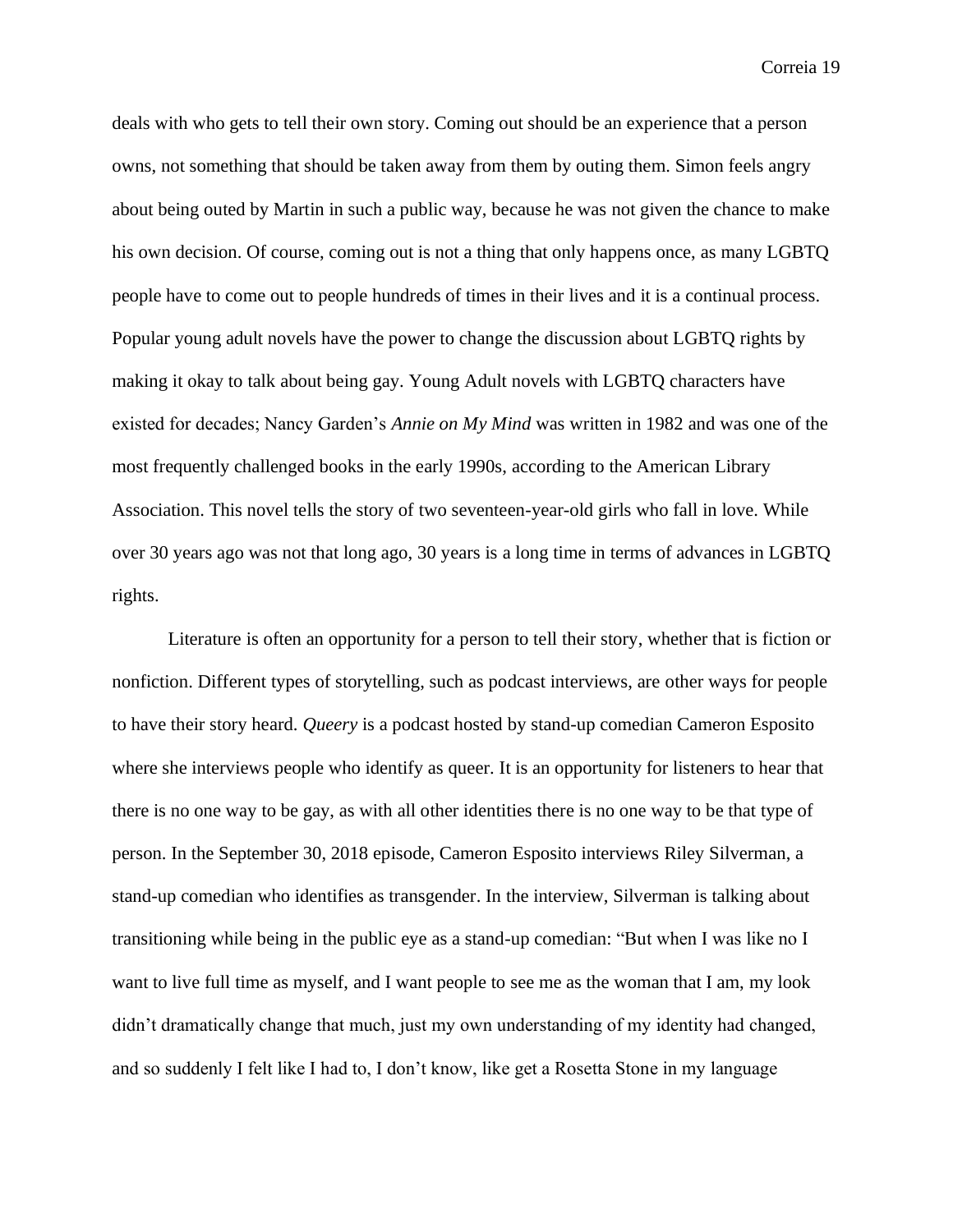deals with who gets to tell their own story. Coming out should be an experience that a person owns, not something that should be taken away from them by outing them. Simon feels angry about being outed by Martin in such a public way, because he was not given the chance to make his own decision. Of course, coming out is not a thing that only happens once, as many LGBTQ people have to come out to people hundreds of times in their lives and it is a continual process. Popular young adult novels have the power to change the discussion about LGBTQ rights by making it okay to talk about being gay. Young Adult novels with LGBTQ characters have existed for decades; Nancy Garden's *Annie on My Mind* was written in 1982 and was one of the most frequently challenged books in the early 1990s, according to the American Library Association. This novel tells the story of two seventeen-year-old girls who fall in love. While over 30 years ago was not that long ago, 30 years is a long time in terms of advances in LGBTQ rights.

Literature is often an opportunity for a person to tell their story, whether that is fiction or nonfiction. Different types of storytelling, such as podcast interviews, are other ways for people to have their story heard. *Queery* is a podcast hosted by stand-up comedian Cameron Esposito where she interviews people who identify as queer. It is an opportunity for listeners to hear that there is no one way to be gay, as with all other identities there is no one way to be that type of person. In the September 30, 2018 episode, Cameron Esposito interviews Riley Silverman, a stand-up comedian who identifies as transgender. In the interview, Silverman is talking about transitioning while being in the public eye as a stand-up comedian: "But when I was like no I want to live full time as myself, and I want people to see me as the woman that I am, my look didn't dramatically change that much, just my own understanding of my identity had changed, and so suddenly I felt like I had to, I don't know, like get a Rosetta Stone in my language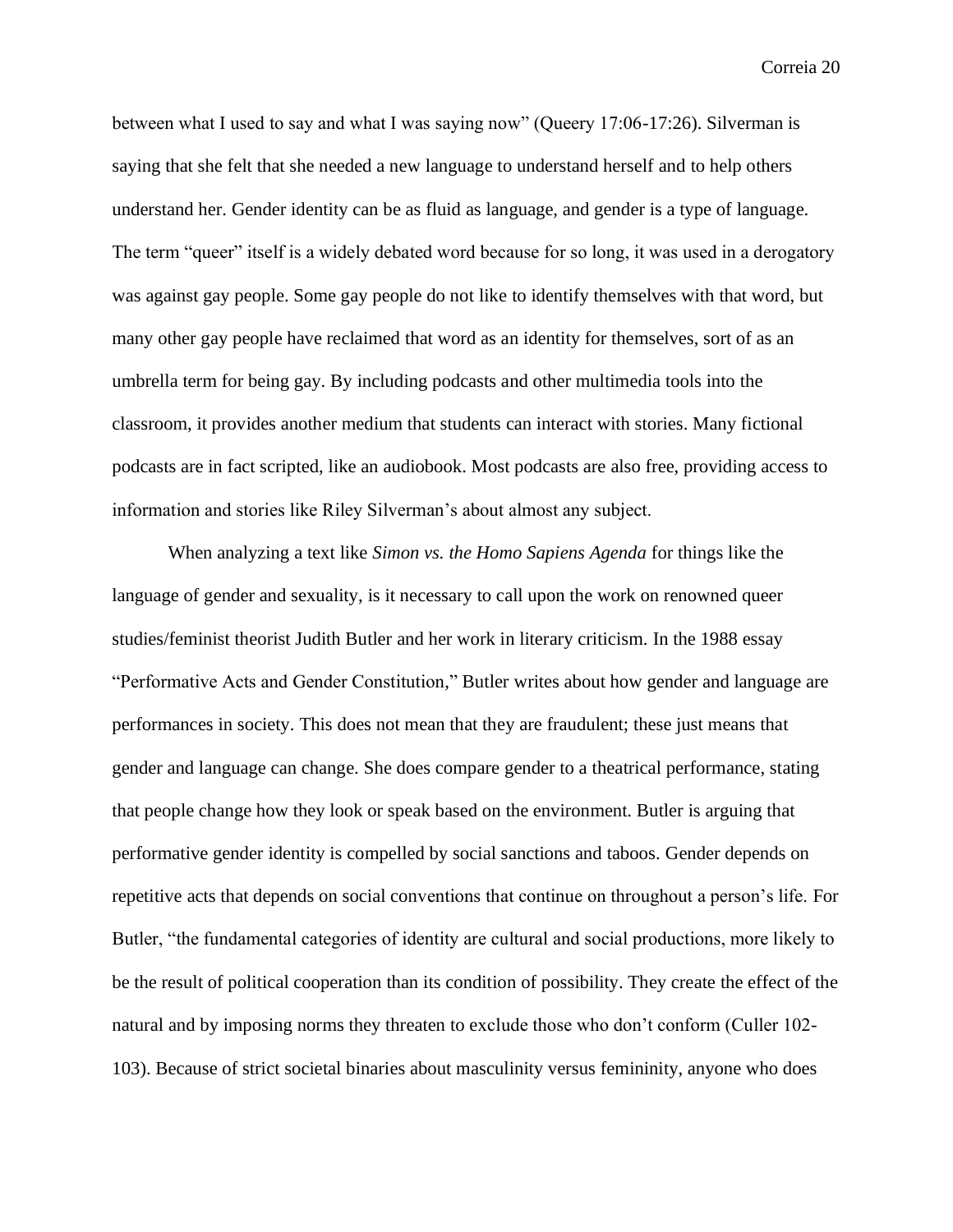between what I used to say and what I was saying now" (Queery 17:06-17:26). Silverman is saying that she felt that she needed a new language to understand herself and to help others understand her. Gender identity can be as fluid as language, and gender is a type of language. The term "queer" itself is a widely debated word because for so long, it was used in a derogatory was against gay people. Some gay people do not like to identify themselves with that word, but many other gay people have reclaimed that word as an identity for themselves, sort of as an umbrella term for being gay. By including podcasts and other multimedia tools into the classroom, it provides another medium that students can interact with stories. Many fictional podcasts are in fact scripted, like an audiobook. Most podcasts are also free, providing access to information and stories like Riley Silverman's about almost any subject.

When analyzing a text like *Simon vs. the Homo Sapiens Agenda* for things like the language of gender and sexuality, is it necessary to call upon the work on renowned queer studies/feminist theorist Judith Butler and her work in literary criticism. In the 1988 essay "Performative Acts and Gender Constitution," Butler writes about how gender and language are performances in society. This does not mean that they are fraudulent; these just means that gender and language can change. She does compare gender to a theatrical performance, stating that people change how they look or speak based on the environment. Butler is arguing that performative gender identity is compelled by social sanctions and taboos. Gender depends on repetitive acts that depends on social conventions that continue on throughout a person's life. For Butler, "the fundamental categories of identity are cultural and social productions, more likely to be the result of political cooperation than its condition of possibility. They create the effect of the natural and by imposing norms they threaten to exclude those who don't conform (Culler 102- 103). Because of strict societal binaries about masculinity versus femininity, anyone who does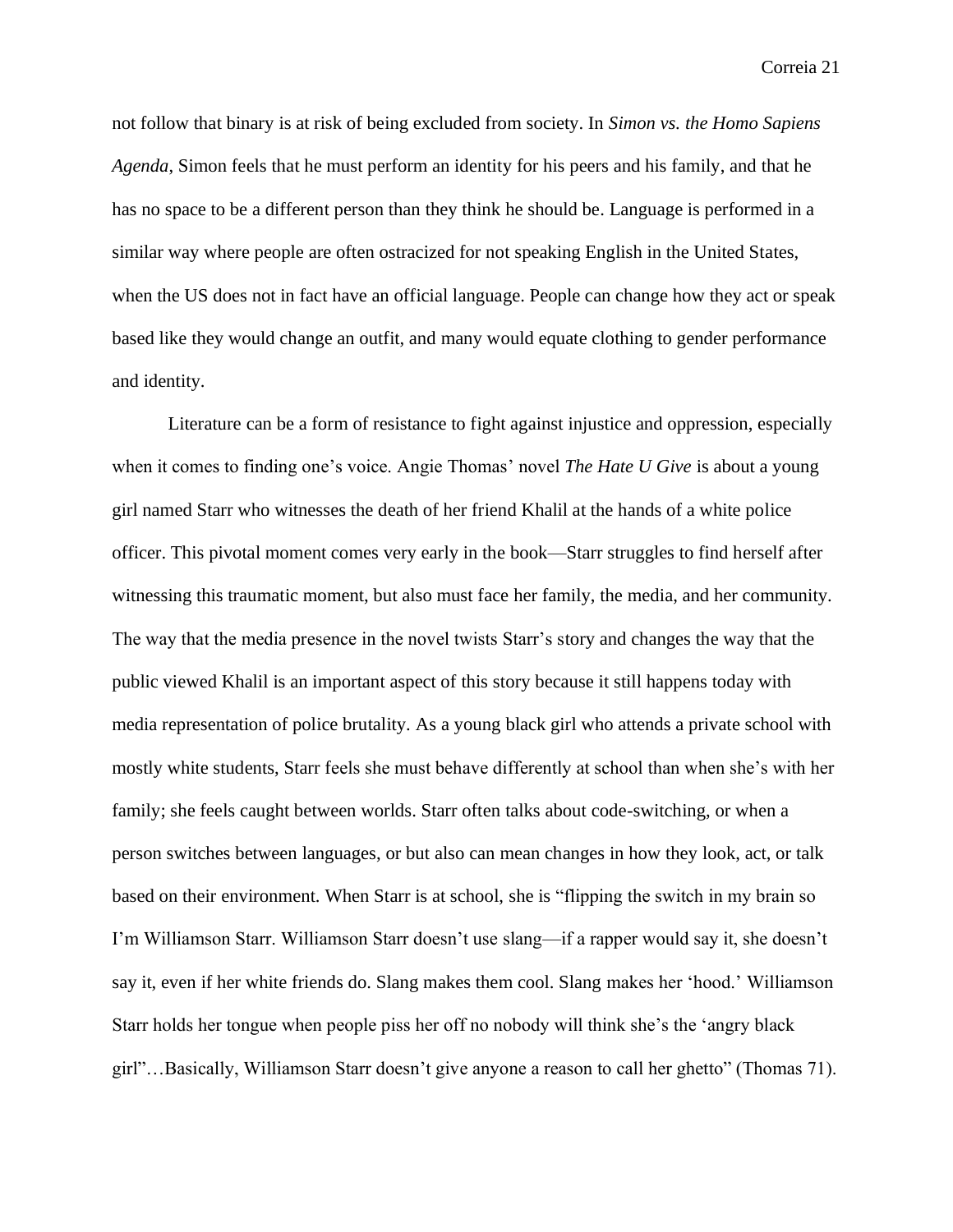not follow that binary is at risk of being excluded from society. In *Simon vs. the Homo Sapiens Agenda*, Simon feels that he must perform an identity for his peers and his family, and that he has no space to be a different person than they think he should be. Language is performed in a similar way where people are often ostracized for not speaking English in the United States, when the US does not in fact have an official language. People can change how they act or speak based like they would change an outfit, and many would equate clothing to gender performance and identity.

Literature can be a form of resistance to fight against injustice and oppression, especially when it comes to finding one's voice. Angie Thomas' novel *The Hate U Give* is about a young girl named Starr who witnesses the death of her friend Khalil at the hands of a white police officer. This pivotal moment comes very early in the book—Starr struggles to find herself after witnessing this traumatic moment, but also must face her family, the media, and her community. The way that the media presence in the novel twists Starr's story and changes the way that the public viewed Khalil is an important aspect of this story because it still happens today with media representation of police brutality. As a young black girl who attends a private school with mostly white students, Starr feels she must behave differently at school than when she's with her family; she feels caught between worlds. Starr often talks about code-switching, or when a person switches between languages, or but also can mean changes in how they look, act, or talk based on their environment. When Starr is at school, she is "flipping the switch in my brain so I'm Williamson Starr. Williamson Starr doesn't use slang—if a rapper would say it, she doesn't say it, even if her white friends do. Slang makes them cool. Slang makes her 'hood.' Williamson Starr holds her tongue when people piss her off no nobody will think she's the 'angry black girl"…Basically, Williamson Starr doesn't give anyone a reason to call her ghetto" (Thomas 71).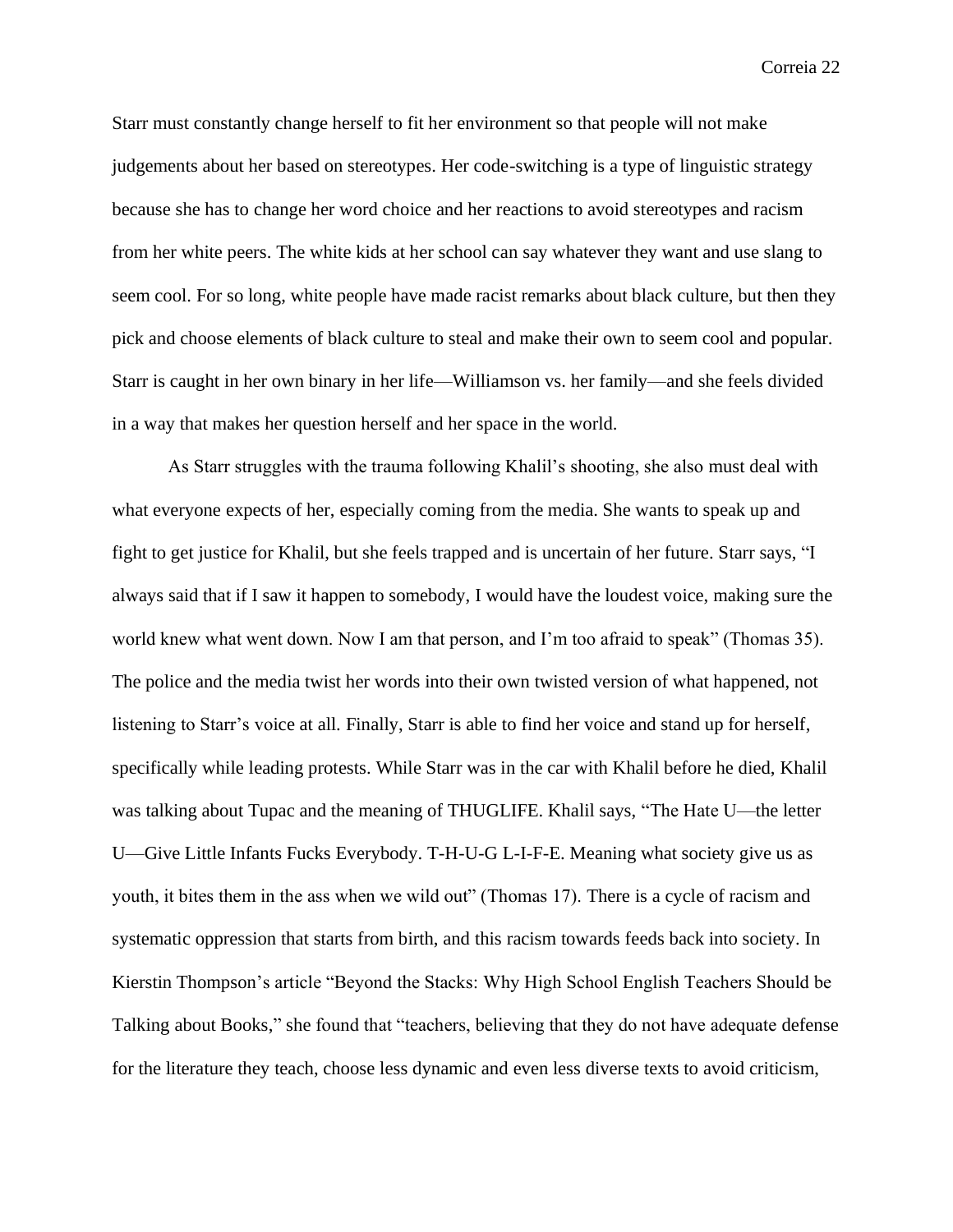Starr must constantly change herself to fit her environment so that people will not make judgements about her based on stereotypes. Her code-switching is a type of linguistic strategy because she has to change her word choice and her reactions to avoid stereotypes and racism from her white peers. The white kids at her school can say whatever they want and use slang to seem cool. For so long, white people have made racist remarks about black culture, but then they pick and choose elements of black culture to steal and make their own to seem cool and popular. Starr is caught in her own binary in her life—Williamson vs. her family—and she feels divided in a way that makes her question herself and her space in the world.

As Starr struggles with the trauma following Khalil's shooting, she also must deal with what everyone expects of her, especially coming from the media. She wants to speak up and fight to get justice for Khalil, but she feels trapped and is uncertain of her future. Starr says, "I always said that if I saw it happen to somebody, I would have the loudest voice, making sure the world knew what went down. Now I am that person, and I'm too afraid to speak" (Thomas 35). The police and the media twist her words into their own twisted version of what happened, not listening to Starr's voice at all. Finally, Starr is able to find her voice and stand up for herself, specifically while leading protests. While Starr was in the car with Khalil before he died, Khalil was talking about Tupac and the meaning of THUGLIFE. Khalil says, "The Hate U—the letter U—Give Little Infants Fucks Everybody. T-H-U-G L-I-F-E. Meaning what society give us as youth, it bites them in the ass when we wild out" (Thomas 17). There is a cycle of racism and systematic oppression that starts from birth, and this racism towards feeds back into society. In Kierstin Thompson's article "Beyond the Stacks: Why High School English Teachers Should be Talking about Books," she found that "teachers, believing that they do not have adequate defense for the literature they teach, choose less dynamic and even less diverse texts to avoid criticism,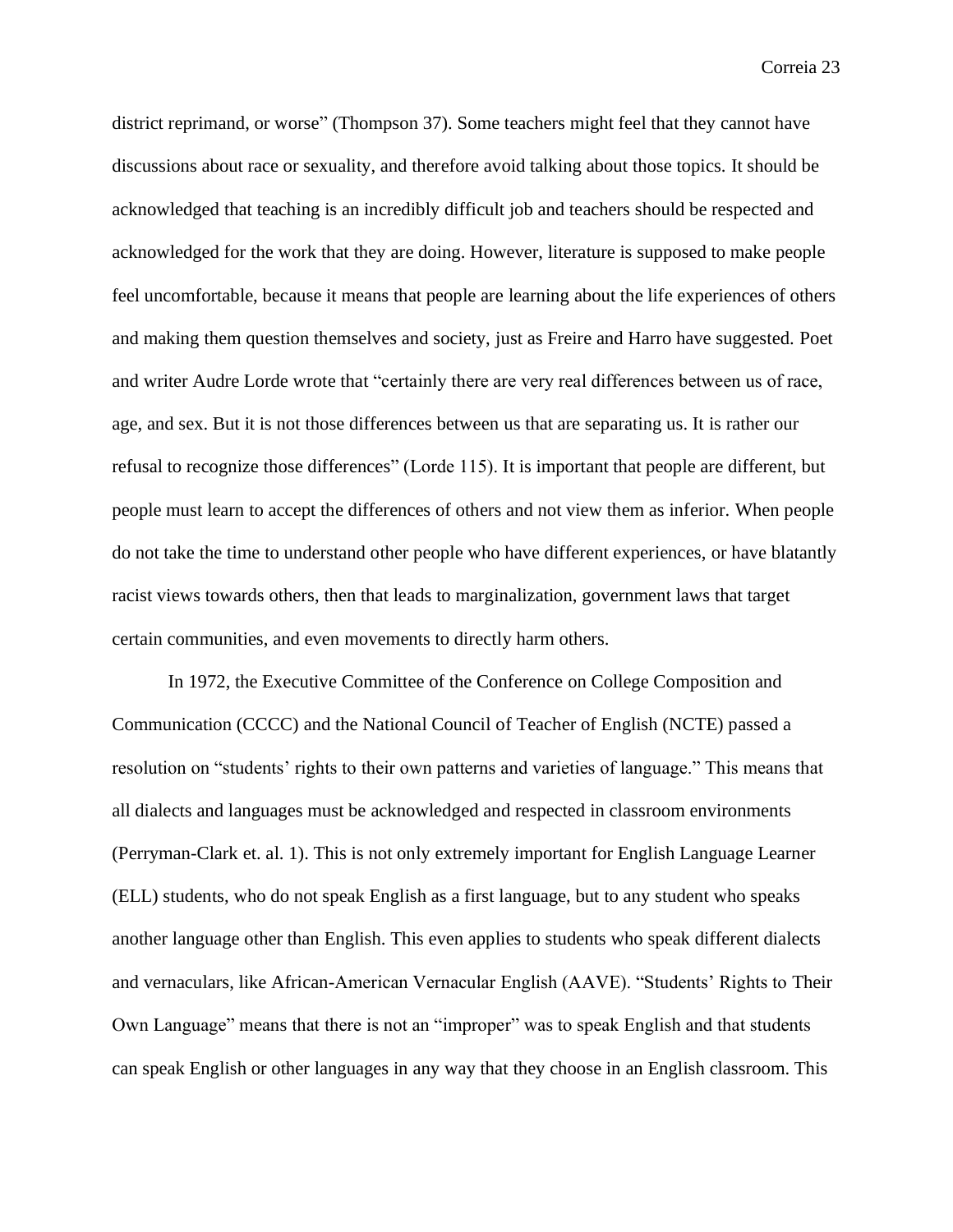district reprimand, or worse" (Thompson 37). Some teachers might feel that they cannot have discussions about race or sexuality, and therefore avoid talking about those topics. It should be acknowledged that teaching is an incredibly difficult job and teachers should be respected and acknowledged for the work that they are doing. However, literature is supposed to make people feel uncomfortable, because it means that people are learning about the life experiences of others and making them question themselves and society, just as Freire and Harro have suggested. Poet and writer Audre Lorde wrote that "certainly there are very real differences between us of race, age, and sex. But it is not those differences between us that are separating us. It is rather our refusal to recognize those differences" (Lorde 115). It is important that people are different, but people must learn to accept the differences of others and not view them as inferior. When people do not take the time to understand other people who have different experiences, or have blatantly racist views towards others, then that leads to marginalization, government laws that target certain communities, and even movements to directly harm others.

In 1972, the Executive Committee of the Conference on College Composition and Communication (CCCC) and the National Council of Teacher of English (NCTE) passed a resolution on "students' rights to their own patterns and varieties of language." This means that all dialects and languages must be acknowledged and respected in classroom environments (Perryman-Clark et. al. 1). This is not only extremely important for English Language Learner (ELL) students, who do not speak English as a first language, but to any student who speaks another language other than English. This even applies to students who speak different dialects and vernaculars, like African-American Vernacular English (AAVE). "Students' Rights to Their Own Language" means that there is not an "improper" was to speak English and that students can speak English or other languages in any way that they choose in an English classroom. This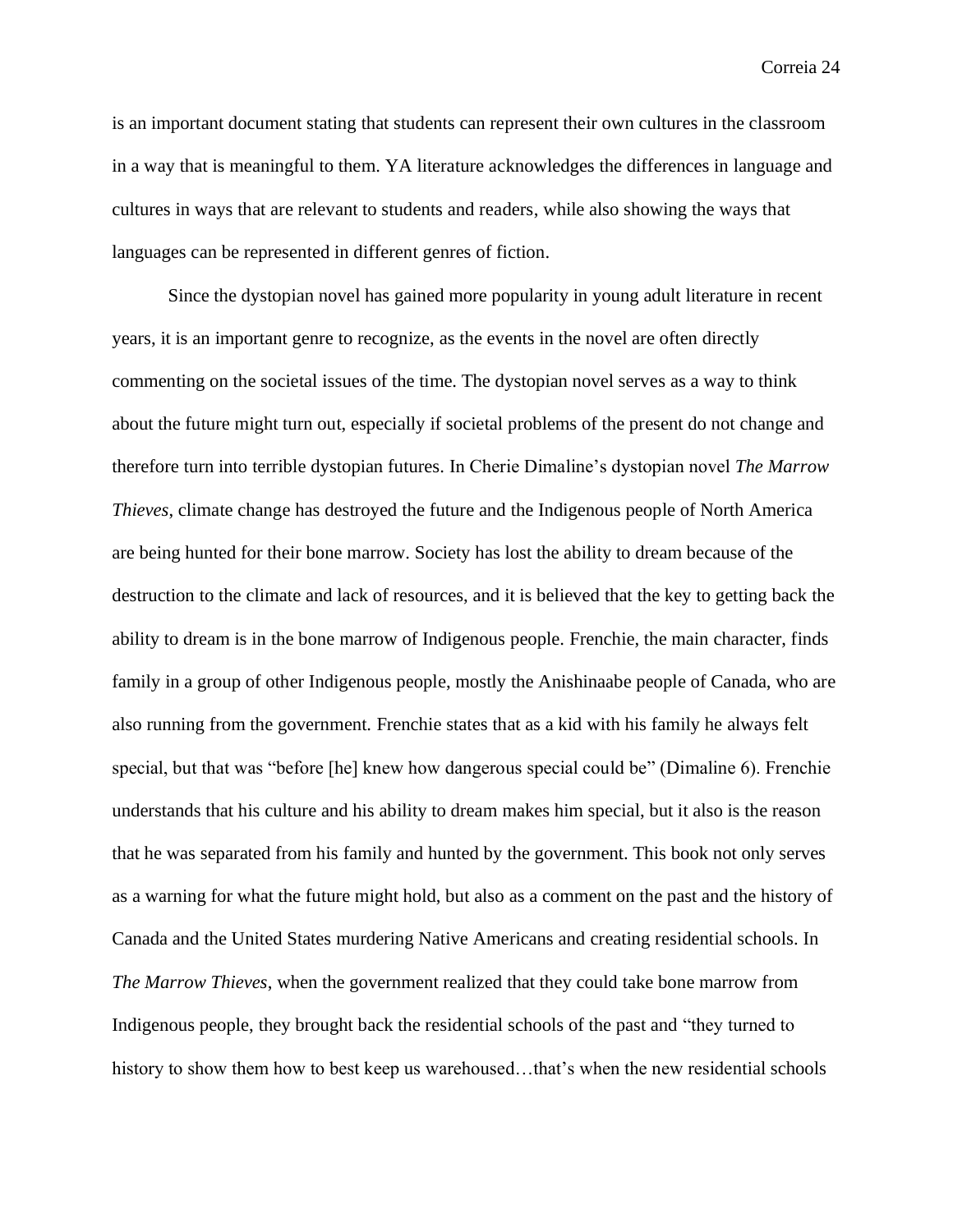is an important document stating that students can represent their own cultures in the classroom in a way that is meaningful to them. YA literature acknowledges the differences in language and cultures in ways that are relevant to students and readers, while also showing the ways that languages can be represented in different genres of fiction.

Since the dystopian novel has gained more popularity in young adult literature in recent years, it is an important genre to recognize, as the events in the novel are often directly commenting on the societal issues of the time. The dystopian novel serves as a way to think about the future might turn out, especially if societal problems of the present do not change and therefore turn into terrible dystopian futures. In Cherie Dimaline's dystopian novel *The Marrow Thieves*, climate change has destroyed the future and the Indigenous people of North America are being hunted for their bone marrow. Society has lost the ability to dream because of the destruction to the climate and lack of resources, and it is believed that the key to getting back the ability to dream is in the bone marrow of Indigenous people. Frenchie, the main character, finds family in a group of other Indigenous people, mostly the Anishinaabe people of Canada, who are also running from the government. Frenchie states that as a kid with his family he always felt special, but that was "before [he] knew how dangerous special could be" (Dimaline 6). Frenchie understands that his culture and his ability to dream makes him special, but it also is the reason that he was separated from his family and hunted by the government. This book not only serves as a warning for what the future might hold, but also as a comment on the past and the history of Canada and the United States murdering Native Americans and creating residential schools. In *The Marrow Thieves*, when the government realized that they could take bone marrow from Indigenous people, they brought back the residential schools of the past and "they turned to history to show them how to best keep us warehoused...that's when the new residential schools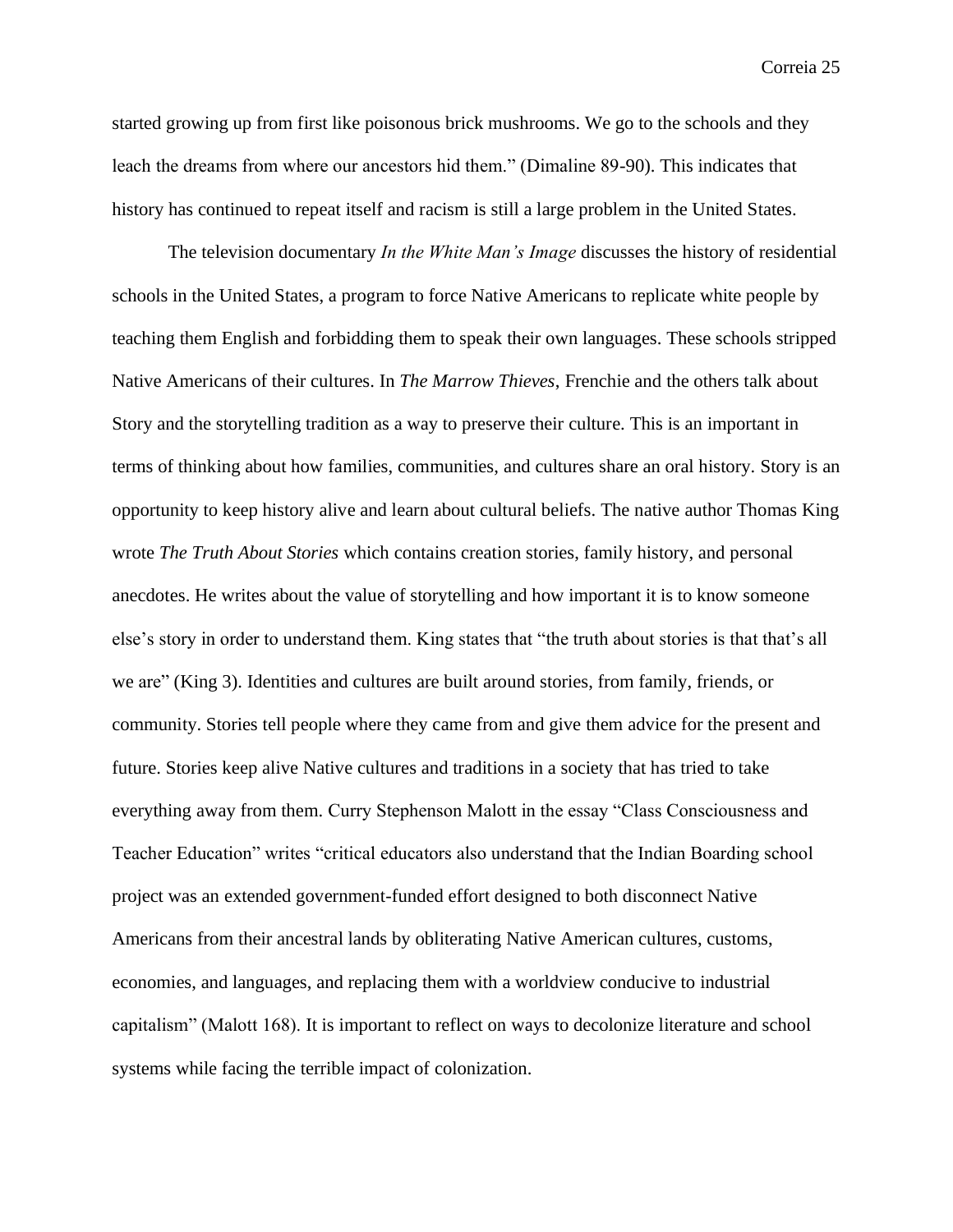started growing up from first like poisonous brick mushrooms. We go to the schools and they leach the dreams from where our ancestors hid them." (Dimaline 89-90). This indicates that history has continued to repeat itself and racism is still a large problem in the United States.

The television documentary *In the White Man's Image* discusses the history of residential schools in the United States, a program to force Native Americans to replicate white people by teaching them English and forbidding them to speak their own languages. These schools stripped Native Americans of their cultures. In *The Marrow Thieves*, Frenchie and the others talk about Story and the storytelling tradition as a way to preserve their culture. This is an important in terms of thinking about how families, communities, and cultures share an oral history. Story is an opportunity to keep history alive and learn about cultural beliefs. The native author Thomas King wrote *The Truth About Stories* which contains creation stories, family history, and personal anecdotes. He writes about the value of storytelling and how important it is to know someone else's story in order to understand them. King states that "the truth about stories is that that's all we are" (King 3). Identities and cultures are built around stories, from family, friends, or community. Stories tell people where they came from and give them advice for the present and future. Stories keep alive Native cultures and traditions in a society that has tried to take everything away from them. Curry Stephenson Malott in the essay "Class Consciousness and Teacher Education" writes "critical educators also understand that the Indian Boarding school project was an extended government-funded effort designed to both disconnect Native Americans from their ancestral lands by obliterating Native American cultures, customs, economies, and languages, and replacing them with a worldview conducive to industrial capitalism" (Malott 168). It is important to reflect on ways to decolonize literature and school systems while facing the terrible impact of colonization.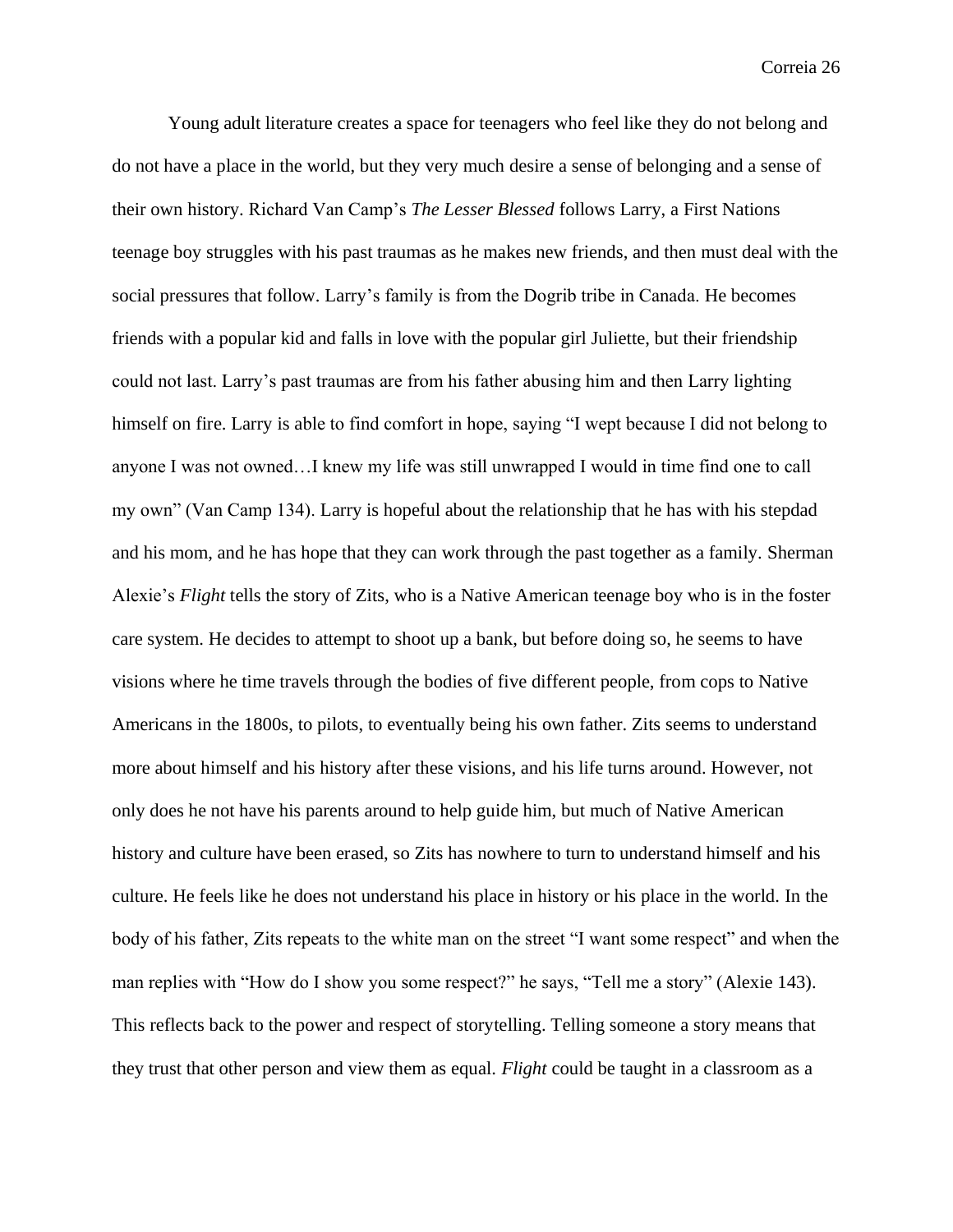Young adult literature creates a space for teenagers who feel like they do not belong and do not have a place in the world, but they very much desire a sense of belonging and a sense of their own history. Richard Van Camp's *The Lesser Blessed* follows Larry, a First Nations teenage boy struggles with his past traumas as he makes new friends, and then must deal with the social pressures that follow. Larry's family is from the Dogrib tribe in Canada. He becomes friends with a popular kid and falls in love with the popular girl Juliette, but their friendship could not last. Larry's past traumas are from his father abusing him and then Larry lighting himself on fire. Larry is able to find comfort in hope, saying "I wept because I did not belong to anyone I was not owned…I knew my life was still unwrapped I would in time find one to call my own" (Van Camp 134). Larry is hopeful about the relationship that he has with his stepdad and his mom, and he has hope that they can work through the past together as a family. Sherman Alexie's *Flight* tells the story of Zits, who is a Native American teenage boy who is in the foster care system. He decides to attempt to shoot up a bank, but before doing so, he seems to have visions where he time travels through the bodies of five different people, from cops to Native Americans in the 1800s, to pilots, to eventually being his own father. Zits seems to understand more about himself and his history after these visions, and his life turns around. However, not only does he not have his parents around to help guide him, but much of Native American history and culture have been erased, so Zits has nowhere to turn to understand himself and his culture. He feels like he does not understand his place in history or his place in the world. In the body of his father, Zits repeats to the white man on the street "I want some respect" and when the man replies with "How do I show you some respect?" he says, "Tell me a story" (Alexie 143). This reflects back to the power and respect of storytelling. Telling someone a story means that they trust that other person and view them as equal. *Flight* could be taught in a classroom as a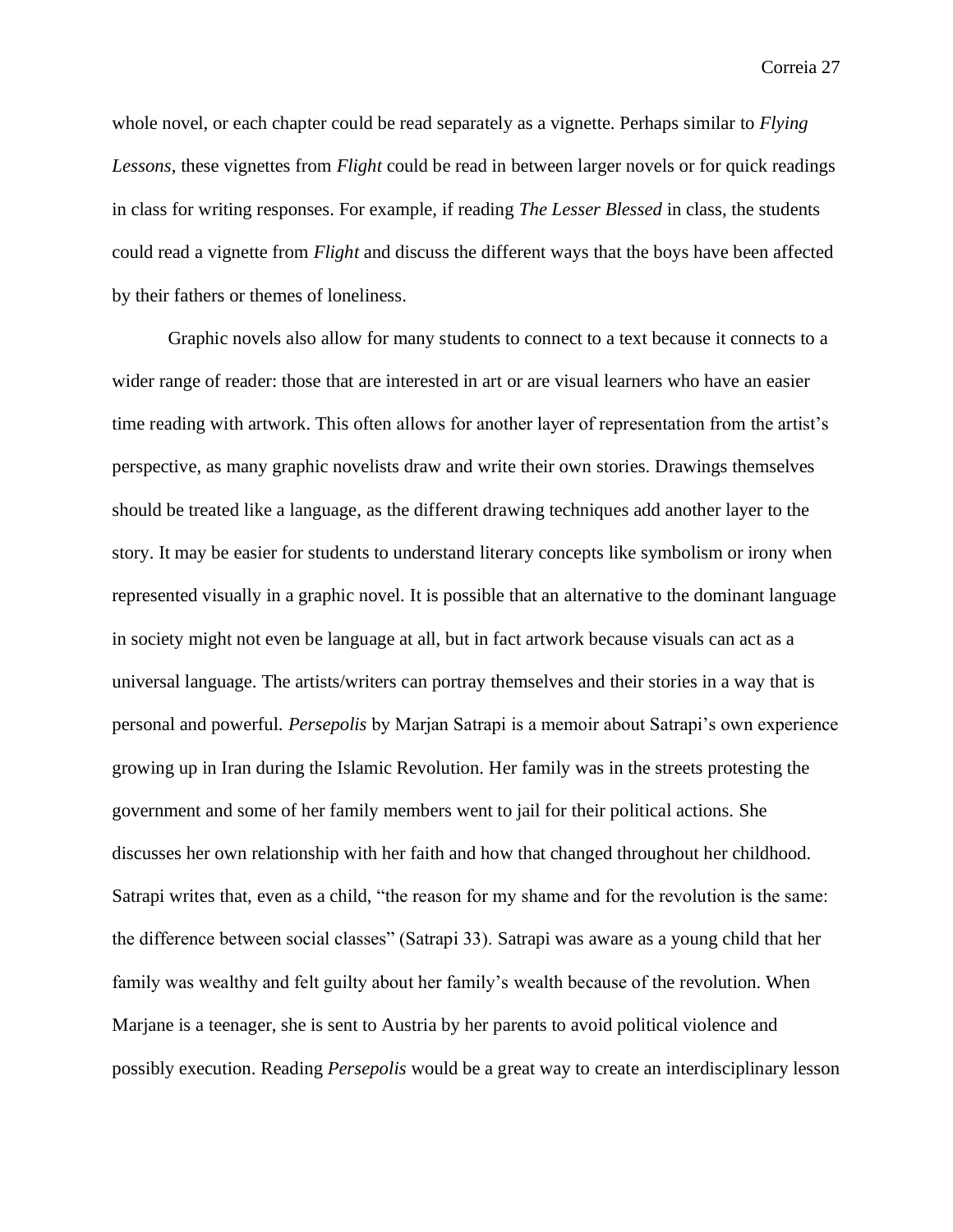whole novel, or each chapter could be read separately as a vignette. Perhaps similar to *Flying Lessons*, these vignettes from *Flight* could be read in between larger novels or for quick readings in class for writing responses. For example, if reading *The Lesser Blessed* in class, the students could read a vignette from *Flight* and discuss the different ways that the boys have been affected by their fathers or themes of loneliness.

Graphic novels also allow for many students to connect to a text because it connects to a wider range of reader: those that are interested in art or are visual learners who have an easier time reading with artwork. This often allows for another layer of representation from the artist's perspective, as many graphic novelists draw and write their own stories. Drawings themselves should be treated like a language, as the different drawing techniques add another layer to the story. It may be easier for students to understand literary concepts like symbolism or irony when represented visually in a graphic novel. It is possible that an alternative to the dominant language in society might not even be language at all, but in fact artwork because visuals can act as a universal language. The artists/writers can portray themselves and their stories in a way that is personal and powerful. *Persepolis* by Marjan Satrapi is a memoir about Satrapi's own experience growing up in Iran during the Islamic Revolution. Her family was in the streets protesting the government and some of her family members went to jail for their political actions. She discusses her own relationship with her faith and how that changed throughout her childhood. Satrapi writes that, even as a child, "the reason for my shame and for the revolution is the same: the difference between social classes" (Satrapi 33). Satrapi was aware as a young child that her family was wealthy and felt guilty about her family's wealth because of the revolution. When Marjane is a teenager, she is sent to Austria by her parents to avoid political violence and possibly execution. Reading *Persepolis* would be a great way to create an interdisciplinary lesson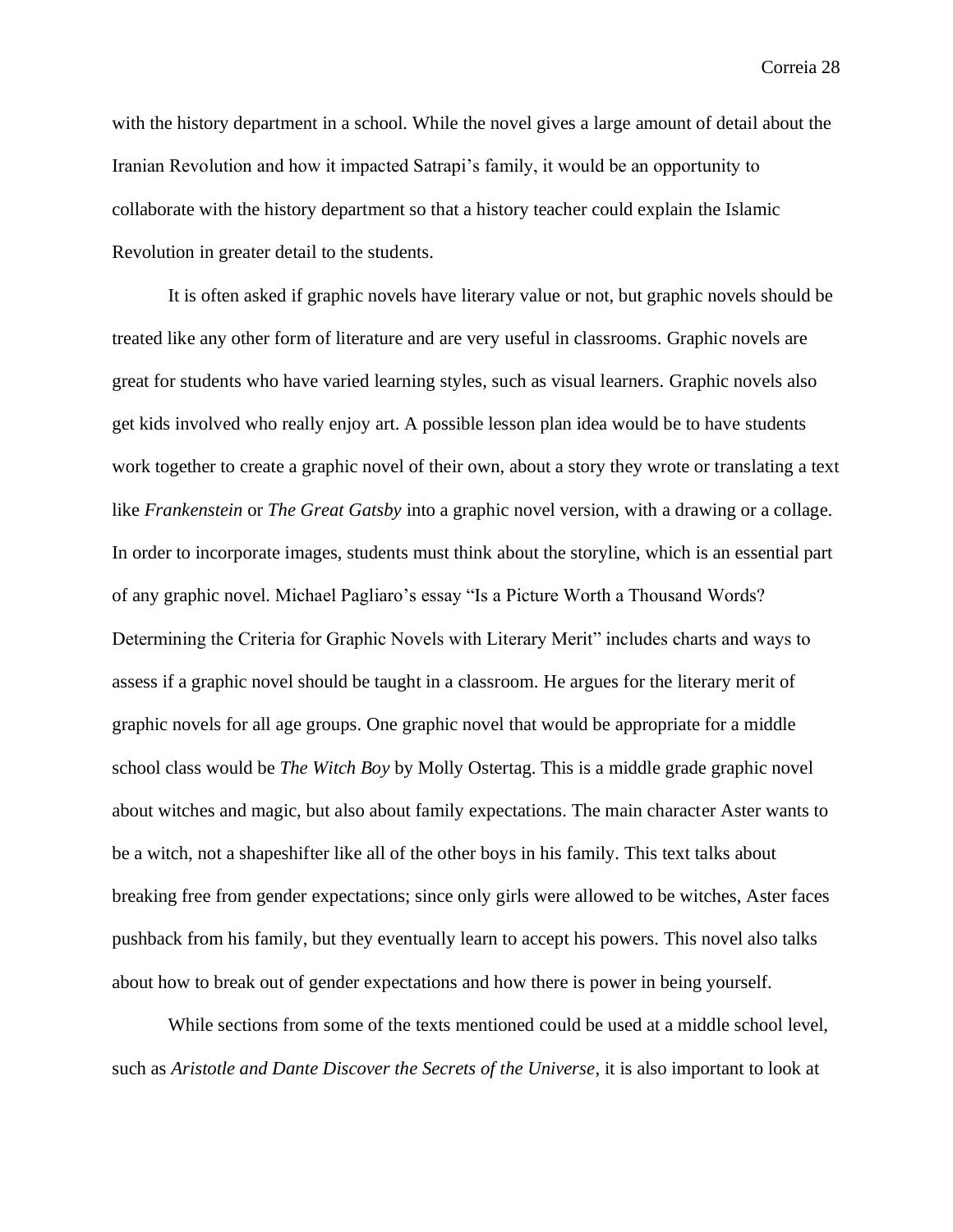with the history department in a school. While the novel gives a large amount of detail about the Iranian Revolution and how it impacted Satrapi's family, it would be an opportunity to collaborate with the history department so that a history teacher could explain the Islamic Revolution in greater detail to the students.

It is often asked if graphic novels have literary value or not, but graphic novels should be treated like any other form of literature and are very useful in classrooms. Graphic novels are great for students who have varied learning styles, such as visual learners. Graphic novels also get kids involved who really enjoy art. A possible lesson plan idea would be to have students work together to create a graphic novel of their own, about a story they wrote or translating a text like *Frankenstein* or *The Great Gatsby* into a graphic novel version, with a drawing or a collage. In order to incorporate images, students must think about the storyline, which is an essential part of any graphic novel. Michael Pagliaro's essay "Is a Picture Worth a Thousand Words? Determining the Criteria for Graphic Novels with Literary Merit" includes charts and ways to assess if a graphic novel should be taught in a classroom. He argues for the literary merit of graphic novels for all age groups. One graphic novel that would be appropriate for a middle school class would be *The Witch Boy* by Molly Ostertag. This is a middle grade graphic novel about witches and magic, but also about family expectations. The main character Aster wants to be a witch, not a shapeshifter like all of the other boys in his family. This text talks about breaking free from gender expectations; since only girls were allowed to be witches, Aster faces pushback from his family, but they eventually learn to accept his powers. This novel also talks about how to break out of gender expectations and how there is power in being yourself.

While sections from some of the texts mentioned could be used at a middle school level, such as *Aristotle and Dante Discover the Secrets of the Universe*, it is also important to look at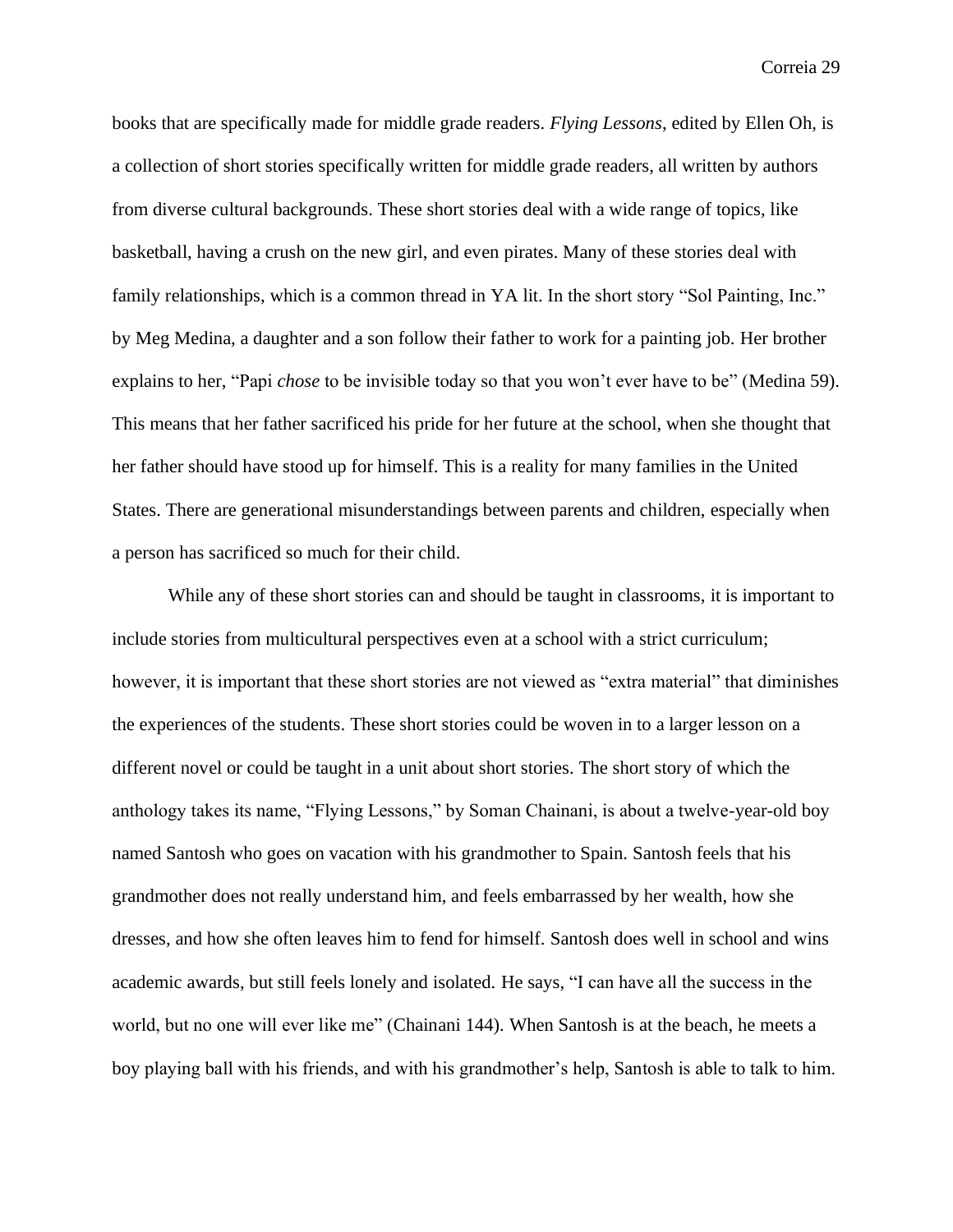books that are specifically made for middle grade readers. *Flying Lessons*, edited by Ellen Oh, is a collection of short stories specifically written for middle grade readers, all written by authors from diverse cultural backgrounds. These short stories deal with a wide range of topics, like basketball, having a crush on the new girl, and even pirates. Many of these stories deal with family relationships, which is a common thread in YA lit. In the short story "Sol Painting, Inc." by Meg Medina, a daughter and a son follow their father to work for a painting job. Her brother explains to her, "Papi *chose* to be invisible today so that you won't ever have to be" (Medina 59). This means that her father sacrificed his pride for her future at the school, when she thought that her father should have stood up for himself. This is a reality for many families in the United States. There are generational misunderstandings between parents and children, especially when a person has sacrificed so much for their child.

While any of these short stories can and should be taught in classrooms, it is important to include stories from multicultural perspectives even at a school with a strict curriculum; however, it is important that these short stories are not viewed as "extra material" that diminishes the experiences of the students. These short stories could be woven in to a larger lesson on a different novel or could be taught in a unit about short stories. The short story of which the anthology takes its name, "Flying Lessons," by Soman Chainani, is about a twelve-year-old boy named Santosh who goes on vacation with his grandmother to Spain. Santosh feels that his grandmother does not really understand him, and feels embarrassed by her wealth, how she dresses, and how she often leaves him to fend for himself. Santosh does well in school and wins academic awards, but still feels lonely and isolated. He says, "I can have all the success in the world, but no one will ever like me" (Chainani 144). When Santosh is at the beach, he meets a boy playing ball with his friends, and with his grandmother's help, Santosh is able to talk to him.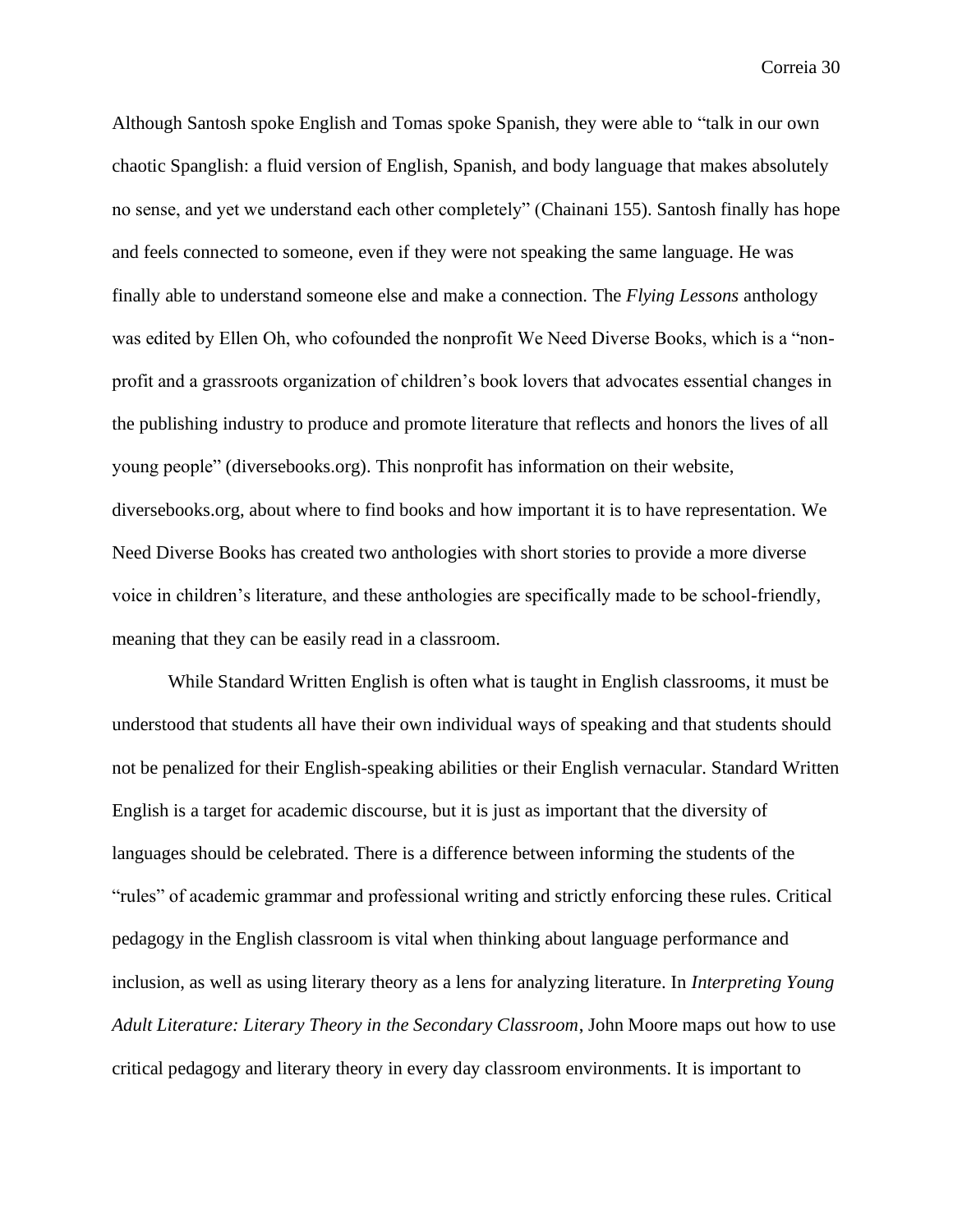Although Santosh spoke English and Tomas spoke Spanish, they were able to "talk in our own chaotic Spanglish: a fluid version of English, Spanish, and body language that makes absolutely no sense, and yet we understand each other completely" (Chainani 155). Santosh finally has hope and feels connected to someone, even if they were not speaking the same language. He was finally able to understand someone else and make a connection. The *Flying Lessons* anthology was edited by Ellen Oh, who cofounded the nonprofit We Need Diverse Books, which is a "nonprofit and a grassroots organization of children's book lovers that advocates essential changes in the publishing industry to produce and promote literature that reflects and honors the lives of all young people" (diversebooks.org). This nonprofit has information on their website, diversebooks.org, about where to find books and how important it is to have representation. We Need Diverse Books has created two anthologies with short stories to provide a more diverse voice in children's literature, and these anthologies are specifically made to be school-friendly, meaning that they can be easily read in a classroom.

While Standard Written English is often what is taught in English classrooms, it must be understood that students all have their own individual ways of speaking and that students should not be penalized for their English-speaking abilities or their English vernacular. Standard Written English is a target for academic discourse, but it is just as important that the diversity of languages should be celebrated. There is a difference between informing the students of the "rules" of academic grammar and professional writing and strictly enforcing these rules. Critical pedagogy in the English classroom is vital when thinking about language performance and inclusion, as well as using literary theory as a lens for analyzing literature. In *Interpreting Young Adult Literature: Literary Theory in the Secondary Classroom*, John Moore maps out how to use critical pedagogy and literary theory in every day classroom environments. It is important to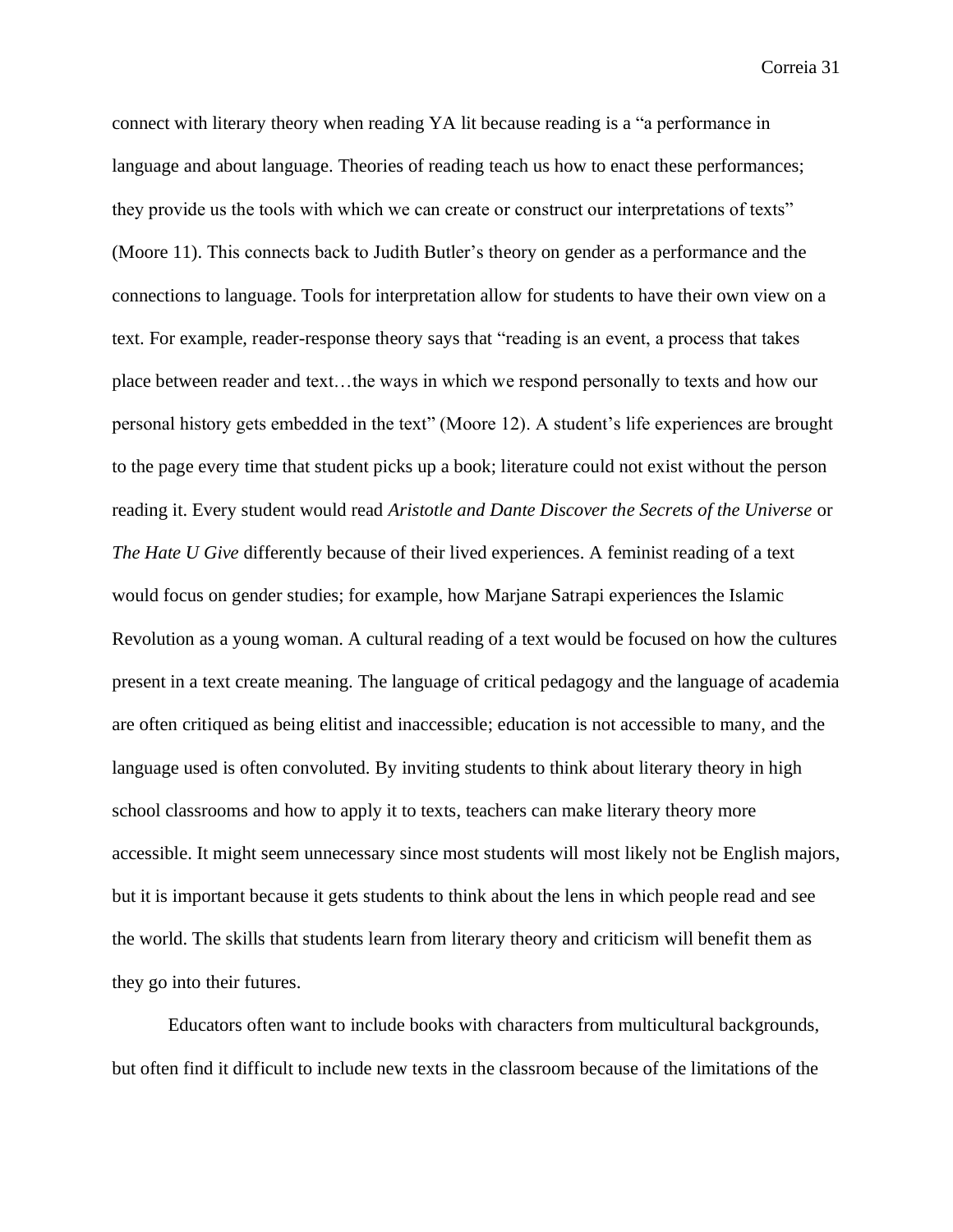connect with literary theory when reading YA lit because reading is a "a performance in language and about language. Theories of reading teach us how to enact these performances; they provide us the tools with which we can create or construct our interpretations of texts" (Moore 11). This connects back to Judith Butler's theory on gender as a performance and the connections to language. Tools for interpretation allow for students to have their own view on a text. For example, reader-response theory says that "reading is an event, a process that takes place between reader and text…the ways in which we respond personally to texts and how our personal history gets embedded in the text" (Moore 12). A student's life experiences are brought to the page every time that student picks up a book; literature could not exist without the person reading it. Every student would read *Aristotle and Dante Discover the Secrets of the Universe* or *The Hate U Give* differently because of their lived experiences. A feminist reading of a text would focus on gender studies; for example, how Marjane Satrapi experiences the Islamic Revolution as a young woman. A cultural reading of a text would be focused on how the cultures present in a text create meaning. The language of critical pedagogy and the language of academia are often critiqued as being elitist and inaccessible; education is not accessible to many, and the language used is often convoluted. By inviting students to think about literary theory in high school classrooms and how to apply it to texts, teachers can make literary theory more accessible. It might seem unnecessary since most students will most likely not be English majors, but it is important because it gets students to think about the lens in which people read and see the world. The skills that students learn from literary theory and criticism will benefit them as they go into their futures.

Educators often want to include books with characters from multicultural backgrounds, but often find it difficult to include new texts in the classroom because of the limitations of the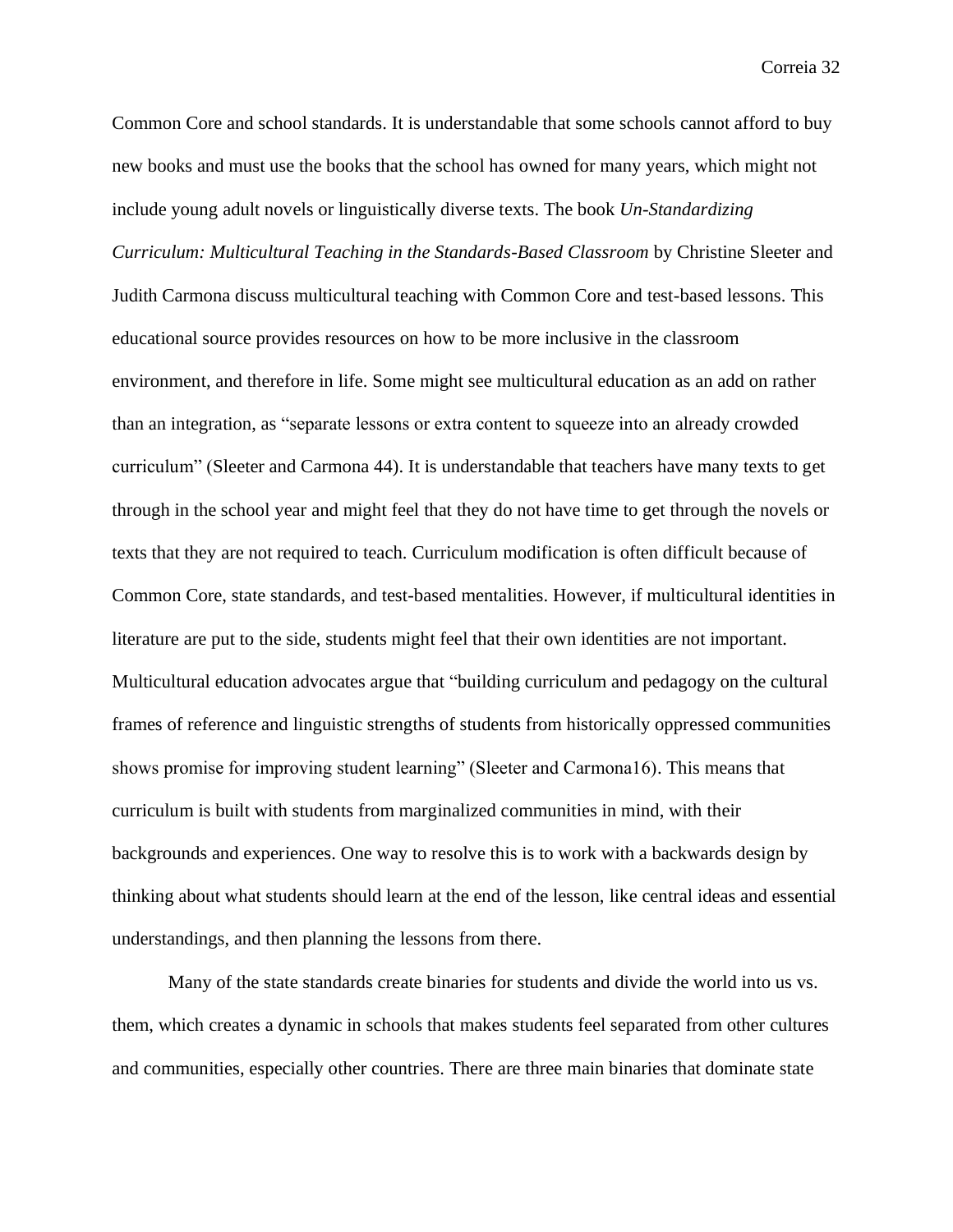Common Core and school standards. It is understandable that some schools cannot afford to buy new books and must use the books that the school has owned for many years, which might not include young adult novels or linguistically diverse texts. The book *Un-Standardizing Curriculum: Multicultural Teaching in the Standards-Based Classroom* by Christine Sleeter and Judith Carmona discuss multicultural teaching with Common Core and test-based lessons. This educational source provides resources on how to be more inclusive in the classroom environment, and therefore in life. Some might see multicultural education as an add on rather than an integration, as "separate lessons or extra content to squeeze into an already crowded curriculum" (Sleeter and Carmona 44). It is understandable that teachers have many texts to get through in the school year and might feel that they do not have time to get through the novels or texts that they are not required to teach. Curriculum modification is often difficult because of Common Core, state standards, and test-based mentalities. However, if multicultural identities in literature are put to the side, students might feel that their own identities are not important. Multicultural education advocates argue that "building curriculum and pedagogy on the cultural frames of reference and linguistic strengths of students from historically oppressed communities shows promise for improving student learning" (Sleeter and Carmona16). This means that curriculum is built with students from marginalized communities in mind, with their backgrounds and experiences. One way to resolve this is to work with a backwards design by thinking about what students should learn at the end of the lesson, like central ideas and essential understandings, and then planning the lessons from there.

Many of the state standards create binaries for students and divide the world into us vs. them, which creates a dynamic in schools that makes students feel separated from other cultures and communities, especially other countries. There are three main binaries that dominate state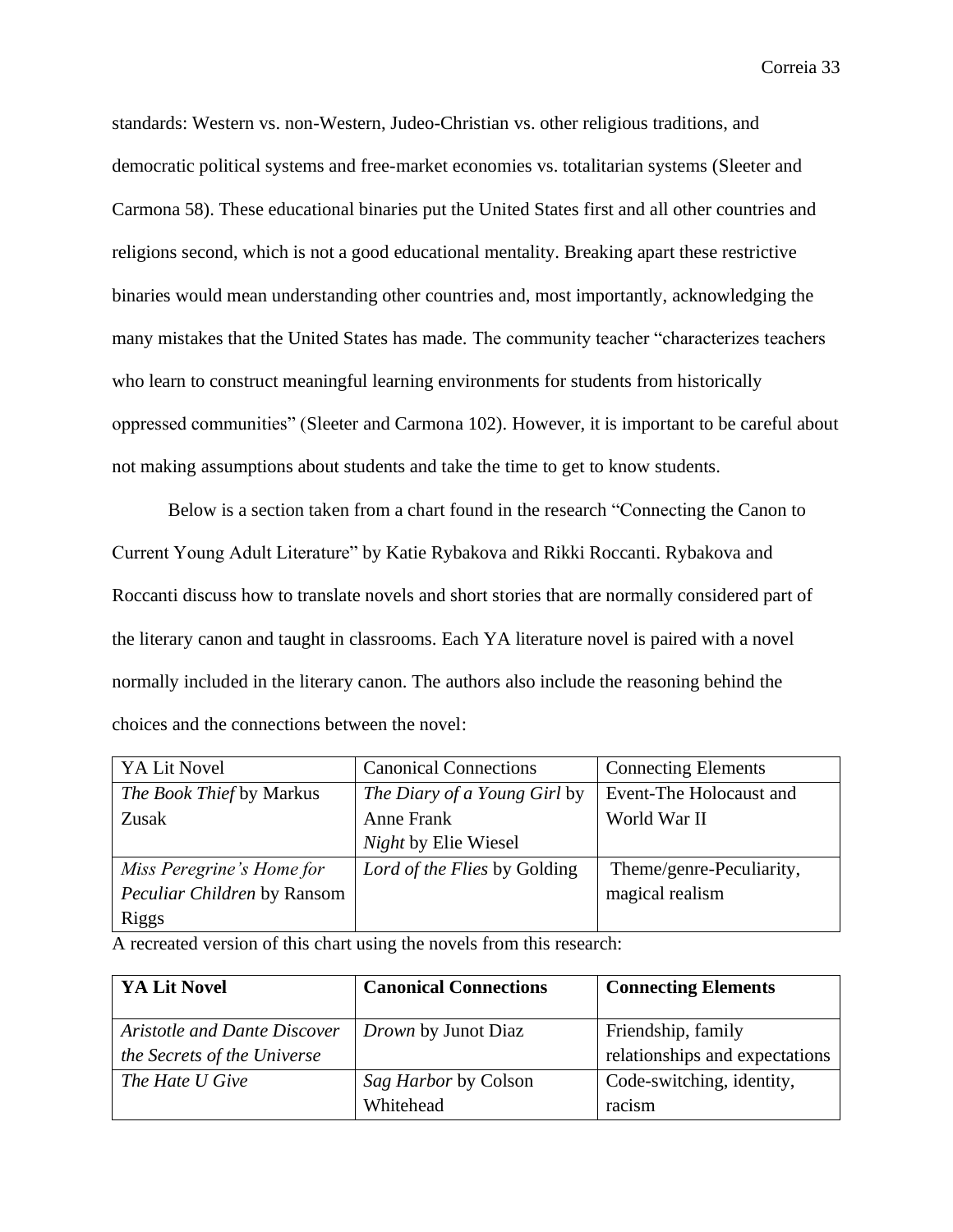standards: Western vs. non-Western, Judeo-Christian vs. other religious traditions, and democratic political systems and free-market economies vs. totalitarian systems (Sleeter and Carmona 58). These educational binaries put the United States first and all other countries and religions second, which is not a good educational mentality. Breaking apart these restrictive binaries would mean understanding other countries and, most importantly, acknowledging the many mistakes that the United States has made. The community teacher "characterizes teachers who learn to construct meaningful learning environments for students from historically oppressed communities" (Sleeter and Carmona 102). However, it is important to be careful about not making assumptions about students and take the time to get to know students.

Below is a section taken from a chart found in the research "Connecting the Canon to Current Young Adult Literature" by Katie Rybakova and Rikki Roccanti. Rybakova and Roccanti discuss how to translate novels and short stories that are normally considered part of the literary canon and taught in classrooms. Each YA literature novel is paired with a novel normally included in the literary canon. The authors also include the reasoning behind the choices and the connections between the novel:

| YA Lit Novel                | <b>Canonical Connections</b> | <b>Connecting Elements</b> |
|-----------------------------|------------------------------|----------------------------|
| The Book Thief by Markus    | The Diary of a Young Girl by | Event-The Holocaust and    |
| Zusak                       | Anne Frank                   | World War II               |
|                             | Night by Elie Wiesel         |                            |
| Miss Peregrine's Home for   | Lord of the Flies by Golding | Theme/genre-Peculiarity,   |
| Peculiar Children by Ransom |                              | magical realism            |
| <b>Riggs</b>                |                              |                            |

A recreated version of this chart using the novels from this research:

| YA Lit Novel                 | <b>Canonical Connections</b> | <b>Connecting Elements</b>     |
|------------------------------|------------------------------|--------------------------------|
| Aristotle and Dante Discover | <i>Drown</i> by Junot Diaz   | Friendship, family             |
| the Secrets of the Universe  |                              | relationships and expectations |
| The Hate U Give              | Sag Harbor by Colson         | Code-switching, identity,      |
|                              | Whitehead                    | racism                         |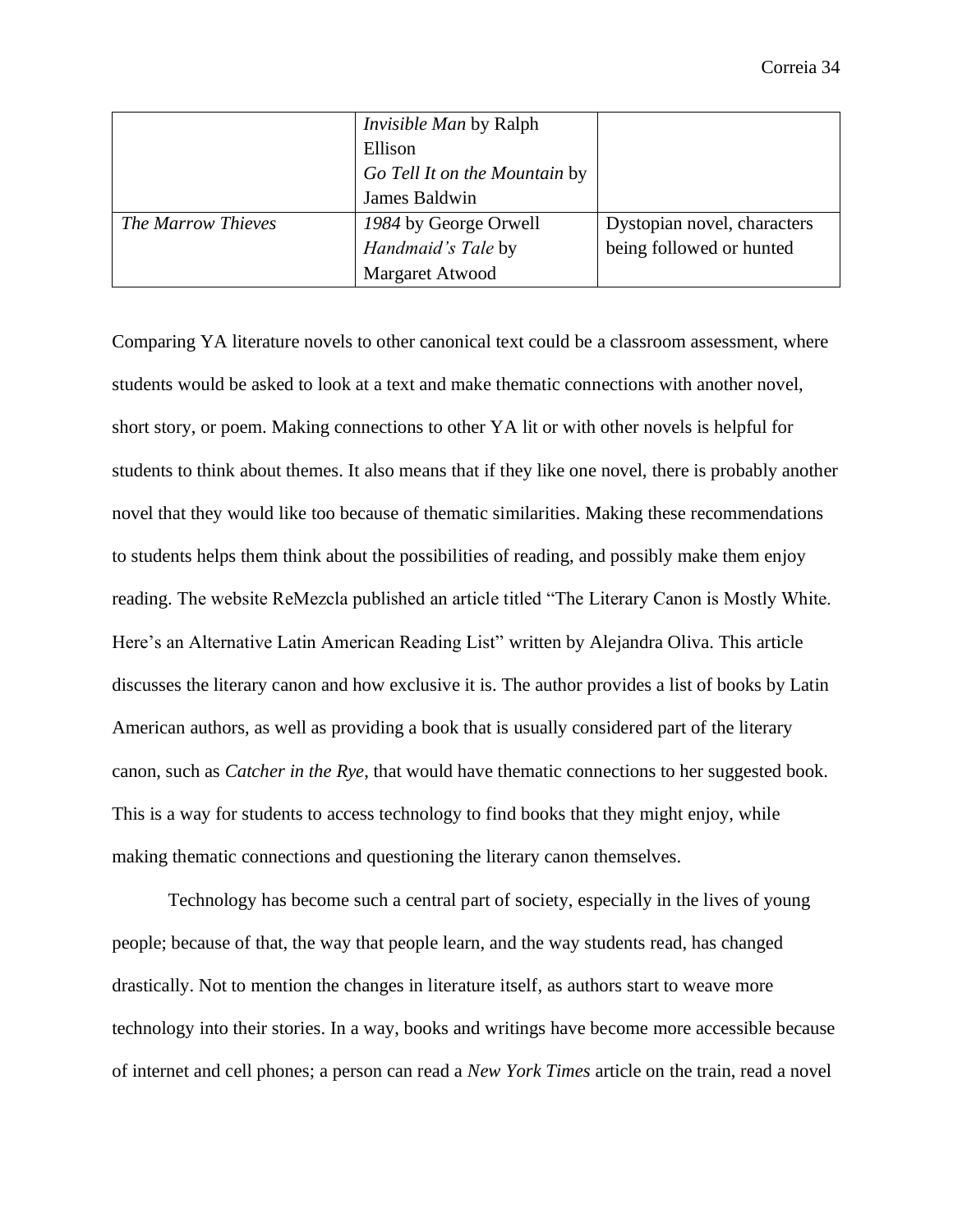|                    | <i>Invisible Man by Ralph</i> |                             |
|--------------------|-------------------------------|-----------------------------|
|                    | Ellison                       |                             |
|                    | Go Tell It on the Mountain by |                             |
|                    | James Baldwin                 |                             |
| The Marrow Thieves | 1984 by George Orwell         | Dystopian novel, characters |
|                    | Handmaid's Tale by            | being followed or hunted    |
|                    | Margaret Atwood               |                             |

Comparing YA literature novels to other canonical text could be a classroom assessment, where students would be asked to look at a text and make thematic connections with another novel, short story, or poem. Making connections to other YA lit or with other novels is helpful for students to think about themes. It also means that if they like one novel, there is probably another novel that they would like too because of thematic similarities. Making these recommendations to students helps them think about the possibilities of reading, and possibly make them enjoy reading. The website ReMezcla published an article titled "The Literary Canon is Mostly White. Here's an Alternative Latin American Reading List" written by Alejandra Oliva. This article discusses the literary canon and how exclusive it is. The author provides a list of books by Latin American authors, as well as providing a book that is usually considered part of the literary canon, such as *Catcher in the Rye*, that would have thematic connections to her suggested book. This is a way for students to access technology to find books that they might enjoy, while making thematic connections and questioning the literary canon themselves.

Technology has become such a central part of society, especially in the lives of young people; because of that, the way that people learn, and the way students read, has changed drastically. Not to mention the changes in literature itself, as authors start to weave more technology into their stories. In a way, books and writings have become more accessible because of internet and cell phones; a person can read a *New York Times* article on the train, read a novel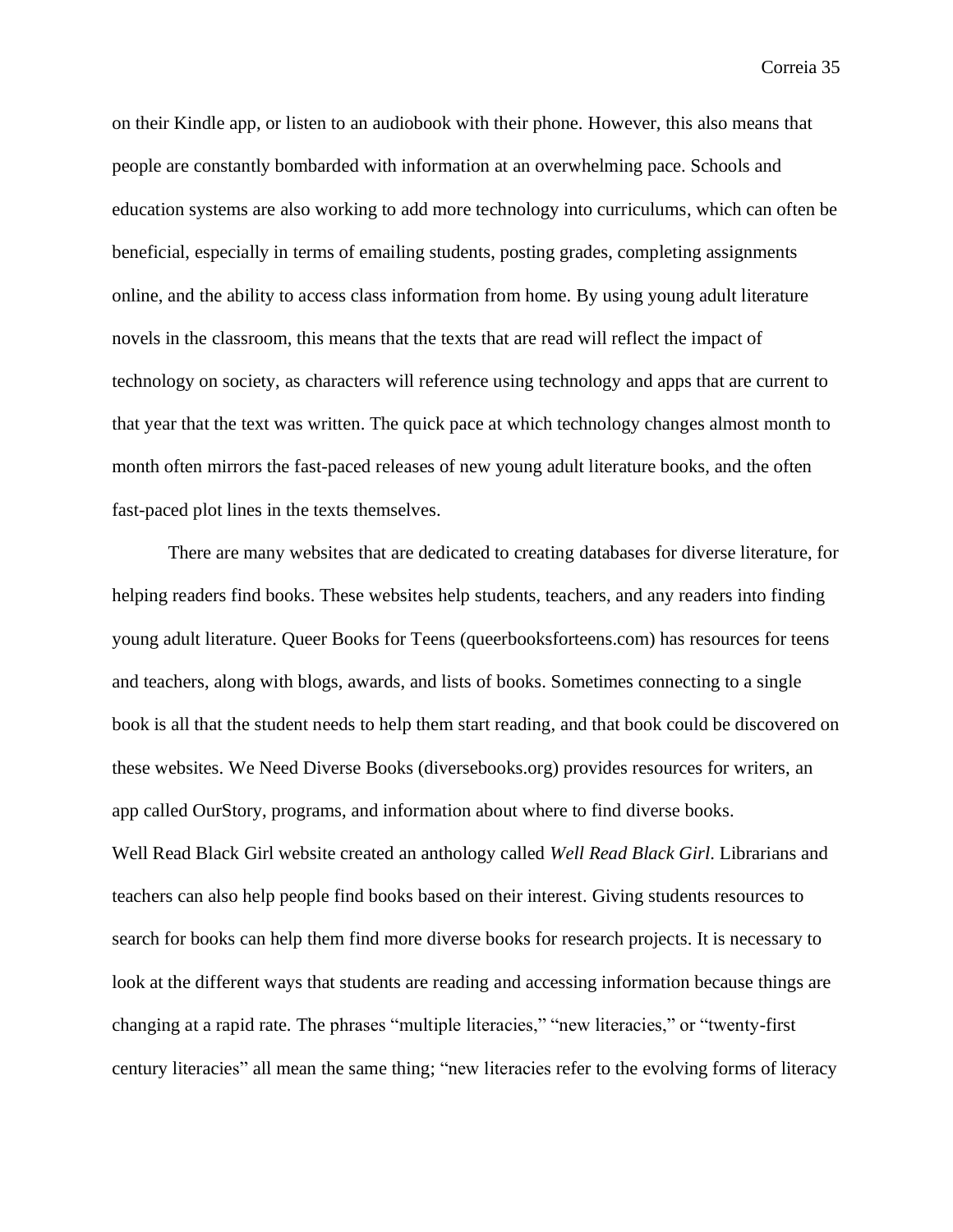on their Kindle app, or listen to an audiobook with their phone. However, this also means that people are constantly bombarded with information at an overwhelming pace. Schools and education systems are also working to add more technology into curriculums, which can often be beneficial, especially in terms of emailing students, posting grades, completing assignments online, and the ability to access class information from home. By using young adult literature novels in the classroom, this means that the texts that are read will reflect the impact of technology on society, as characters will reference using technology and apps that are current to that year that the text was written. The quick pace at which technology changes almost month to month often mirrors the fast-paced releases of new young adult literature books, and the often fast-paced plot lines in the texts themselves.

There are many websites that are dedicated to creating databases for diverse literature, for helping readers find books. These websites help students, teachers, and any readers into finding young adult literature. Queer Books for Teens (queerbooksforteens.com) has resources for teens and teachers, along with blogs, awards, and lists of books. Sometimes connecting to a single book is all that the student needs to help them start reading, and that book could be discovered on these websites. We Need Diverse Books (diversebooks.org) provides resources for writers, an app called OurStory, programs, and information about where to find diverse books. Well Read Black Girl website created an anthology called *Well Read Black Girl*. Librarians and teachers can also help people find books based on their interest. Giving students resources to search for books can help them find more diverse books for research projects. It is necessary to look at the different ways that students are reading and accessing information because things are changing at a rapid rate. The phrases "multiple literacies," "new literacies," or "twenty-first century literacies" all mean the same thing; "new literacies refer to the evolving forms of literacy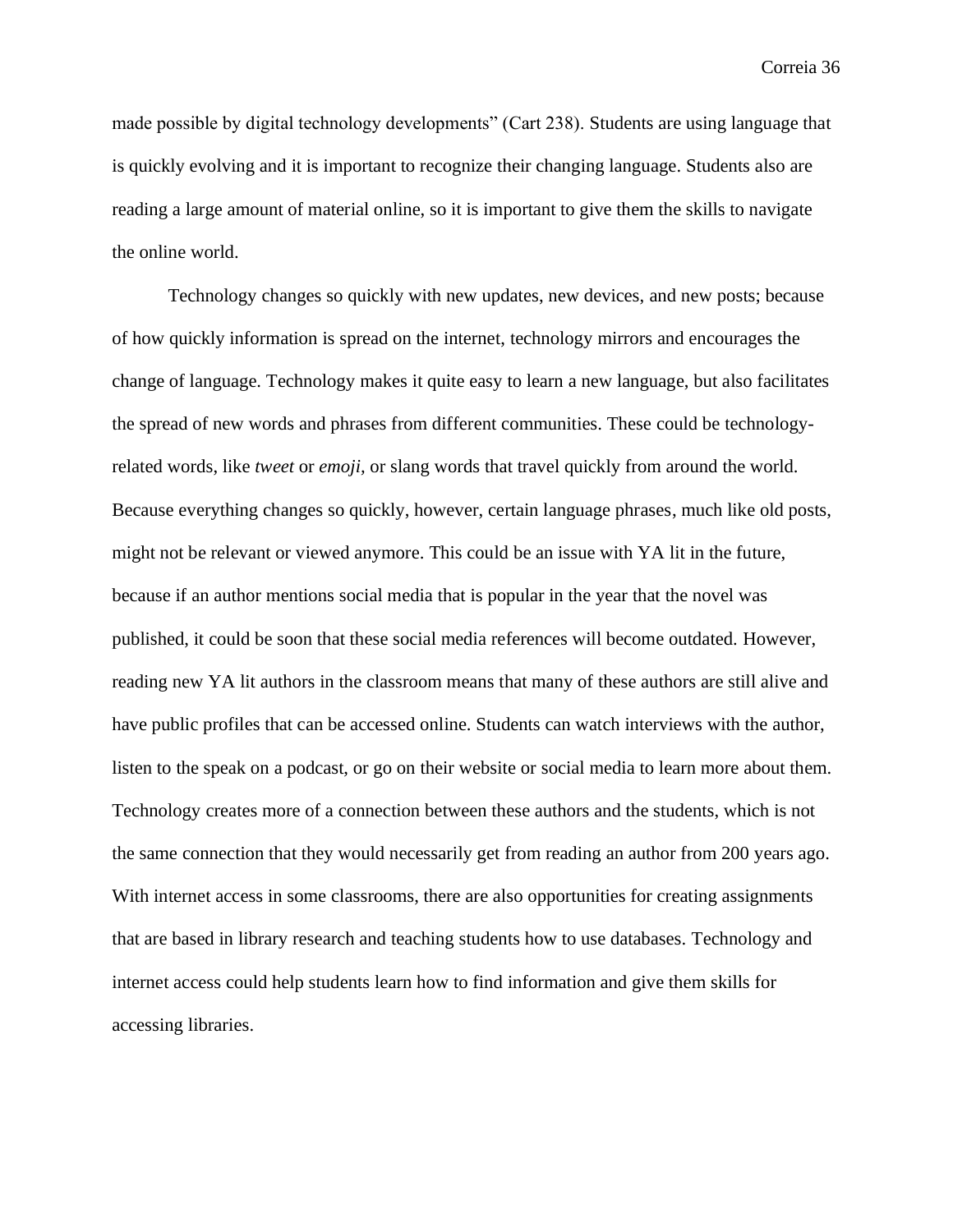made possible by digital technology developments" (Cart 238). Students are using language that is quickly evolving and it is important to recognize their changing language. Students also are reading a large amount of material online, so it is important to give them the skills to navigate the online world.

Technology changes so quickly with new updates, new devices, and new posts; because of how quickly information is spread on the internet, technology mirrors and encourages the change of language. Technology makes it quite easy to learn a new language, but also facilitates the spread of new words and phrases from different communities. These could be technologyrelated words, like *tweet* or *emoji,* or slang words that travel quickly from around the world. Because everything changes so quickly, however, certain language phrases, much like old posts, might not be relevant or viewed anymore. This could be an issue with YA lit in the future, because if an author mentions social media that is popular in the year that the novel was published, it could be soon that these social media references will become outdated. However, reading new YA lit authors in the classroom means that many of these authors are still alive and have public profiles that can be accessed online. Students can watch interviews with the author, listen to the speak on a podcast, or go on their website or social media to learn more about them. Technology creates more of a connection between these authors and the students, which is not the same connection that they would necessarily get from reading an author from 200 years ago. With internet access in some classrooms, there are also opportunities for creating assignments that are based in library research and teaching students how to use databases. Technology and internet access could help students learn how to find information and give them skills for accessing libraries.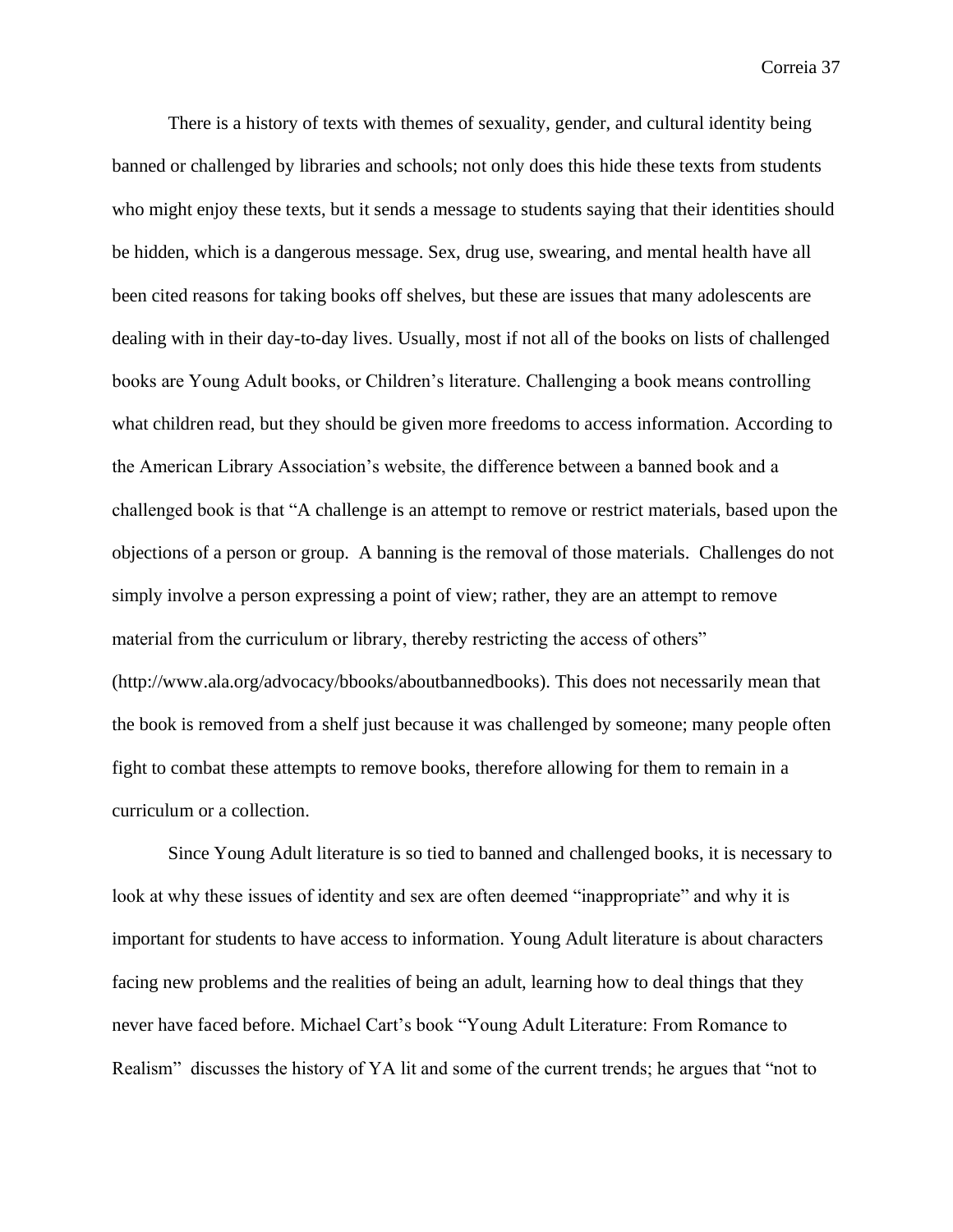There is a history of texts with themes of sexuality, gender, and cultural identity being banned or challenged by libraries and schools; not only does this hide these texts from students who might enjoy these texts, but it sends a message to students saying that their identities should be hidden, which is a dangerous message. Sex, drug use, swearing, and mental health have all been cited reasons for taking books off shelves, but these are issues that many adolescents are dealing with in their day-to-day lives. Usually, most if not all of the books on lists of challenged books are Young Adult books, or Children's literature. Challenging a book means controlling what children read, but they should be given more freedoms to access information. According to the American Library Association's website, the difference between a banned book and a challenged book is that "A challenge is an attempt to remove or restrict materials, based upon the objections of a person or group. A banning is the removal of those materials. Challenges do not simply involve a person expressing a point of view; rather, they are an attempt to remove material from the curriculum or library, thereby restricting the access of others" (http://www.ala.org/advocacy/bbooks/aboutbannedbooks). This does not necessarily mean that the book is removed from a shelf just because it was challenged by someone; many people often fight to combat these attempts to remove books, therefore allowing for them to remain in a curriculum or a collection.

Since Young Adult literature is so tied to banned and challenged books, it is necessary to look at why these issues of identity and sex are often deemed "inappropriate" and why it is important for students to have access to information. Young Adult literature is about characters facing new problems and the realities of being an adult, learning how to deal things that they never have faced before. Michael Cart's book "Young Adult Literature: From Romance to Realism" discusses the history of YA lit and some of the current trends; he argues that "not to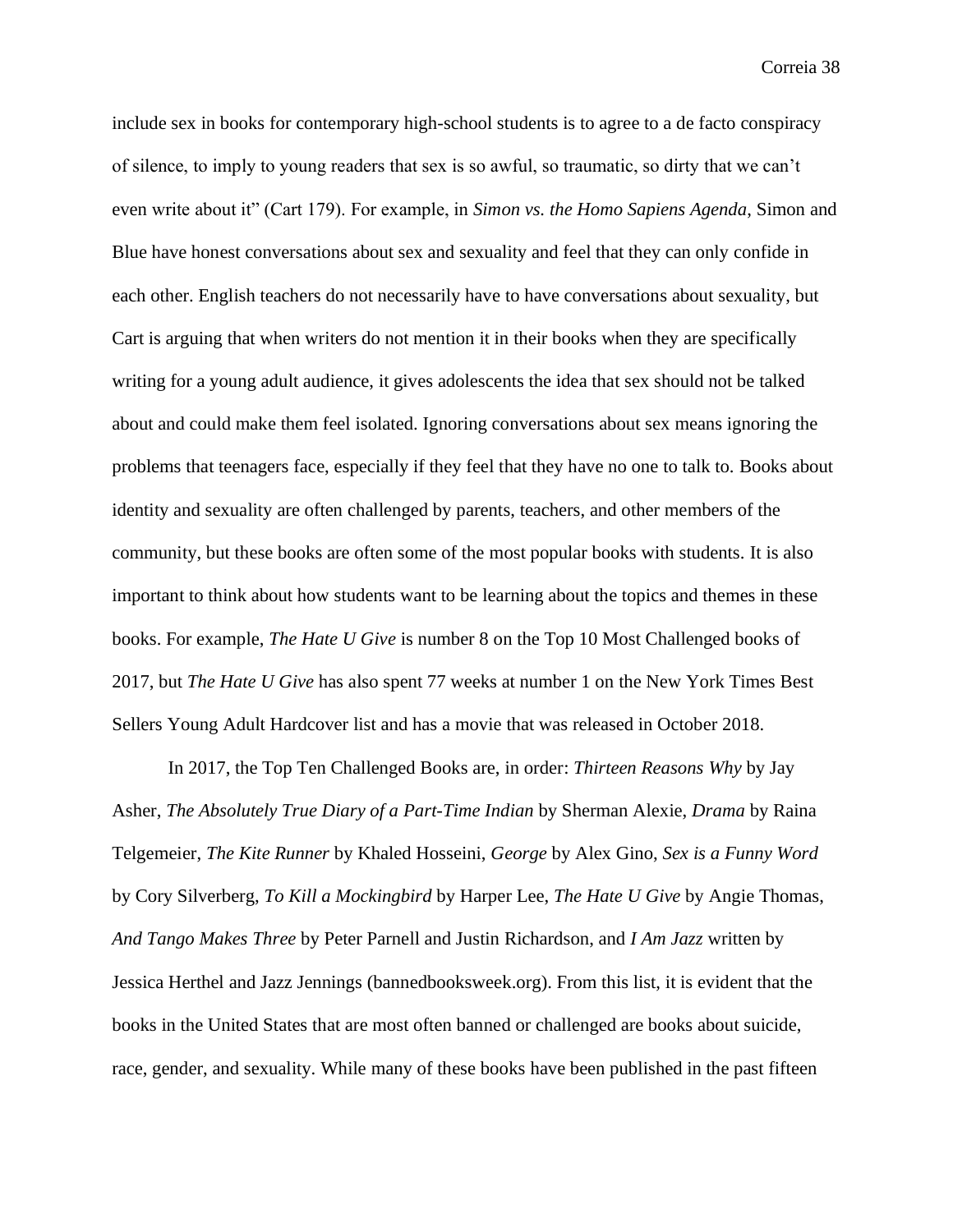include sex in books for contemporary high-school students is to agree to a de facto conspiracy of silence, to imply to young readers that sex is so awful, so traumatic, so dirty that we can't even write about it" (Cart 179). For example, in *Simon vs. the Homo Sapiens Agenda*, Simon and Blue have honest conversations about sex and sexuality and feel that they can only confide in each other. English teachers do not necessarily have to have conversations about sexuality, but Cart is arguing that when writers do not mention it in their books when they are specifically writing for a young adult audience, it gives adolescents the idea that sex should not be talked about and could make them feel isolated. Ignoring conversations about sex means ignoring the problems that teenagers face, especially if they feel that they have no one to talk to. Books about identity and sexuality are often challenged by parents, teachers, and other members of the community, but these books are often some of the most popular books with students. It is also important to think about how students want to be learning about the topics and themes in these books. For example, *The Hate U Give* is number 8 on the Top 10 Most Challenged books of 2017, but *The Hate U Give* has also spent 77 weeks at number 1 on the New York Times Best Sellers Young Adult Hardcover list and has a movie that was released in October 2018.

In 2017, the Top Ten Challenged Books are, in order: *Thirteen Reasons Why* by Jay Asher, *The Absolutely True Diary of a Part-Time Indian* by Sherman Alexie, *Drama* by Raina Telgemeier, *The Kite Runner* by Khaled Hosseini, *George* by Alex Gino, *Sex is a Funny Word* by Cory Silverberg, *To Kill a Mockingbird* by Harper Lee, *The Hate U Give* by Angie Thomas, *And Tango Makes Three* by Peter Parnell and Justin Richardson, and *I Am Jazz* written by Jessica Herthel and Jazz Jennings (bannedbooksweek.org). From this list, it is evident that the books in the United States that are most often banned or challenged are books about suicide, race, gender, and sexuality. While many of these books have been published in the past fifteen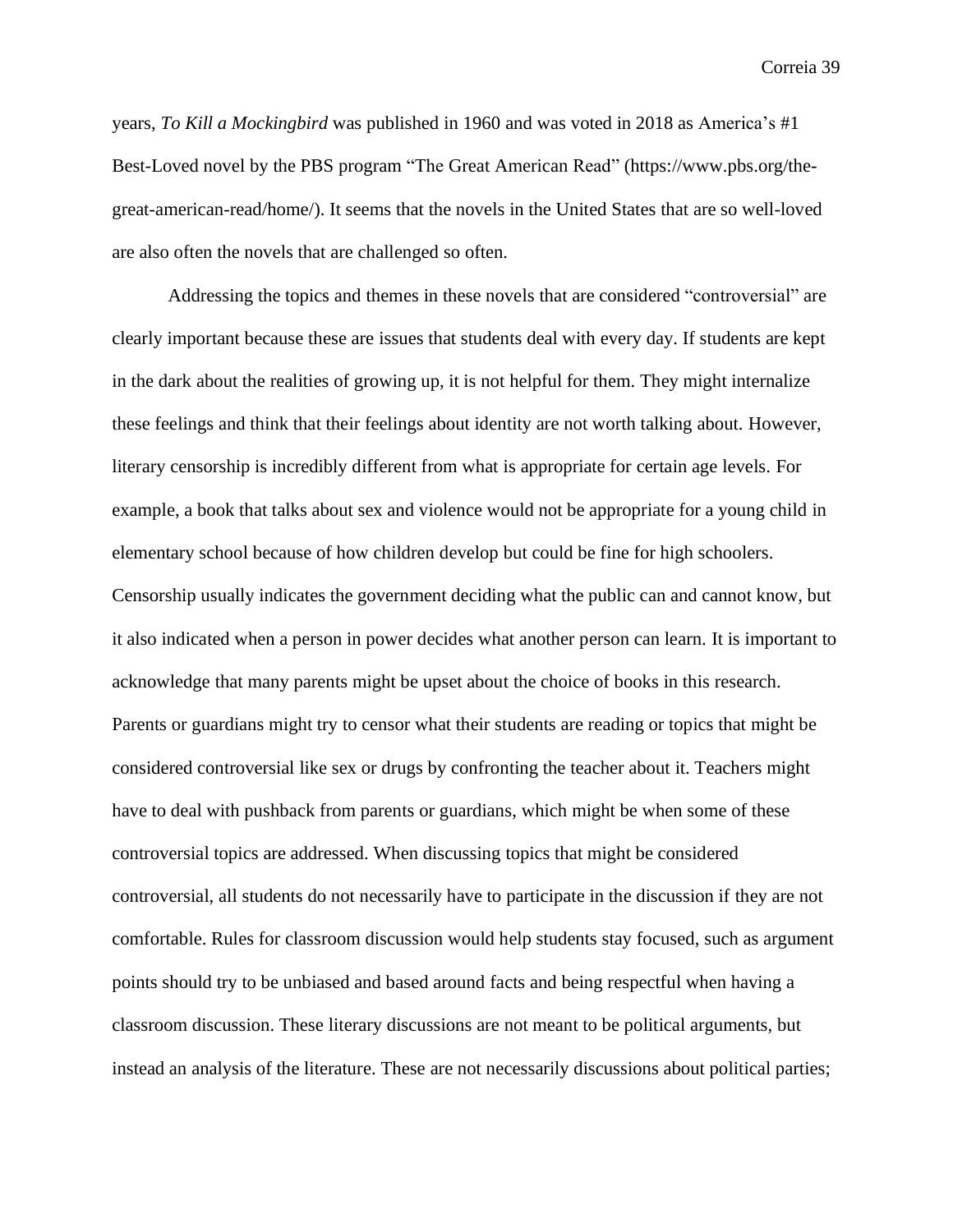years, *To Kill a Mockingbird* was published in 1960 and was voted in 2018 as America's #1 Best-Loved novel by the PBS program "The Great American Read" (https://www.pbs.org/thegreat-american-read/home/). It seems that the novels in the United States that are so well-loved are also often the novels that are challenged so often.

Addressing the topics and themes in these novels that are considered "controversial" are clearly important because these are issues that students deal with every day. If students are kept in the dark about the realities of growing up, it is not helpful for them. They might internalize these feelings and think that their feelings about identity are not worth talking about. However, literary censorship is incredibly different from what is appropriate for certain age levels. For example, a book that talks about sex and violence would not be appropriate for a young child in elementary school because of how children develop but could be fine for high schoolers. Censorship usually indicates the government deciding what the public can and cannot know, but it also indicated when a person in power decides what another person can learn. It is important to acknowledge that many parents might be upset about the choice of books in this research. Parents or guardians might try to censor what their students are reading or topics that might be considered controversial like sex or drugs by confronting the teacher about it. Teachers might have to deal with pushback from parents or guardians, which might be when some of these controversial topics are addressed. When discussing topics that might be considered controversial, all students do not necessarily have to participate in the discussion if they are not comfortable. Rules for classroom discussion would help students stay focused, such as argument points should try to be unbiased and based around facts and being respectful when having a classroom discussion. These literary discussions are not meant to be political arguments, but instead an analysis of the literature. These are not necessarily discussions about political parties;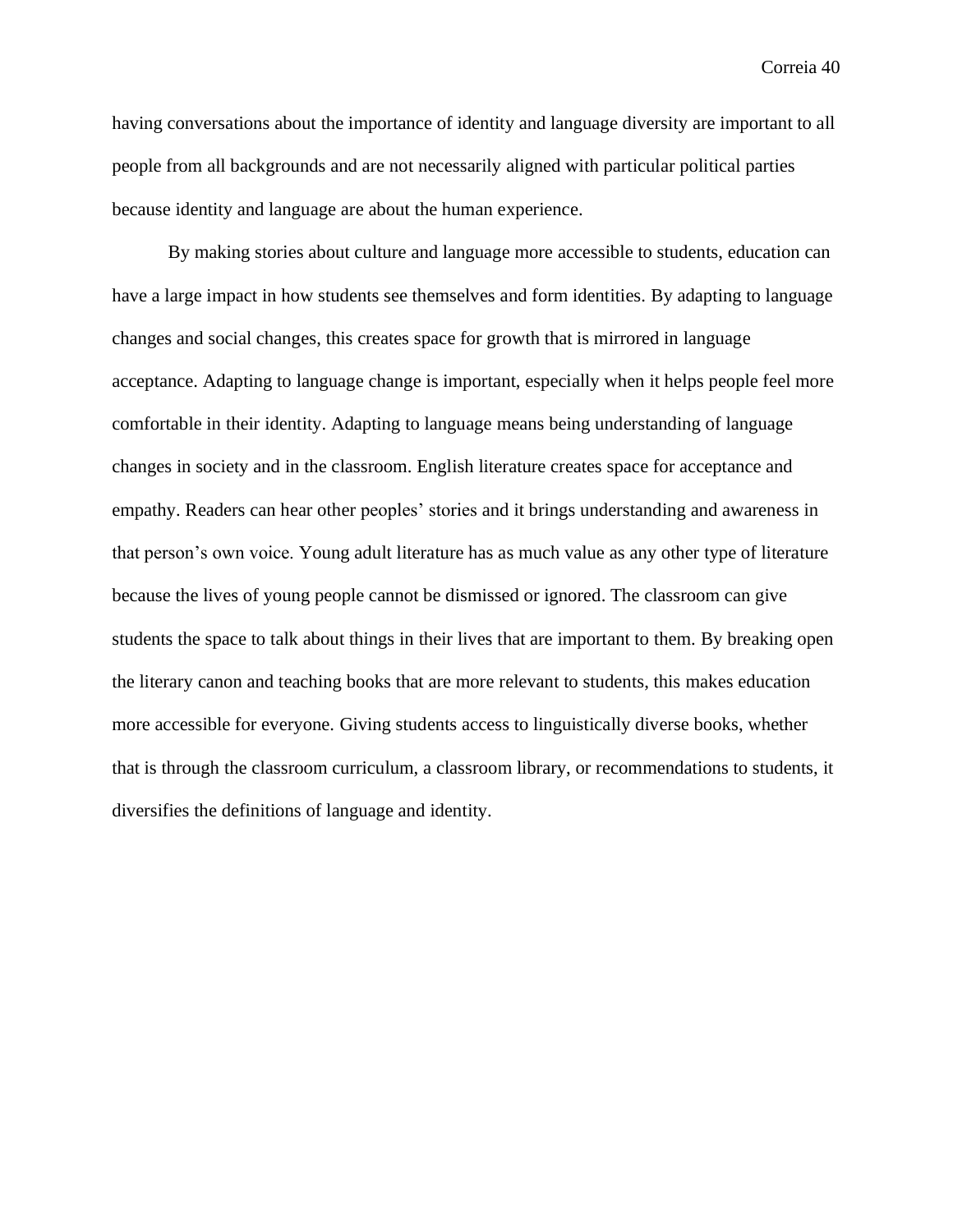having conversations about the importance of identity and language diversity are important to all people from all backgrounds and are not necessarily aligned with particular political parties because identity and language are about the human experience.

By making stories about culture and language more accessible to students, education can have a large impact in how students see themselves and form identities. By adapting to language changes and social changes, this creates space for growth that is mirrored in language acceptance. Adapting to language change is important, especially when it helps people feel more comfortable in their identity. Adapting to language means being understanding of language changes in society and in the classroom. English literature creates space for acceptance and empathy. Readers can hear other peoples' stories and it brings understanding and awareness in that person's own voice. Young adult literature has as much value as any other type of literature because the lives of young people cannot be dismissed or ignored. The classroom can give students the space to talk about things in their lives that are important to them. By breaking open the literary canon and teaching books that are more relevant to students, this makes education more accessible for everyone. Giving students access to linguistically diverse books, whether that is through the classroom curriculum, a classroom library, or recommendations to students, it diversifies the definitions of language and identity.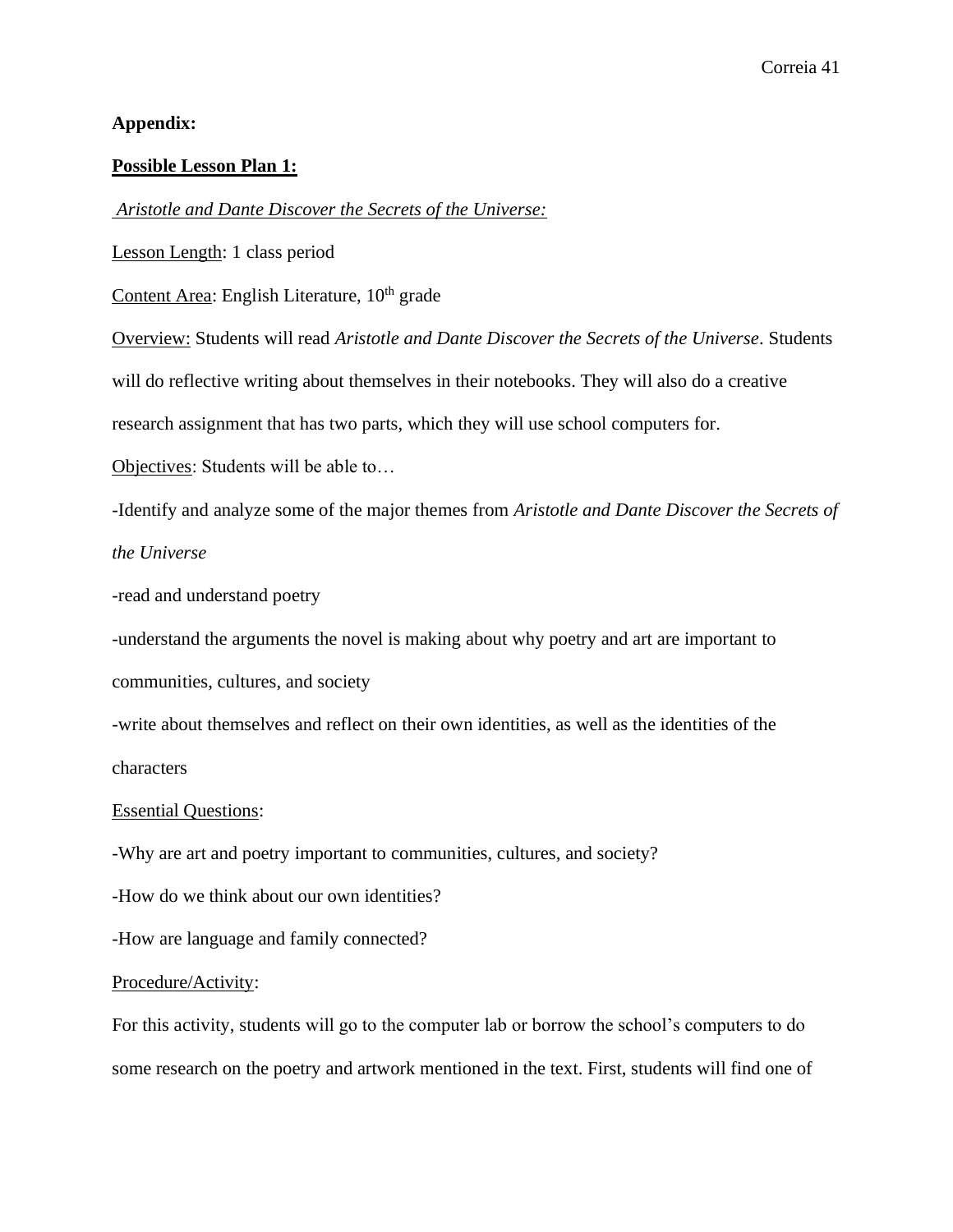## **Appendix:**

## **Possible Lesson Plan 1:**

*Aristotle and Dante Discover the Secrets of the Universe:*

Lesson Length: 1 class period

Content Area: English Literature,  $10<sup>th</sup>$  grade

Overview: Students will read *Aristotle and Dante Discover the Secrets of the Universe*. Students

will do reflective writing about themselves in their notebooks. They will also do a creative

research assignment that has two parts, which they will use school computers for.

Objectives: Students will be able to…

-Identify and analyze some of the major themes from *Aristotle and Dante Discover the Secrets of the Universe*

-read and understand poetry

-understand the arguments the novel is making about why poetry and art are important to communities, cultures, and society

-write about themselves and reflect on their own identities, as well as the identities of the characters

## Essential Questions:

-Why are art and poetry important to communities, cultures, and society?

-How do we think about our own identities?

-How are language and family connected?

#### Procedure/Activity:

For this activity, students will go to the computer lab or borrow the school's computers to do some research on the poetry and artwork mentioned in the text. First, students will find one of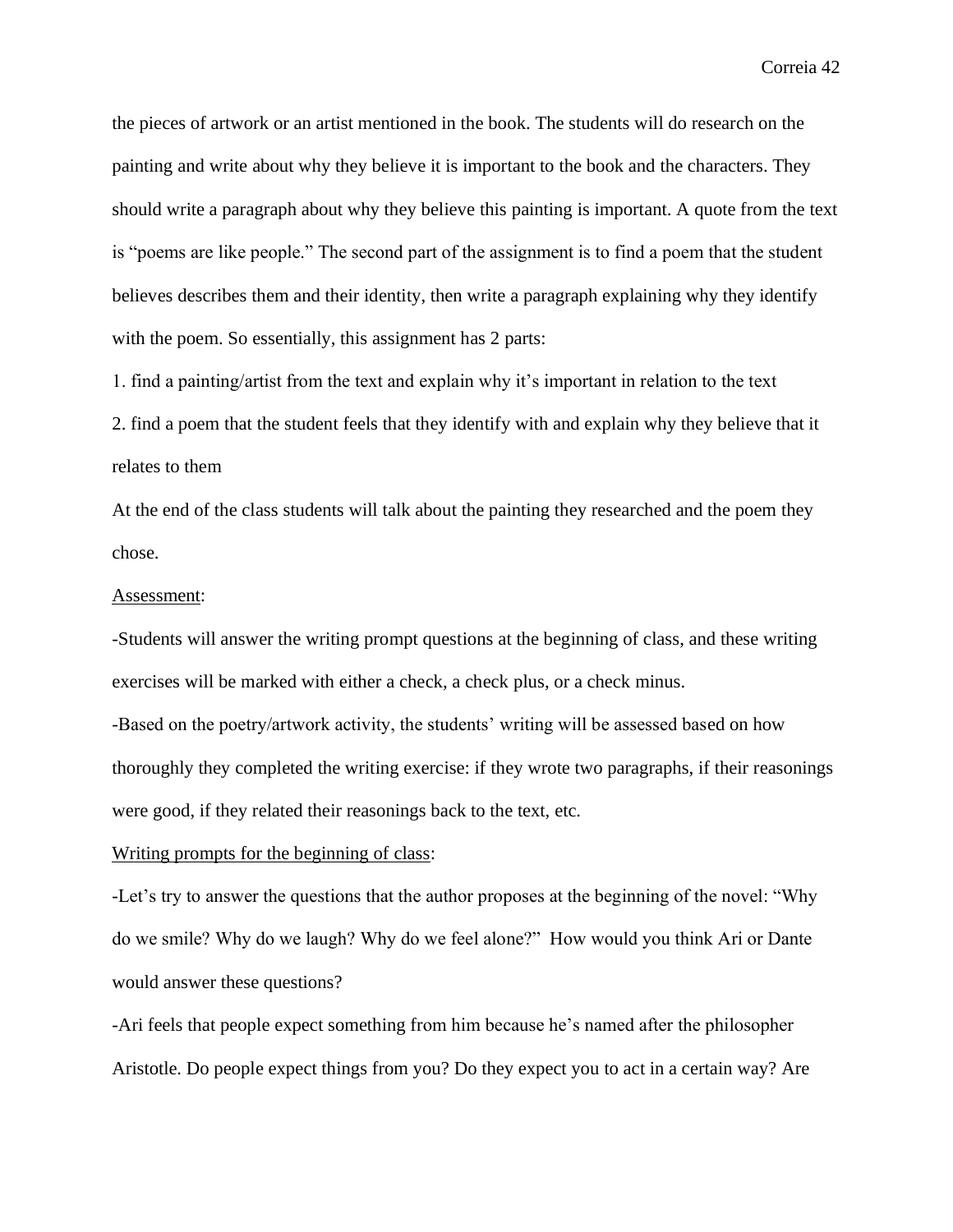the pieces of artwork or an artist mentioned in the book. The students will do research on the painting and write about why they believe it is important to the book and the characters. They should write a paragraph about why they believe this painting is important. A quote from the text is "poems are like people." The second part of the assignment is to find a poem that the student believes describes them and their identity, then write a paragraph explaining why they identify with the poem. So essentially, this assignment has 2 parts:

1. find a painting/artist from the text and explain why it's important in relation to the text

2. find a poem that the student feels that they identify with and explain why they believe that it relates to them

At the end of the class students will talk about the painting they researched and the poem they chose.

#### Assessment:

-Students will answer the writing prompt questions at the beginning of class, and these writing exercises will be marked with either a check, a check plus, or a check minus.

-Based on the poetry/artwork activity, the students' writing will be assessed based on how thoroughly they completed the writing exercise: if they wrote two paragraphs, if their reasonings were good, if they related their reasonings back to the text, etc.

### Writing prompts for the beginning of class:

-Let's try to answer the questions that the author proposes at the beginning of the novel: "Why do we smile? Why do we laugh? Why do we feel alone?" How would you think Ari or Dante would answer these questions?

-Ari feels that people expect something from him because he's named after the philosopher Aristotle. Do people expect things from you? Do they expect you to act in a certain way? Are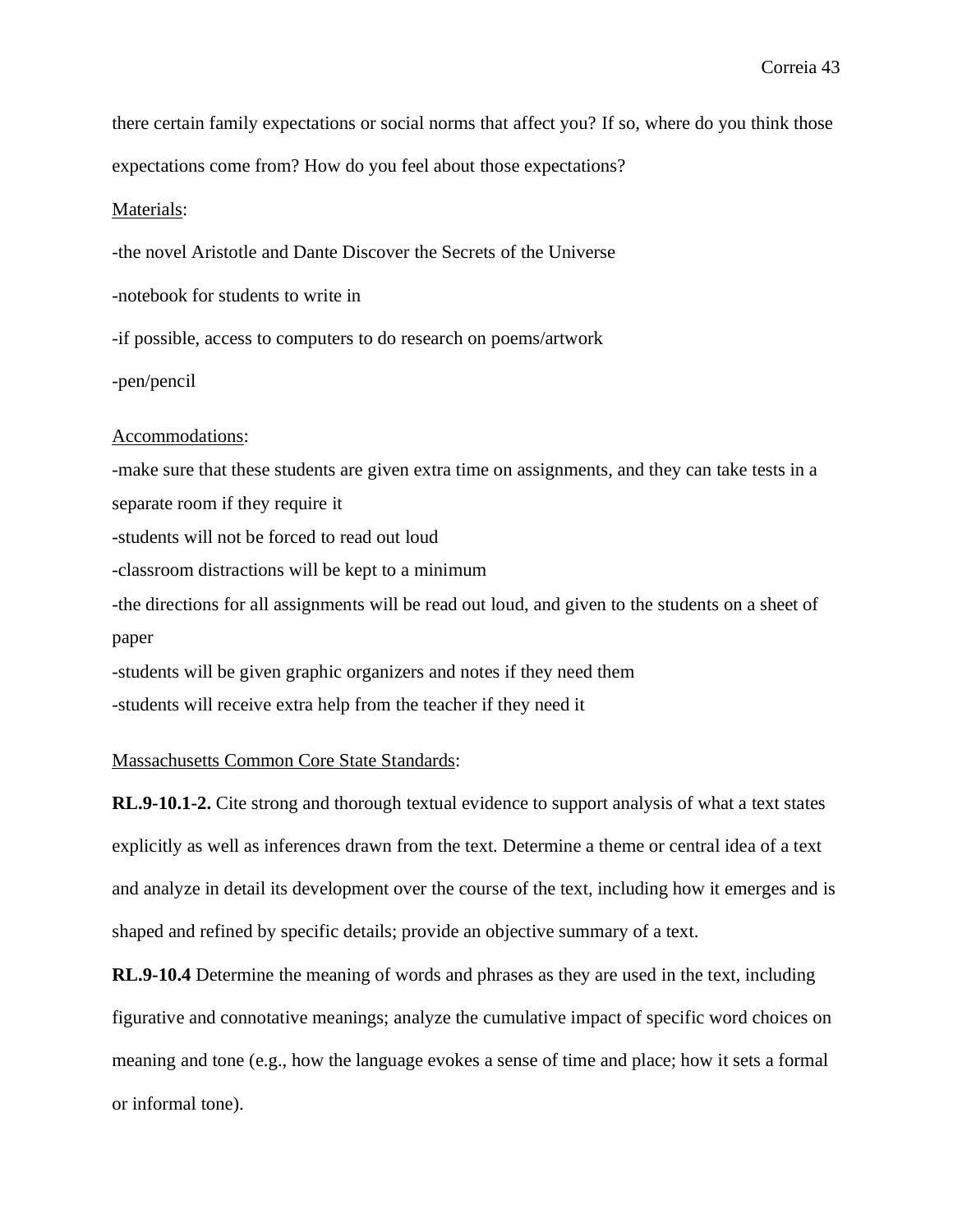there certain family expectations or social norms that affect you? If so, where do you think those expectations come from? How do you feel about those expectations?

Materials:

-the novel Aristotle and Dante Discover the Secrets of the Universe

-notebook for students to write in

-if possible, access to computers to do research on poems/artwork

-pen/pencil

## Accommodations:

-make sure that these students are given extra time on assignments, and they can take tests in a separate room if they require it -students will not be forced to read out loud -classroom distractions will be kept to a minimum -the directions for all assignments will be read out loud, and given to the students on a sheet of paper

-students will be given graphic organizers and notes if they need them -students will receive extra help from the teacher if they need it

## Massachusetts Common Core State Standards:

**RL.9-10.1-2.** Cite strong and thorough textual evidence to support analysis of what a text states explicitly as well as inferences drawn from the text. Determine a theme or central idea of a text and analyze in detail its development over the course of the text, including how it emerges and is shaped and refined by specific details; provide an objective summary of a text.

**RL.9-10.4** Determine the meaning of words and phrases as they are used in the text, including figurative and connotative meanings; analyze the cumulative impact of specific word choices on meaning and tone (e.g., how the language evokes a sense of time and place; how it sets a formal or informal tone).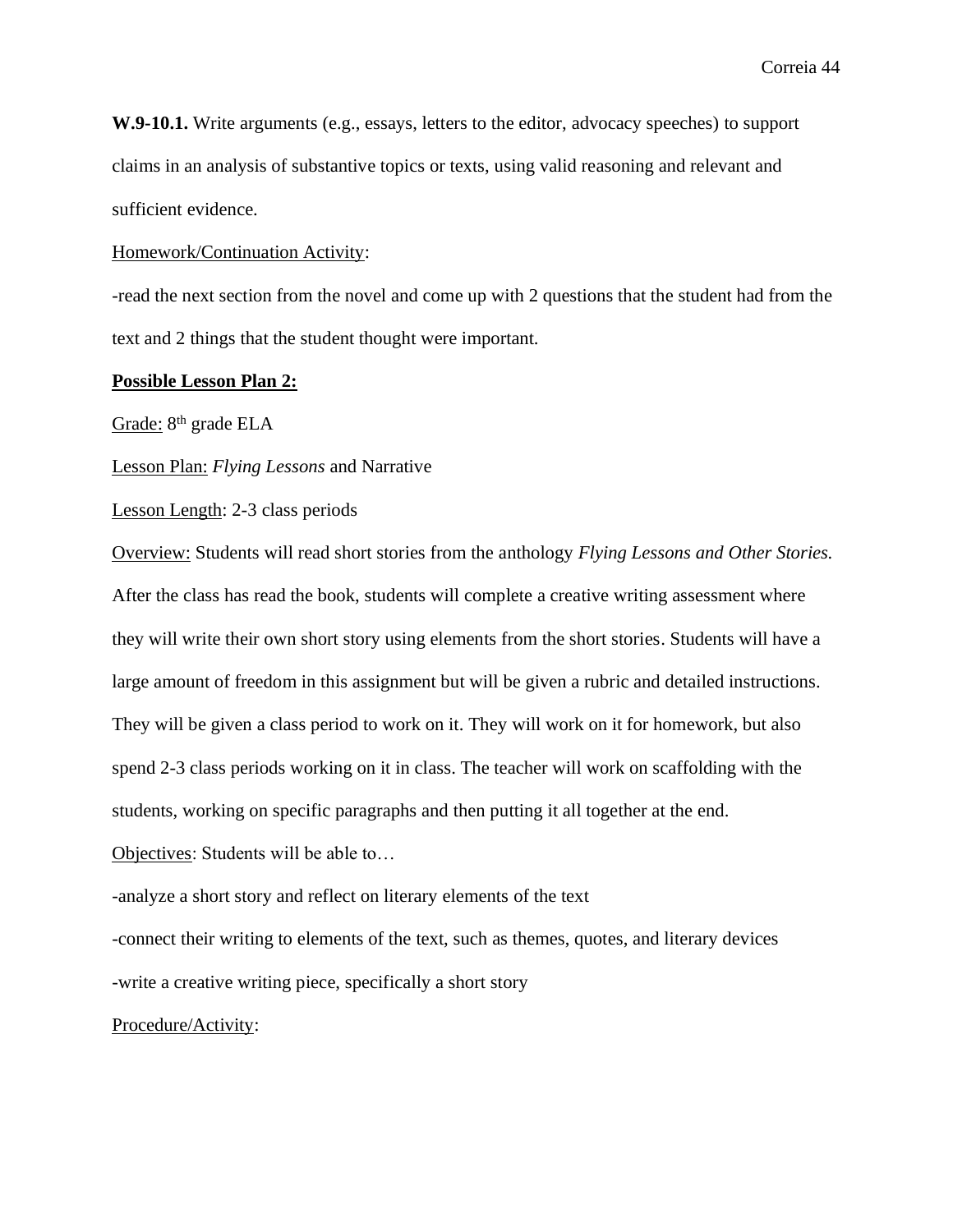**W.9-10.1.** Write arguments (e.g., essays, letters to the editor, advocacy speeches) to support claims in an analysis of substantive topics or texts, using valid reasoning and relevant and sufficient evidence.

## Homework/Continuation Activity:

-read the next section from the novel and come up with 2 questions that the student had from the text and 2 things that the student thought were important.

## **Possible Lesson Plan 2:**

Grade: 8<sup>th</sup> grade ELA

Lesson Plan: *Flying Lessons* and Narrative

Lesson Length: 2-3 class periods

Overview: Students will read short stories from the anthology *Flying Lessons and Other Stories.* After the class has read the book, students will complete a creative writing assessment where they will write their own short story using elements from the short stories. Students will have a large amount of freedom in this assignment but will be given a rubric and detailed instructions. They will be given a class period to work on it. They will work on it for homework, but also spend 2-3 class periods working on it in class. The teacher will work on scaffolding with the students, working on specific paragraphs and then putting it all together at the end.

Objectives: Students will be able to…

-analyze a short story and reflect on literary elements of the text

-connect their writing to elements of the text, such as themes, quotes, and literary devices

-write a creative writing piece, specifically a short story

## Procedure/Activity: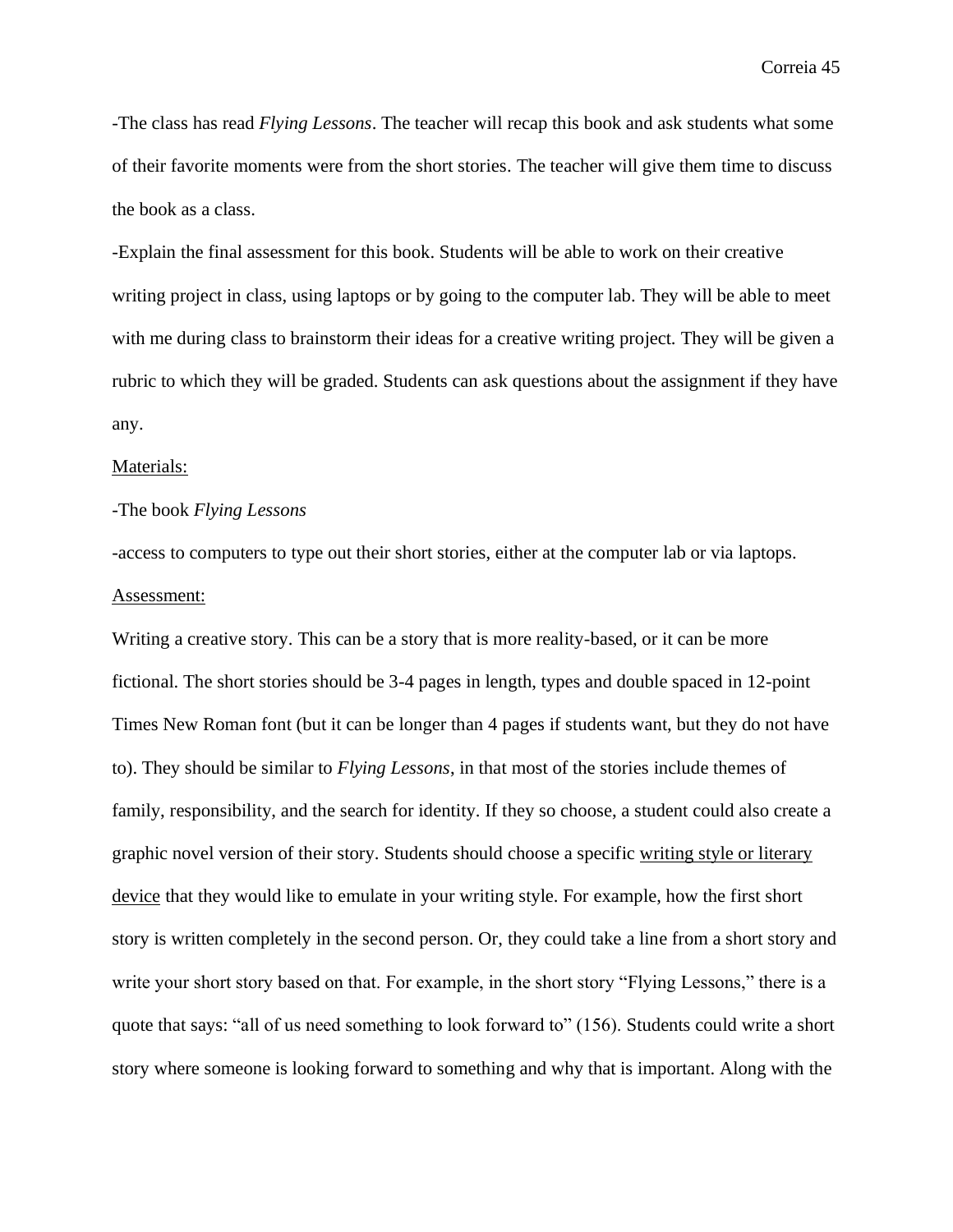-The class has read *Flying Lessons*. The teacher will recap this book and ask students what some of their favorite moments were from the short stories. The teacher will give them time to discuss the book as a class.

-Explain the final assessment for this book. Students will be able to work on their creative writing project in class, using laptops or by going to the computer lab. They will be able to meet with me during class to brainstorm their ideas for a creative writing project. They will be given a rubric to which they will be graded. Students can ask questions about the assignment if they have any.

#### Materials:

## -The book *Flying Lessons*

-access to computers to type out their short stories, either at the computer lab or via laptops. Assessment:

Writing a creative story. This can be a story that is more reality-based, or it can be more fictional. The short stories should be 3-4 pages in length, types and double spaced in 12-point Times New Roman font (but it can be longer than 4 pages if students want, but they do not have to). They should be similar to *Flying Lessons*, in that most of the stories include themes of family, responsibility, and the search for identity. If they so choose, a student could also create a graphic novel version of their story. Students should choose a specific writing style or literary device that they would like to emulate in your writing style. For example, how the first short story is written completely in the second person. Or, they could take a line from a short story and write your short story based on that. For example, in the short story "Flying Lessons," there is a quote that says: "all of us need something to look forward to" (156). Students could write a short story where someone is looking forward to something and why that is important. Along with the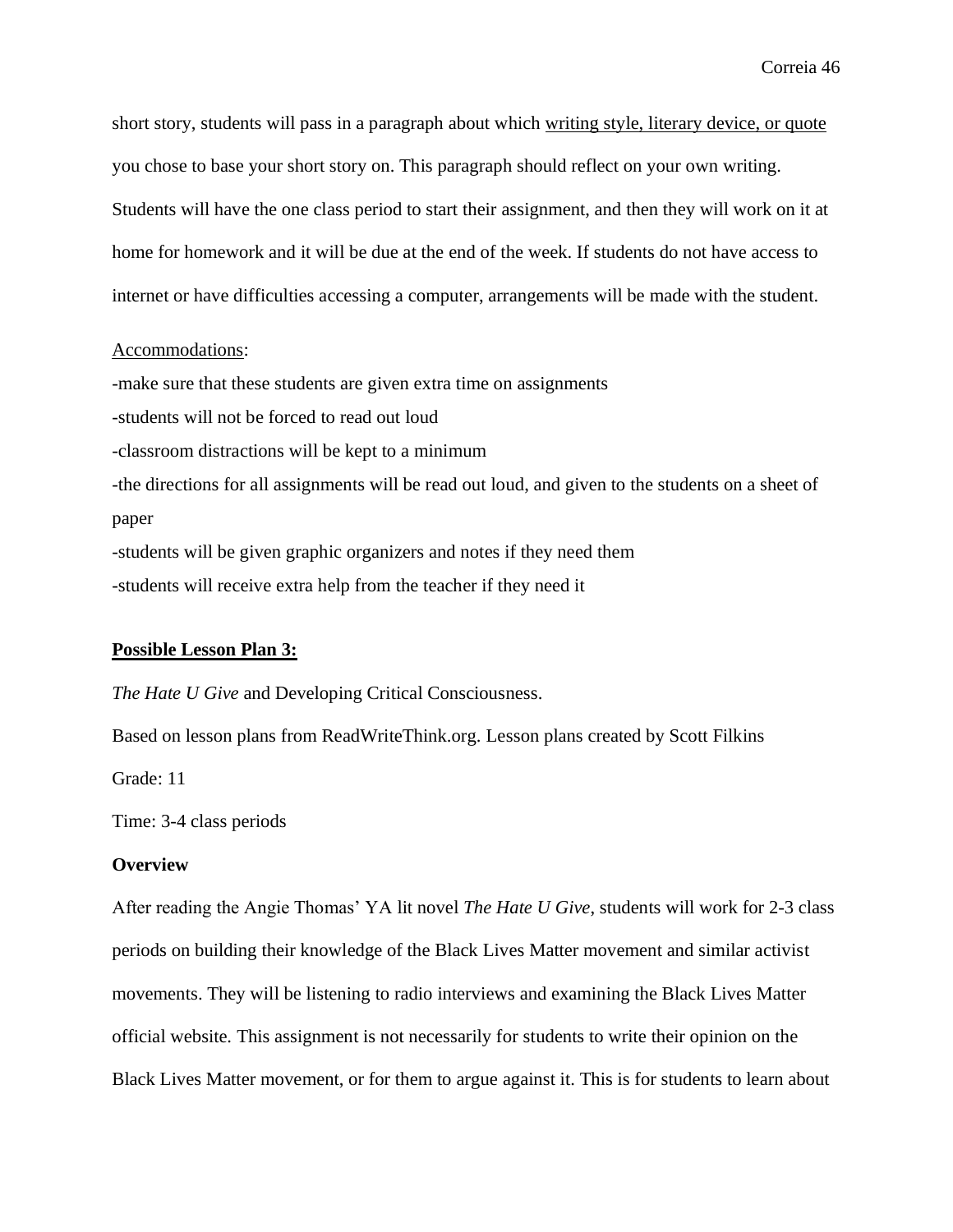short story, students will pass in a paragraph about which writing style, literary device, or quote you chose to base your short story on. This paragraph should reflect on your own writing. Students will have the one class period to start their assignment, and then they will work on it at home for homework and it will be due at the end of the week. If students do not have access to internet or have difficulties accessing a computer, arrangements will be made with the student.

## Accommodations:

-make sure that these students are given extra time on assignments -students will not be forced to read out loud -classroom distractions will be kept to a minimum -the directions for all assignments will be read out loud, and given to the students on a sheet of paper -students will be given graphic organizers and notes if they need them -students will receive extra help from the teacher if they need it

## **Possible Lesson Plan 3:**

*The Hate U Give* and Developing Critical Consciousness.

Based on lesson plans from ReadWriteThink.org. Lesson plans created by Scott Filkins

Grade: 11

Time: 3-4 class periods

## **Overview**

After reading the Angie Thomas' YA lit novel *The Hate U Give*, students will work for 2-3 class periods on building their knowledge of the Black Lives Matter movement and similar activist movements. They will be listening to radio interviews and examining the Black Lives Matter official website. This assignment is not necessarily for students to write their opinion on the Black Lives Matter movement, or for them to argue against it. This is for students to learn about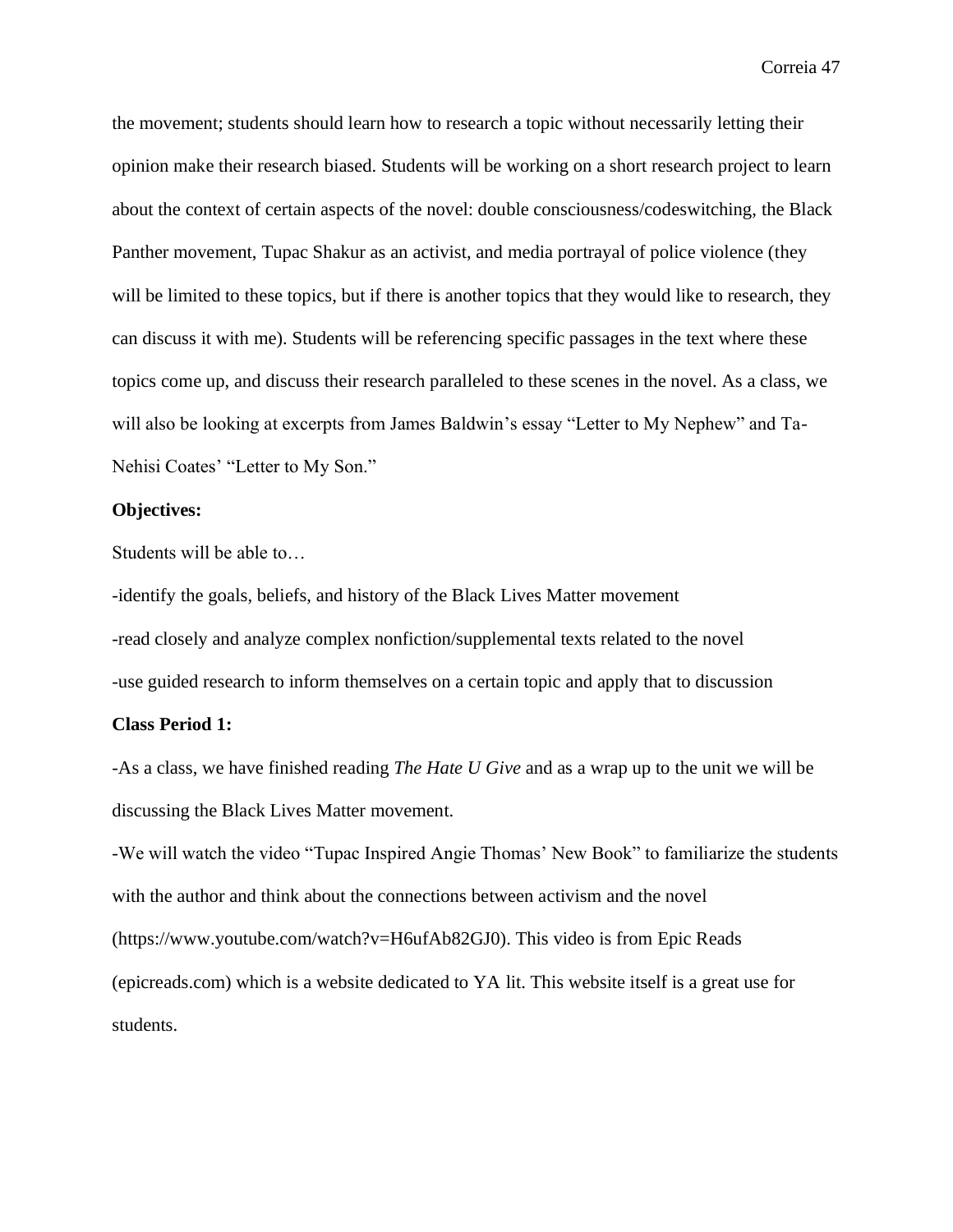the movement; students should learn how to research a topic without necessarily letting their opinion make their research biased. Students will be working on a short research project to learn about the context of certain aspects of the novel: double consciousness/codeswitching, the Black Panther movement, Tupac Shakur as an activist, and media portrayal of police violence (they will be limited to these topics, but if there is another topics that they would like to research, they can discuss it with me). Students will be referencing specific passages in the text where these topics come up, and discuss their research paralleled to these scenes in the novel. As a class, we will also be looking at excerpts from James Baldwin's essay "Letter to My Nephew" and Ta-Nehisi Coates' "Letter to My Son."

## **Objectives:**

Students will be able to…

-identify the goals, beliefs, and history of the Black Lives Matter movement -read closely and analyze complex nonfiction/supplemental texts related to the novel -use guided research to inform themselves on a certain topic and apply that to discussion

## **Class Period 1:**

-As a class, we have finished reading *The Hate U Give* and as a wrap up to the unit we will be discussing the Black Lives Matter movement.

-We will watch the video "Tupac Inspired Angie Thomas' New Book" to familiarize the students with the author and think about the connections between activism and the novel (https://www.youtube.com/watch?v=H6ufAb82GJ0). This video is from Epic Reads (epicreads.com) which is a website dedicated to YA lit. This website itself is a great use for students.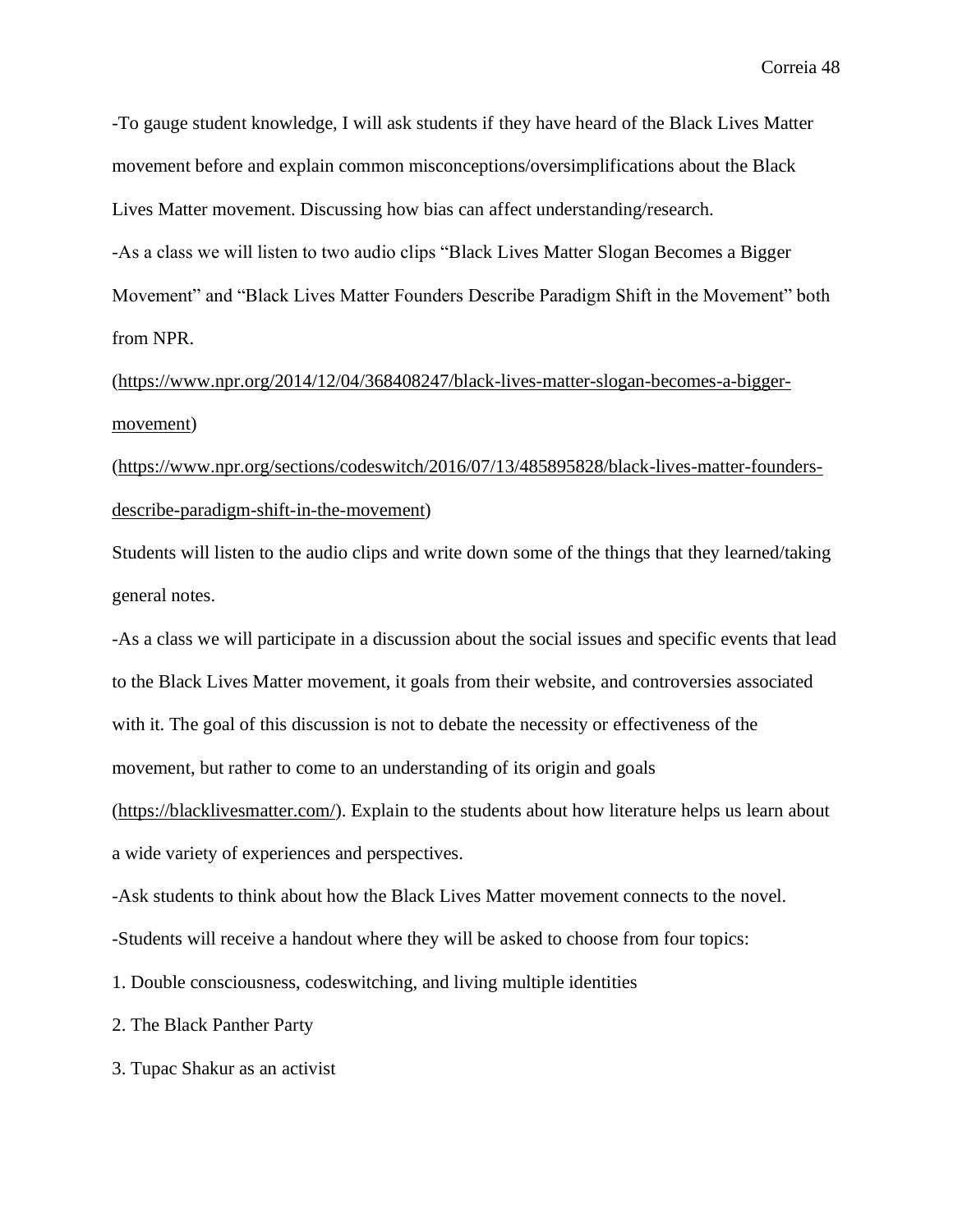-To gauge student knowledge, I will ask students if they have heard of the Black Lives Matter movement before and explain common misconceptions/oversimplifications about the Black Lives Matter movement. Discussing how bias can affect understanding/research.

-As a class we will listen to two audio clips "Black Lives Matter Slogan Becomes a Bigger Movement" and "Black Lives Matter Founders Describe Paradigm Shift in the Movement" both from NPR.

[\(https://www.npr.org/2014/12/04/368408247/black-lives-matter-slogan-becomes-a-bigger](https://www.npr.org/2014/12/04/368408247/black-lives-matter-slogan-becomes-a-bigger-movement)[movement\)](https://www.npr.org/2014/12/04/368408247/black-lives-matter-slogan-becomes-a-bigger-movement)

[\(https://www.npr.org/sections/codeswitch/2016/07/13/485895828/black-lives-matter-founders](https://www.npr.org/sections/codeswitch/2016/07/13/485895828/black-lives-matter-founders-describe-paradigm-shift-in-the-movement)[describe-paradigm-shift-in-the-movement\)](https://www.npr.org/sections/codeswitch/2016/07/13/485895828/black-lives-matter-founders-describe-paradigm-shift-in-the-movement)

Students will listen to the audio clips and write down some of the things that they learned/taking general notes.

-As a class we will participate in a discussion about the social issues and specific events that lead to the Black Lives Matter movement, it goals from their website, and controversies associated with it. The goal of this discussion is not to debate the necessity or effectiveness of the movement, but rather to come to an understanding of its origin and goals

[\(https://blacklivesmatter.com/\)](https://blacklivesmatter.com/). Explain to the students about how literature helps us learn about a wide variety of experiences and perspectives.

-Ask students to think about how the Black Lives Matter movement connects to the novel.

-Students will receive a handout where they will be asked to choose from four topics:

1. Double consciousness, codeswitching, and living multiple identities

2. The Black Panther Party

3. Tupac Shakur as an activist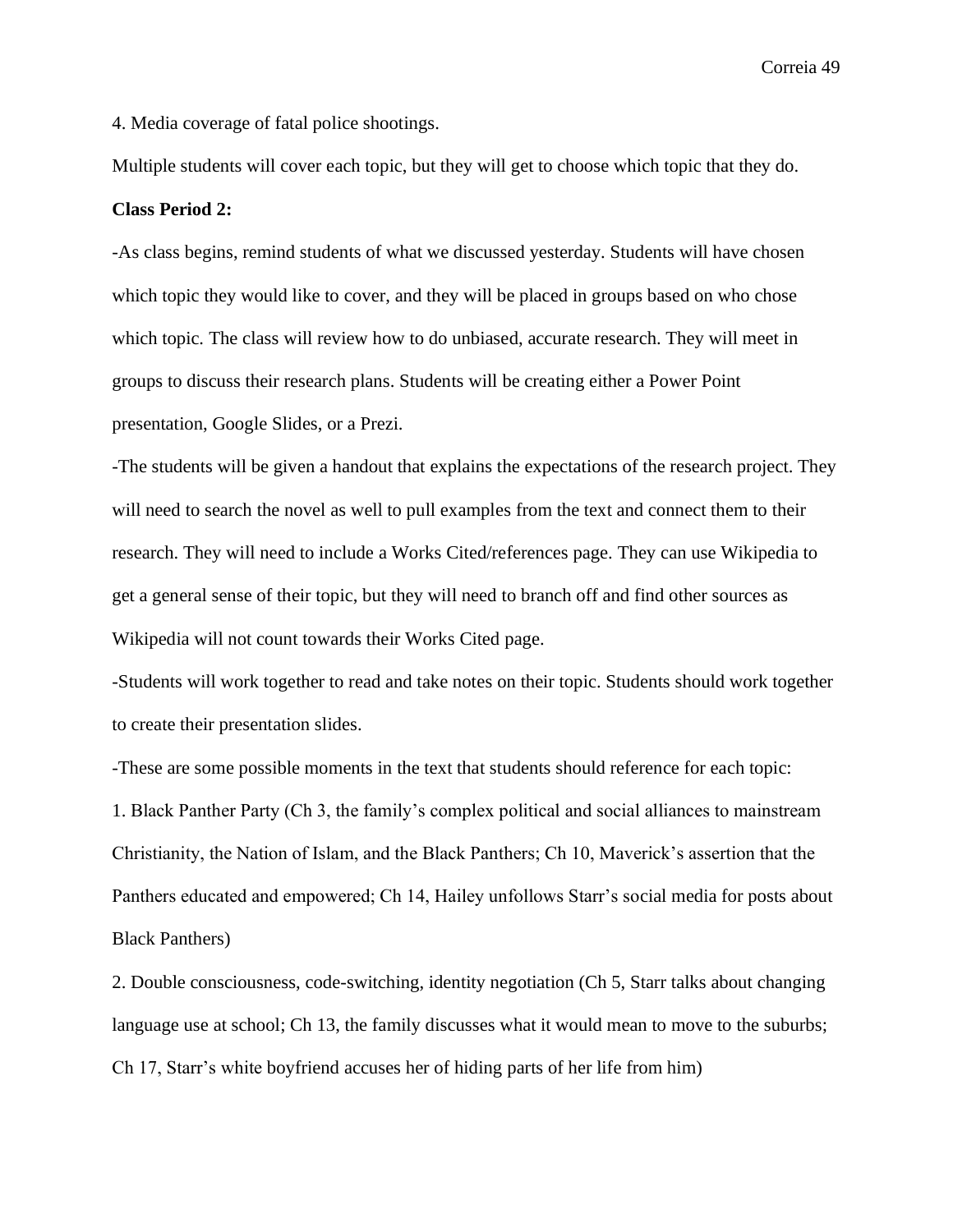4. Media coverage of fatal police shootings.

Multiple students will cover each topic, but they will get to choose which topic that they do.

## **Class Period 2:**

-As class begins, remind students of what we discussed yesterday. Students will have chosen which topic they would like to cover, and they will be placed in groups based on who chose which topic. The class will review how to do unbiased, accurate research. They will meet in groups to discuss their research plans. Students will be creating either a Power Point presentation, Google Slides, or a Prezi.

-The students will be given a handout that explains the expectations of the research project. They will need to search the novel as well to pull examples from the text and connect them to their research. They will need to include a Works Cited/references page. They can use Wikipedia to get a general sense of their topic, but they will need to branch off and find other sources as Wikipedia will not count towards their Works Cited page.

-Students will work together to read and take notes on their topic. Students should work together to create their presentation slides.

-These are some possible moments in the text that students should reference for each topic:

1. Black Panther Party (Ch 3, the family's complex political and social alliances to mainstream Christianity, the Nation of Islam, and the Black Panthers; Ch 10, Maverick's assertion that the Panthers educated and empowered; Ch 14, Hailey unfollows Starr's social media for posts about Black Panthers)

2. Double consciousness, code-switching, identity negotiation (Ch 5, Starr talks about changing language use at school; Ch 13, the family discusses what it would mean to move to the suburbs; Ch 17, Starr's white boyfriend accuses her of hiding parts of her life from him)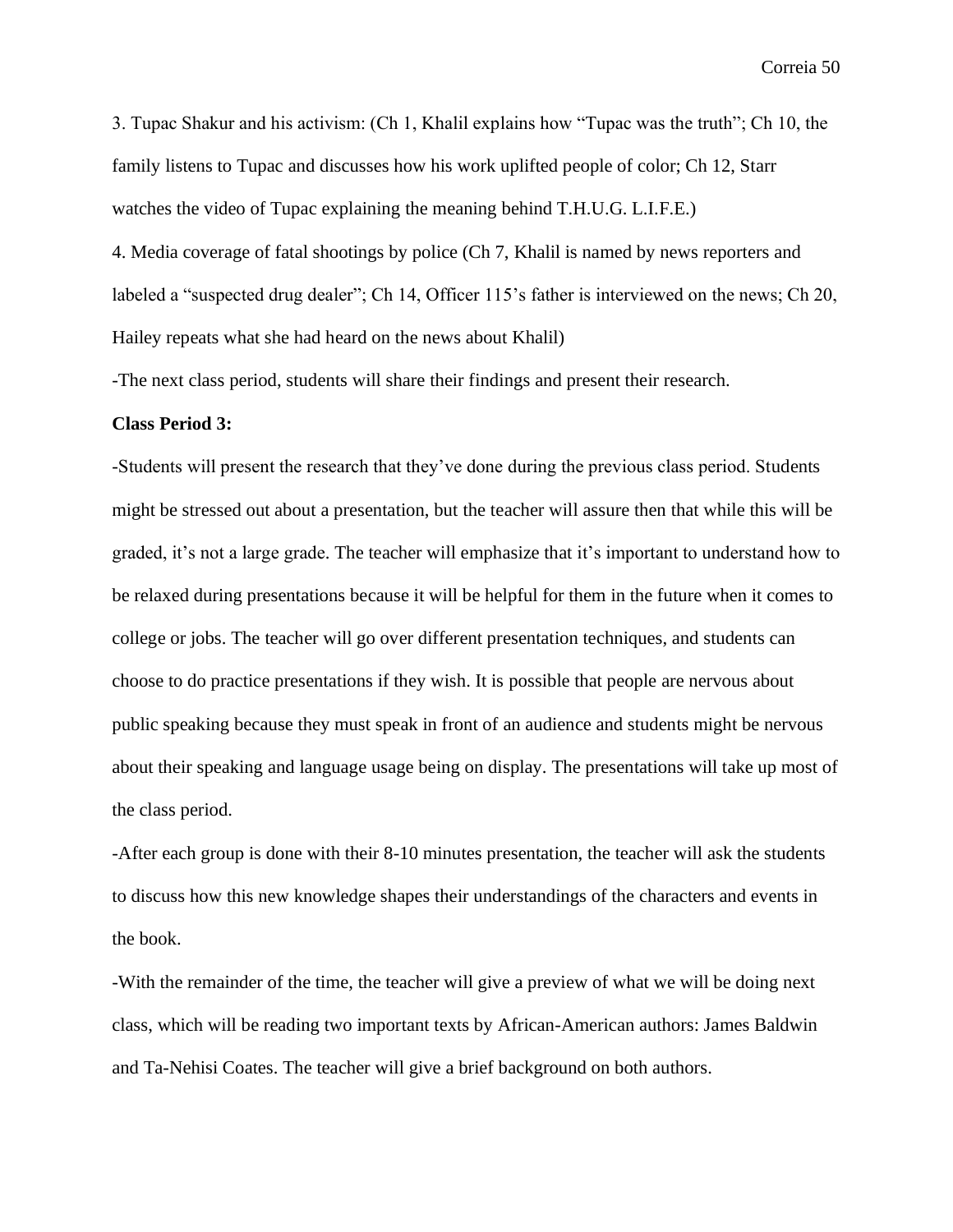3. Tupac Shakur and his activism: (Ch 1, Khalil explains how "Tupac was the truth"; Ch 10, the family listens to Tupac and discusses how his work uplifted people of color; Ch 12, Starr watches the video of Tupac explaining the meaning behind T.H.U.G. L.I.F.E.)

4. Media coverage of fatal shootings by police (Ch 7, Khalil is named by news reporters and labeled a "suspected drug dealer"; Ch 14, Officer 115's father is interviewed on the news; Ch 20, Hailey repeats what she had heard on the news about Khalil)

-The next class period, students will share their findings and present their research.

#### **Class Period 3:**

-Students will present the research that they've done during the previous class period. Students might be stressed out about a presentation, but the teacher will assure then that while this will be graded, it's not a large grade. The teacher will emphasize that it's important to understand how to be relaxed during presentations because it will be helpful for them in the future when it comes to college or jobs. The teacher will go over different presentation techniques, and students can choose to do practice presentations if they wish. It is possible that people are nervous about public speaking because they must speak in front of an audience and students might be nervous about their speaking and language usage being on display. The presentations will take up most of the class period.

-After each group is done with their 8-10 minutes presentation, the teacher will ask the students to discuss how this new knowledge shapes their understandings of the characters and events in the book.

-With the remainder of the time, the teacher will give a preview of what we will be doing next class, which will be reading two important texts by African-American authors: James Baldwin and Ta-Nehisi Coates. The teacher will give a brief background on both authors.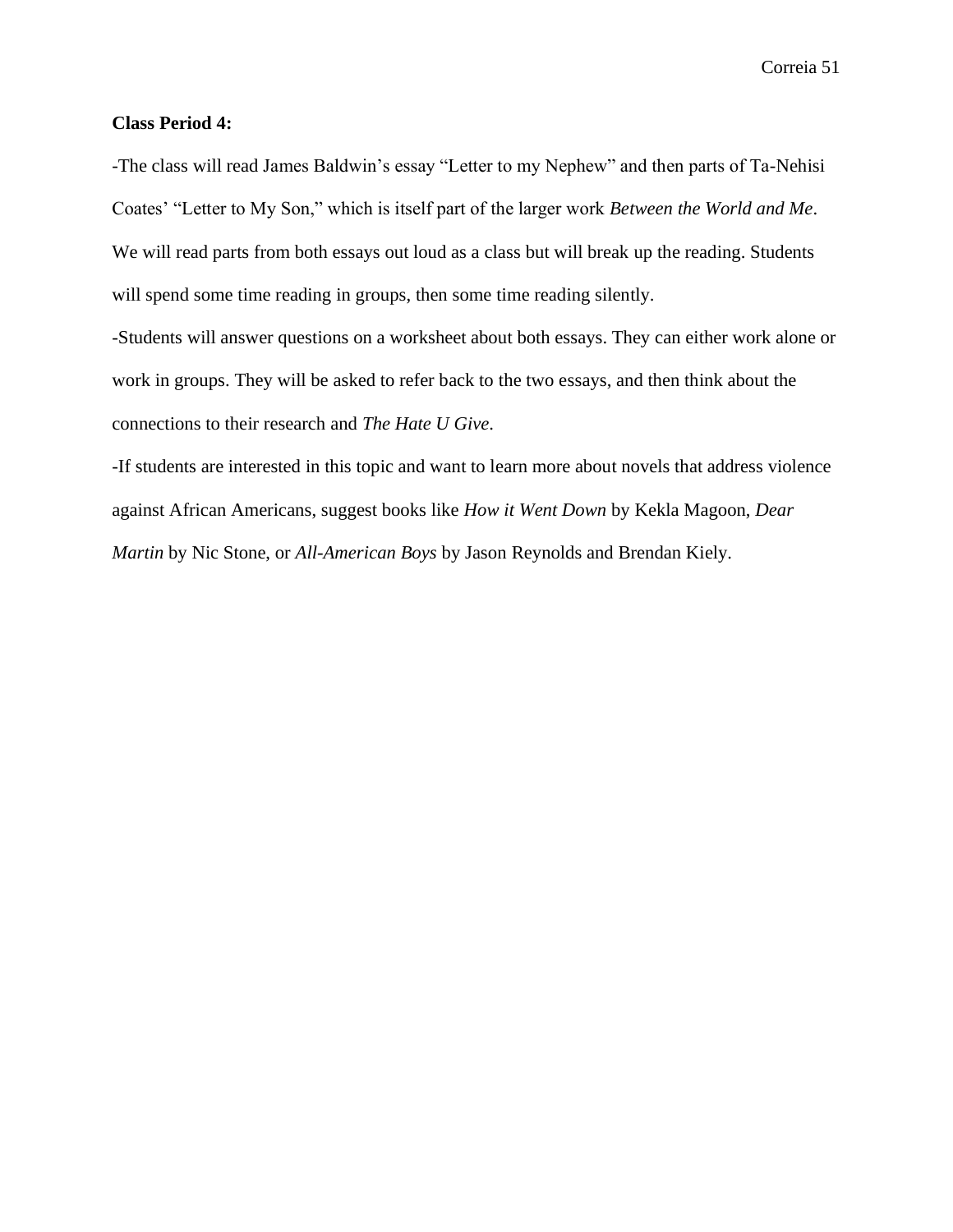## **Class Period 4:**

-The class will read James Baldwin's essay "Letter to my Nephew" and then parts of Ta-Nehisi Coates' "Letter to My Son," which is itself part of the larger work *Between the World and Me*. We will read parts from both essays out loud as a class but will break up the reading. Students will spend some time reading in groups, then some time reading silently.

-Students will answer questions on a worksheet about both essays. They can either work alone or work in groups. They will be asked to refer back to the two essays, and then think about the connections to their research and *The Hate U Give*.

-If students are interested in this topic and want to learn more about novels that address violence against African Americans, suggest books like *How it Went Down* by Kekla Magoon, *Dear Martin* by Nic Stone, or *All-American Boys* by Jason Reynolds and Brendan Kiely.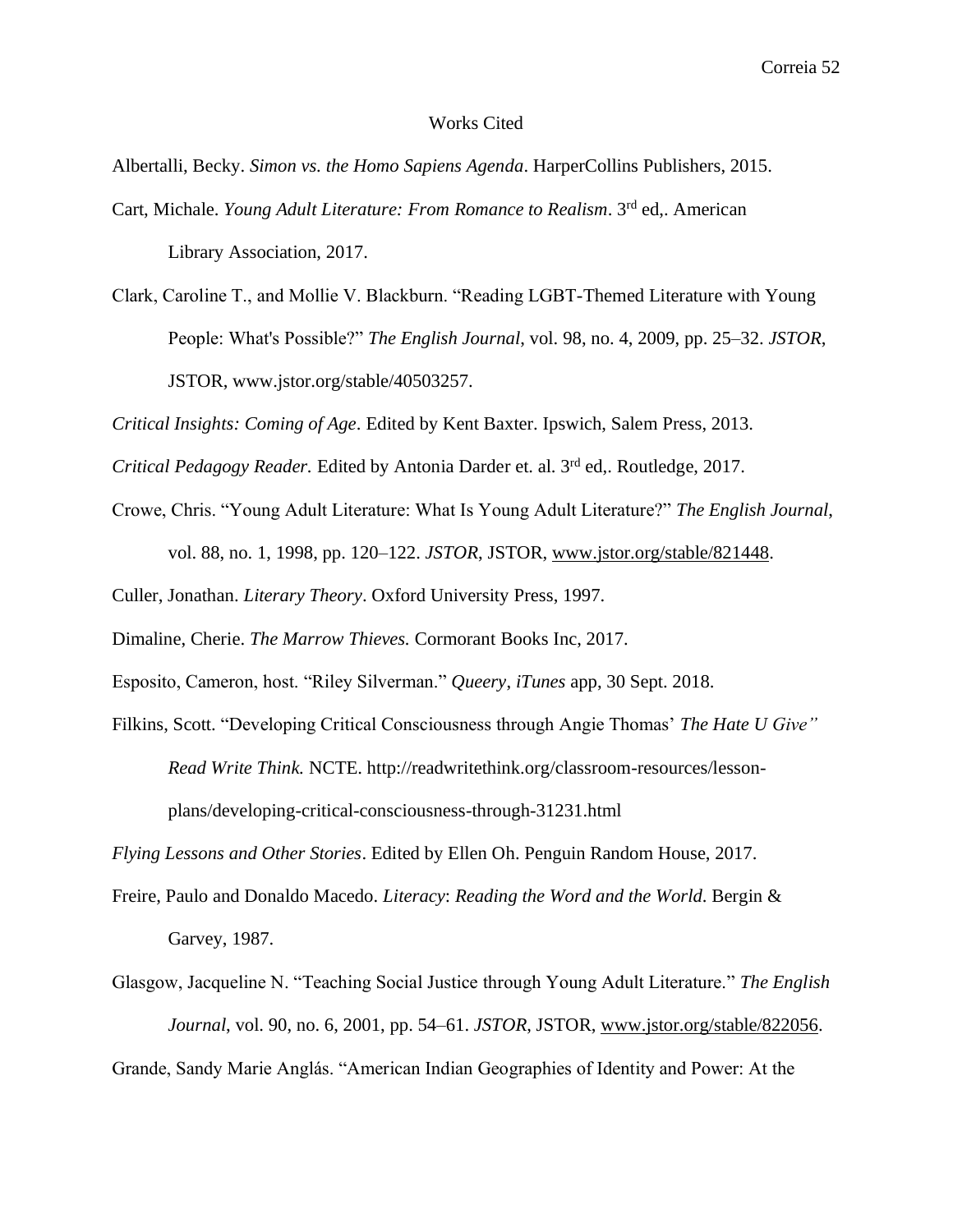## Works Cited

Albertalli, Becky. *Simon vs. the Homo Sapiens Agenda*. HarperCollins Publishers, 2015.

- Cart, Michale. *Young Adult Literature: From Romance to Realism*. 3<sup>rd</sup> ed,. American Library Association, 2017.
- Clark, Caroline T., and Mollie V. Blackburn. "Reading LGBT-Themed Literature with Young People: What's Possible?" *The English Journal*, vol. 98, no. 4, 2009, pp. 25–32. *JSTOR*, JSTOR, www.jstor.org/stable/40503257.

*Critical Insights: Coming of Age*. Edited by Kent Baxter. Ipswich, Salem Press, 2013.

*Critical Pedagogy Reader.* Edited by Antonia Darder et. al. 3rd ed,. Routledge, 2017.

Crowe, Chris. "Young Adult Literature: What Is Young Adult Literature?" *The English Journal*,

vol. 88, no. 1, 1998, pp. 120–122. *JSTOR*, JSTOR, [www.jstor.org/stable/821448.](http://www.jstor.org/stable/821448)

Culler, Jonathan. *Literary Theory*. Oxford University Press, 1997.

Dimaline, Cherie. *The Marrow Thieves.* Cormorant Books Inc, 2017.

Esposito, Cameron, host. "Riley Silverman." *Queery*, *iTunes* app, 30 Sept. 2018.

Filkins, Scott. "Developing Critical Consciousness through Angie Thomas' *The Hate U Give" Read Write Think.* NCTE. http://readwritethink.org/classroom-resources/lessonplans/developing-critical-consciousness-through-31231.html

*Flying Lessons and Other Stories*. Edited by Ellen Oh. Penguin Random House, 2017.

- Freire, Paulo and Donaldo Macedo. *Literacy*: *Reading the Word and the World*. Bergin & Garvey, 1987.
- Glasgow, Jacqueline N. "Teaching Social Justice through Young Adult Literature." *The English Journal*, vol. 90, no. 6, 2001, pp. 54–61. *JSTOR*, JSTOR, www.jstor.org/stable/822056.

Grande, Sandy Marie Anglás. "American Indian Geographies of Identity and Power: At the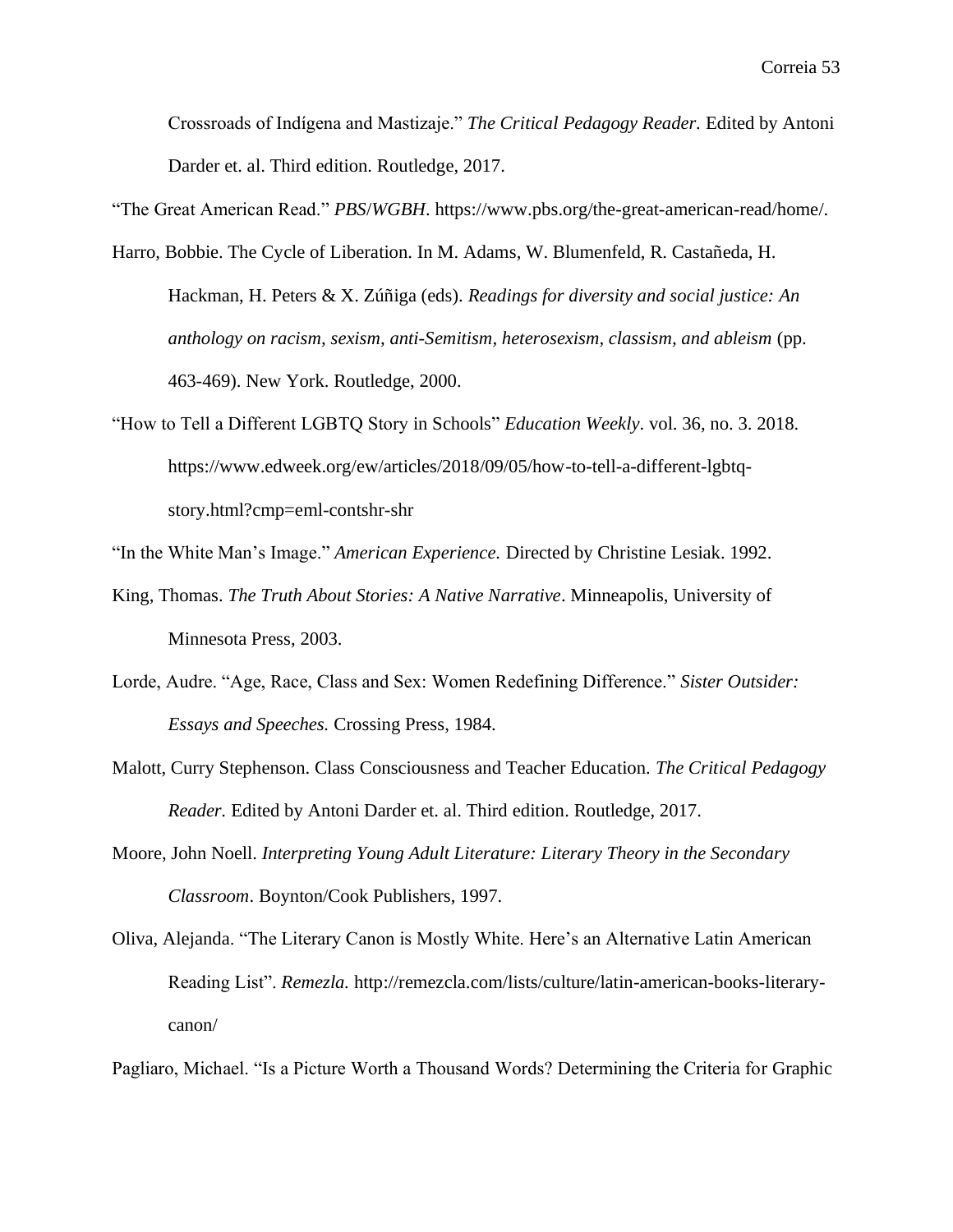Crossroads of Indígena and Mastizaje." *The Critical Pedagogy Reader.* Edited by Antoni Darder et. al. Third edition. Routledge, 2017.

"The Great American Read." *PBS*/*WGBH*. https://www.pbs.org/the-great-american-read/home/.

- Harro, Bobbie. The Cycle of Liberation. In M. Adams, W. Blumenfeld, R. Castañeda, H. Hackman, H. Peters & X. Zúñiga (eds). *Readings for diversity and social justice: An anthology on racism, sexism, anti-Semitism, heterosexism, classism, and ableism* (pp. 463-469). New York. Routledge, 2000.
- "How to Tell a Different LGBTQ Story in Schools" *Education Weekly*. vol. 36, no. 3. 2018. https://www.edweek.org/ew/articles/2018/09/05/how-to-tell-a-different-lgbtqstory.html?cmp=eml-contshr-shr

"In the White Man's Image." *American Experience.* Directed by Christine Lesiak. 1992.

- King, Thomas. *The Truth About Stories: A Native Narrative*. Minneapolis, University of Minnesota Press, 2003.
- Lorde, Audre. "Age, Race, Class and Sex: Women Redefining Difference." *Sister Outsider: Essays and Speeches.* Crossing Press, 1984.
- Malott, Curry Stephenson. Class Consciousness and Teacher Education. *The Critical Pedagogy Reader.* Edited by Antoni Darder et. al. Third edition. Routledge, 2017.
- Moore, John Noell. *Interpreting Young Adult Literature: Literary Theory in the Secondary Classroom*. Boynton/Cook Publishers, 1997.
- Oliva, Alejanda. "The Literary Canon is Mostly White. Here's an Alternative Latin American Reading List". *Remezla.* http://remezcla.com/lists/culture/latin-american-books-literarycanon/

Pagliaro, Michael. "Is a Picture Worth a Thousand Words? Determining the Criteria for Graphic